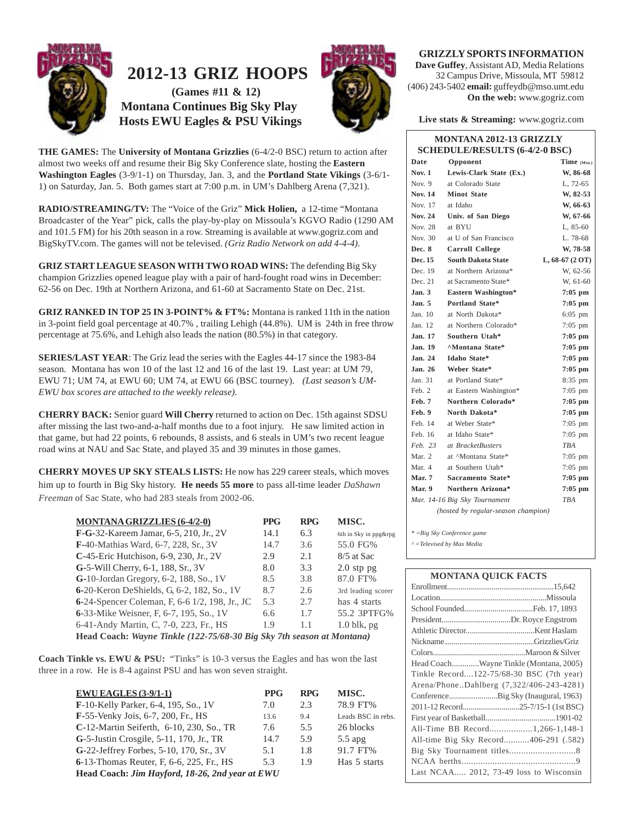

# **` 2012-13 GRIZ HOOPS**

 **(Games #11 & 12) Montana Continues Big Sky Play Hosts EWU Eagles & PSU Vikings**



**THE GAMES:** The **University of Montana Grizzlies** (6-4/2-0 BSC) return to action after almost two weeks off and resume their Big Sky Conference slate, hosting the **Eastern Washington Eagles** (3-9/1-1) on Thursday, Jan. 3, and the **Portland State Vikings** (3-6/1- 1) on Saturday, Jan. 5. Both games start at 7:00 p.m. in UM's Dahlberg Arena (7,321).

**RADIO/STREAMING/TV:** The "Voice of the Griz" **Mick Holien,** a 12-time "Montana Broadcaster of the Year" pick, calls the play-by-play on Missoula's KGVO Radio (1290 AM and 101.5 FM) for his 20th season in a row. Streaming is available at www.gogriz.com and BigSkyTV.com. The games will not be televised. *(Griz Radio Network on add 4-4-4).*

**GRIZ START LEAGUE SEASON WITH TWO ROAD WINS:** The defending Big Sky champion Grizzlies opened league play with a pair of hard-fought road wins in December: 62-56 on Dec. 19th at Northern Arizona, and 61-60 at Sacramento State on Dec. 21st.

**GRIZ RANKED IN TOP 25 IN 3-POINT% & FT%:** Montana is ranked 11th in the nation in 3-point field goal percentage at 40.7% , trailing Lehigh (44.8%). UM is 24th in free throw percentage at 75.6%, and Lehigh also leads the nation (80.5%) in that category.

**SERIES/LAST YEAR**: The Griz lead the series with the Eagles 44-17 since the 1983-84 season. Montana has won 10 of the last 12 and 16 of the last 19. Last year: at UM 79, EWU 71; UM 74, at EWU 60; UM 74, at EWU 66 (BSC tourney). *(Last season's UM-EWU box scores are attached to the weekly release).*

**CHERRY BACK:** Senior guard **Will Cherry** returned to action on Dec. 15th against SDSU after missing the last two-and-a-half months due to a foot injury. He saw limited action in that game, but had 22 points, 6 rebounds, 8 assists, and 6 steals in UM's two recent league road wins at NAU and Sac State, and played 35 and 39 minutes in those games.

**CHERRY MOVES UP SKY STEALS LISTS:** He now has 229 career steals, which moves him up to fourth in Big Sky history. **He needs 55 more** to pass all-time leader *DaShawn Freeman* of Sac State, who had 283 steals from 2002-06.

| <b>MONTANA GRIZZLIES (6-4/2-0)</b>                                    | <b>PPG</b> | <b>RPG</b> | MISC.                 |
|-----------------------------------------------------------------------|------------|------------|-----------------------|
| <b>F-G-32-Kareem Jamar, 6-5, 210, Jr., 2V</b>                         | 14.1       | 6.3        | 6th in Sky in ppg&rpg |
| <b>F-</b> 40-Mathias Ward, 6-7, 228, Sr., 3V                          | 14.7       | 3.6        | 55.0 FG%              |
| C-45-Eric Hutchison, 6-9, 230, Jr., 2V                                | 2.9        | 2.1        | $8/5$ at Sac          |
| G-5-Will Cherry, 6-1, 188, Sr., 3V                                    | 8.0        | 3.3        | $2.0$ stp pg          |
| G-10-Jordan Gregory, 6-2, 188, So., 1V                                | 8.5        | 3.8        | 87.0 FT%              |
| 6-20-Keron DeShields, G, 6-2, 182, So., 1V                            | 8.7        | 2.6        | 3rd leading scorer    |
| 6-24-Spencer Coleman, F, 6-6 1/2, 198, Jr., JC                        | 5.3        | 2.7        | has 4 starts          |
| 6-33-Mike Weisner, F, 6-7, 195, So., 1V                               | 6.6        | 1.7        | 55.2 3PTFG%           |
| 6-41-Andy Martin, C, 7-0, 223, Fr., HS                                | 1.9        | 1.1        | $1.0$ blk, pg         |
| Head Coach: Wayne Tinkle (122-75/68-30 Big Sky 7th season at Montana) |            |            |                       |

**Coach Tinkle vs. EWU & PSU:** "Tinks" is 10-3 versus the Eagles and has won the last three in a row. He is 8-4 against PSU and has won seven straight.

| $EWU EAGLES (3-9/1-1)$                          | <b>PPG</b> | <b>RPG</b> | MISC.              |
|-------------------------------------------------|------------|------------|--------------------|
| F-10-Kelly Parker, 6-4, 195, So., 1V            | 7.0        | 2.3        | 78.9 FT%           |
| F-55-Venky Jois, 6-7, 200, Fr., HS              | 13.6       | 9.4        | Leads BSC in rebs. |
| C-12-Martin Seiferth, 6-10, 230, So., TR        | 7.6        | 5.5        | 26 blocks          |
| G-5-Justin Crosgile, 5-11, 170, Jr., TR         | 14.7       | 5.9        | $5.5$ apg          |
| G-22-Jeffrey Forbes, 5-10, 170, Sr., 3V         | 5.1        | 1.8        | 91.7 FT%           |
| 6-13-Thomas Reuter, F, 6-6, 225, Fr., HS        | 5.3        | 1.9        | Has 5 starts       |
| Head Coach: Jim Hayford, 18-26, 2nd year at EWU |            |            |                    |

### **GRIZZLY SPORTS INFORMATION**

**Dave Guffey**, Assistant AD, Media Relations 32 Campus Drive, Missoula, MT 59812 (406) 243-5402 **email:** guffeydb@mso.umt.edu **On the web:** www.gogriz.com

**Live stats & Streaming:** www.gogriz.com

#### **MONTANA 2012-13 GRIZZLY SCHEDULE/RESULTS (6-4/2-0 BSC)**

| Date           | Opponent                            | $Time_{(Mtn.)}$   |
|----------------|-------------------------------------|-------------------|
| <b>Nov. 1</b>  | Lewis-Clark State (Ex.)             | W, 86-68          |
| Nov. 9         | at Colorado State                   | L, 72-65          |
| <b>Nov. 14</b> | <b>Minot State</b>                  | W, 82-53          |
| Nov. 17        | at Idaho                            | W, 66-63          |
| <b>Nov. 24</b> | Univ. of San Diego                  | W, 67-66          |
| Nov. 28        | at BYU                              | $L.85-60$         |
| Nov. 30        | at U of San Francisco               | L. 78-68          |
| Dec. 8         | <b>Carroll College</b>              | W, 78-58          |
| Dec. 15        | <b>South Dakota State</b>           | $L, 68-67(2 O T)$ |
| Dec. 19        | at Northern Arizona*                | W, 62-56          |
| Dec. 21        | at Sacramento State*                | W, 61-60          |
| Jan. 3         | Eastern Washington*                 | $7:05$ pm         |
| Jan. 5         | <b>Portland State*</b>              | $7:05$ pm         |
| Jan. 10        | at North Dakota*                    | $6:05$ pm         |
| Jan. 12        | at Northern Colorado*               | $7:05$ pm         |
| Jan. 17        | Southern Utah*                      | $7:05$ pm         |
| Jan. 19        | <b>AMontana State*</b>              | $7:05$ pm         |
| Jan. 24        | Idaho State*                        | $7:05$ pm         |
| <b>Jan. 26</b> | Weber State*                        | $7:05$ pm         |
| Jan. 31        | at Portland State*                  | $8:35$ pm         |
| Feb. 2         | at Eastern Washington*              | $7:05$ pm         |
| Feb. 7         | Northern Colorado*                  | $7:05$ pm         |
| Feb. 9         | North Dakota*                       | $7:05$ pm         |
| Feb. 14        | at Weber State*                     | $7:05$ pm         |
| Feb. 16        | at Idaho State*                     | $7:05$ pm         |
| Feb. 23        | at BracketBusters                   | <b>TBA</b>        |
| Mar. 2         | at <sup>^</sup> Montana State*      | $7:05$ pm         |
| Mar. 4         | at Southern Utah*                   | $7:05$ pm         |
| Mar. 7         | Sacramento State*                   | $7:05$ pm         |
| Mar. 9         | Northern Arizona*                   | $7:05$ pm         |
|                | Mar. 14-16 Big Sky Tournament       | <b>TRA</b>        |
|                | (hosted by regular-season champion) |                   |
|                |                                     |                   |
|                |                                     |                   |

*\* =Big Sky Conference game*

*^ =Televised by Max Media*

| <b>MONTANA QUICK FACTS</b>               |
|------------------------------------------|
|                                          |
|                                          |
|                                          |
|                                          |
|                                          |
|                                          |
|                                          |
| Head CoachWayne Tinkle (Montana, 2005)   |
| Tinkle Record122-75/68-30 BSC (7th year) |
| Arena/PhoneDahlberg (7,322/406-243-4281) |
| ConferenceBig Sky (Inaugural, 1963)      |
|                                          |
|                                          |
| All-Time BB Record1,266-1,148-1          |
| All-time Big Sky Record406-291 (.582)    |
|                                          |
|                                          |
| Last NCAA 2012, 73-49 loss to Wisconsin  |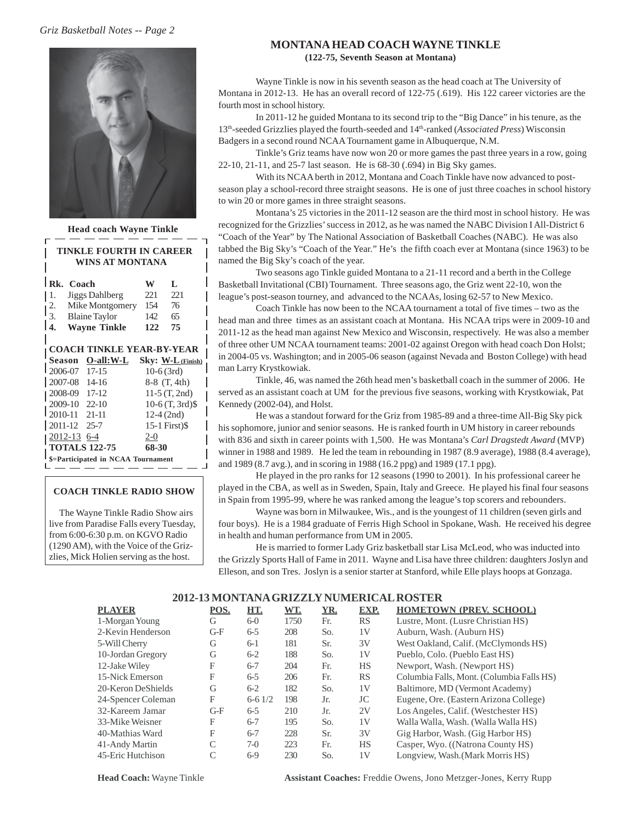### *Griz Basketball Notes -- Page 2*



| <b>Head coach Wayne Tinkle</b>                    |              |                     |
|---------------------------------------------------|--------------|---------------------|
| <b>TINKLE FOURTH IN CAREER</b><br>WINS AT MONTANA |              |                     |
| Rk. Coach                                         | W            | L                   |
| Jiggs Dahlberg<br>1.                              | 221          | 221                 |
| $\frac{2}{3}$ .<br>Mike Montgomery                | 154 76       |                     |
| <b>Blaine Taylor</b>                              | 142 65       |                     |
| I 4.<br><b>Wayne Tinkle</b>                       | 122 75       |                     |
| <b>COACH TINKLE YEAR-BY-YEAR</b>                  |              |                     |
|                                                   |              | $Sky: W-L$ (Finish) |
| 2006-07 17-15                                     | $10-6(3rd)$  |                     |
| 2007-08 14-16                                     |              | $8-8$ $(T, 4th)$    |
| 2008-09 17-12                                     |              | 11-5 $(T, 2nd)$     |
| 2009-10 22-10                                     |              | $10-6$ (T, 3rd) $$$ |
| 2010-11 21-11                                     | $12-4$ (2nd) |                     |
| 2011-12 25-7                                      |              | $15-1$ First) $$$   |
| <u>2012-13</u> 6-4                                | $2 - 0$      |                     |
| <b>TOTALS 122-75</b>                              | 68-30        |                     |
| \$=Participated in NCAA Tournament                |              |                     |

#### **COACH TINKLE RADIO SHOW**

 The Wayne Tinkle Radio Show airs live from Paradise Falls every Tuesday, from 6:00-6:30 p.m. on KGVO Radio (1290 AM), with the Voice of the Grizzlies, Mick Holien serving as the host.

#### **MONTANA HEAD COACH WAYNE TINKLE (122-75, Seventh Season at Montana)**

Wayne Tinkle is now in his seventh season as the head coach at The University of Montana in 2012-13. He has an overall record of 122-75 (.619). His 122 career victories are the fourth most in school history.

In 2011-12 he guided Montana to its second trip to the "Big Dance" in his tenure, as the 13th-seeded Grizzlies played the fourth-seeded and 14th-ranked (*Associated Press*) Wisconsin Badgers in a second round NCAA Tournament game in Albuquerque, N.M.

Tinkle's Griz teams have now won 20 or more games the past three years in a row, going 22-10, 21-11, and 25-7 last season. He is 68-30 (.694) in Big Sky games.

With its NCAA berth in 2012, Montana and Coach Tinkle have now advanced to postseason play a school-record three straight seasons. He is one of just three coaches in school history to win 20 or more games in three straight seasons.

Montana's 25 victories in the 2011-12 season are the third most in school history. He was recognized for the Grizzlies' success in 2012, as he was named the NABC Division I All-District 6 "Coach of the Year" by The National Association of Basketball Coaches (NABC). He was also tabbed the Big Sky's "Coach of the Year." He's the fifth coach ever at Montana (since 1963) to be named the Big Sky's coach of the year.

Two seasons ago Tinkle guided Montana to a 21-11 record and a berth in the College Basketball Invitational (CBI) Tournament. Three seasons ago, the Griz went 22-10, won the league's post-season tourney, and advanced to the NCAAs, losing 62-57 to New Mexico.

Coach Tinkle has now been to the NCAA tournament a total of five times – two as the head man and three times as an assistant coach at Montana. His NCAA trips were in 2009-10 and 2011-12 as the head man against New Mexico and Wisconsin, respectively. He was also a member of three other UM NCAA tournament teams: 2001-02 against Oregon with head coach Don Holst; in 2004-05 vs. Washington; and in 2005-06 season (against Nevada and Boston College) with head man Larry Krystkowiak.

Tinkle, 46, was named the 26th head men's basketball coach in the summer of 2006. He served as an assistant coach at UM for the previous five seasons, working with Krystkowiak, Pat Kennedy (2002-04), and Holst.

He was a standout forward for the Griz from 1985-89 and a three-time All-Big Sky pick his sophomore, junior and senior seasons. He is ranked fourth in UM history in career rebounds with 836 and sixth in career points with 1,500. He was Montana's *Carl Dragstedt Award* (MVP) winner in 1988 and 1989. He led the team in rebounding in 1987 (8.9 average), 1988 (8.4 average), and 1989 (8.7 avg.), and in scoring in 1988 (16.2 ppg) and 1989 (17.1 ppg).

He played in the pro ranks for 12 seasons (1990 to 2001). In his professional career he played in the CBA, as well as in Sweden, Spain, Italy and Greece. He played his final four seasons in Spain from 1995-99, where he was ranked among the league's top scorers and rebounders.

Wayne was born in Milwaukee, Wis., and is the youngest of 11 children (seven girls and four boys). He is a 1984 graduate of Ferris High School in Spokane, Wash. He received his degree in health and human performance from UM in 2005.

He is married to former Lady Griz basketball star Lisa McLeod, who was inducted into the Grizzly Sports Hall of Fame in 2011. Wayne and Lisa have three children: daughters Joslyn and Elleson, and son Tres. Joslyn is a senior starter at Stanford, while Elle plays hoops at Gonzaga.

### **2012-13 MONTANA GRIZZLY NUMERICAL ROSTER**

| PLAYER             | POS.  | HT.      | WT.  | YR. | EXP.      | <b>HOMETOWN (PREV. SCHOOL)</b>            |
|--------------------|-------|----------|------|-----|-----------|-------------------------------------------|
| 1-Morgan Young     | G     | $6-0$    | 1750 | Fr. | <b>RS</b> | Lustre, Mont. (Lusre Christian HS)        |
| 2-Kevin Henderson  | $G-F$ | $6 - 5$  | 208  | So. | 1V        | Auburn, Wash. (Auburn HS)                 |
| 5-Will Cherry      | G     | $6-1$    | 181  | Sr. | 3V        | West Oakland, Calif. (McClymonds HS)      |
| 10-Jordan Gregory  | G     | $6 - 2$  | 188  | So. | 1V        | Pueblo, Colo. (Pueblo East HS)            |
| 12-Jake Wiley      | F     | $6 - 7$  | 204  | Fr. | <b>HS</b> | Newport, Wash. (Newport HS)               |
| 15-Nick Emerson    | F     | $6 - 5$  | 206  | Fr. | <b>RS</b> | Columbia Falls, Mont. (Columbia Falls HS) |
| 20-Keron DeShields | G     | $6-2$    | 182  | So. | 1V        | Baltimore, MD (Vermont Academy)           |
| 24-Spencer Coleman | F     | $6-61/2$ | 198  | Jr. | JC        | Eugene, Ore. (Eastern Arizona College)    |
| 32-Kareem Jamar    | $G-F$ | $6 - 5$  | 210  | Jr. | 2V        | Los Angeles, Calif. (Westchester HS)      |
| 33-Mike Weisner    | F     | $6 - 7$  | 195  | So. | 1V        | Walla Walla, Wash. (Walla Walla HS)       |
| 40-Mathias Ward    | F     | $6 - 7$  | 228  | Sr. | 3V        | Gig Harbor, Wash. (Gig Harbor HS)         |
| 41-Andy Martin     | C     | $7-0$    | 223  | Fr. | <b>HS</b> | Casper, Wyo. ((Natrona County HS)         |
| 45-Eric Hutchison  | C     | $6-9$    | 230  | So. | 1V        | Longview, Wash. (Mark Morris HS)          |

**Head Coach:** Wayne Tinkle **Assistant Coaches:** Freddie Owens, Jono Metzger-Jones, Kerry Rupp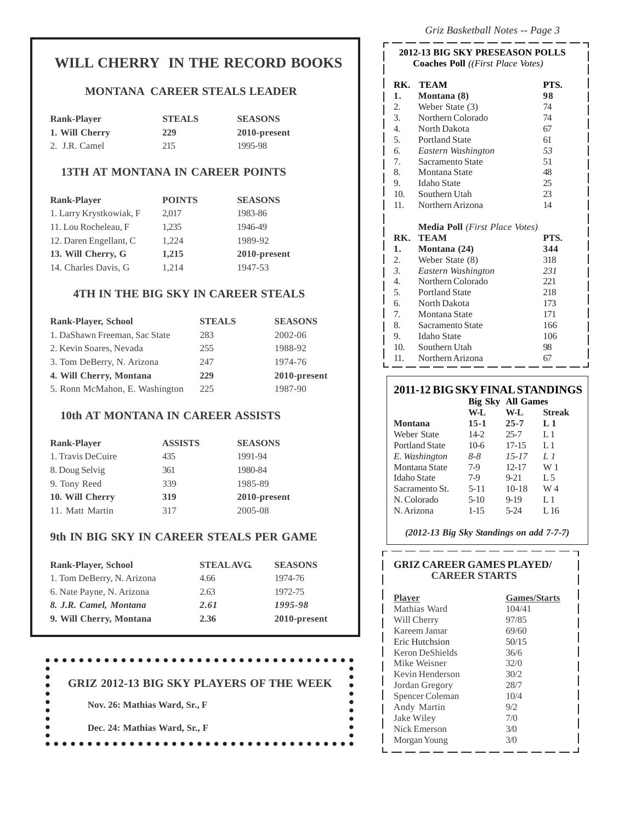# **WILL CHERRY IN THE RECORD BOOKS**

## **MONTANA CAREER STEALS LEADER**

| <b>Rank-Player</b> | <b>STEALS</b> | <b>SEASONS</b> |
|--------------------|---------------|----------------|
| 1. Will Cherry     | 229           | 2010-present   |
| 2. J.R. Camel      | 215           | 1995-98        |

# **13TH AT MONTANA IN CAREER POINTS**

| <b>Rank-Player</b>      | <b>POINTS</b> | <b>SEASONS</b> |
|-------------------------|---------------|----------------|
| 1. Larry Krystkowiak, F | 2,017         | 1983-86        |
| 11. Lou Rocheleau, F    | 1,235         | 1946-49        |
| 12. Daren Engellant, C  | 1,224         | 1989-92        |
| 13. Will Cherry, G      | 1,215         | 2010-present   |
| 14. Charles Davis, G    | 1,214         | 1947-53        |

# **4TH IN THE BIG SKY IN CAREER STEALS**

| <b>Rank-Player, School</b>     | <b>STEALS</b> | <b>SEASONS</b> |
|--------------------------------|---------------|----------------|
| 1. DaShawn Freeman, Sac State  | 283           | 2002-06        |
| 2. Kevin Soares, Nevada        | 255           | 1988-92        |
| 3. Tom DeBerry, N. Arizona     | 247           | 1974-76        |
| 4. Will Cherry, Montana        | 229           | 2010-present   |
| 5. Ronn McMahon, E. Washington | 225           | 1987-90        |

## **10th AT MONTANA IN CAREER ASSISTS**

| <b>Rank-Player</b> | <b>ASSISTS</b> | <b>SEASONS</b>  |
|--------------------|----------------|-----------------|
| 1. Travis DeCuire  | 435            | 1991-94         |
| 8. Doug Selvig     | 361            | 1980-84         |
| 9. Tony Reed       | 339            | 1985-89         |
| 10. Will Cherry    | 319            | $2010$ -present |
| 11. Matt Martin    | 317            | 2005-08         |

# **9th IN BIG SKY IN CAREER STEALS PER GAME**

| <b>Rank-Player, School</b> | <b>STEALAVG.</b> | <b>SEASONS</b> |
|----------------------------|------------------|----------------|
| 1. Tom DeBerry, N. Arizona | 4.66             | 1974-76        |
| 6. Nate Payne, N. Arizona  | 2.63             | 1972-75        |
| 8. J.R. Camel, Montana     | 2.61             | 1995-98        |
| 9. Will Cherry, Montana    | 2.36             | 2010-present   |

#### .................................  $\bullet$

 **GRIZ 2012-13 BIG SKY PLAYERS OF THE WEEK**

**Nov. 26: Mathias Ward, Sr., F**

ė

ó  $\bullet$  $\bullet$ 

**Dec. 24: Mathias Ward, Sr., F**

#### **2012-13 BIG SKY PRESEASON POLLS Coaches Poll** *((First Place Votes)*

| RK.              | <b>TEAM</b>                                    | PTS. |
|------------------|------------------------------------------------|------|
| 1.               | Montana (8)                                    | 98   |
| 2.               | Weber State (3)                                | 74   |
| $\mathfrak{Z}$ . | Northern Colorado                              | 74   |
| 4.               | North Dakota                                   | 67   |
| 5.               | <b>Portland State</b>                          | 61   |
| 6.               | Eastern Washington                             | 53   |
| 7.               | Sacramento State                               | 51   |
| 8.               | <b>Montana State</b>                           | 48   |
| 9.               | Idaho State                                    | 25   |
|                  | 10. Southern Utah                              | 23   |
| 11.              | Northern Arizona                               | 14   |
|                  |                                                |      |
|                  | <b>Media Poll</b> ( <i>First Place Votes</i> ) |      |
| RK.              | <b>TEAM</b>                                    | PTS. |
| 1.               | Montana (24)                                   | 344  |
| 2.               | Weber State (8)                                | 318  |
| 3.               | Eastern Washington                             | 231  |
| 4.               | Northern Colorado                              | 221  |
| 5.               | <b>Portland State</b>                          | 218  |
| 6.               | North Dakota                                   | 173  |
| 7.               | Montana State                                  | 171  |
| 8.               | - Sacramento State                             | 166  |
| 9.               | <b>Idaho</b> State                             | 106  |
| 10.              | Southern Utah                                  | 98   |

## **2011-12 BIG SKY FINAL STANDINGS**

|                       |           | <b>Big Sky All Games</b> |                |
|-----------------------|-----------|--------------------------|----------------|
|                       | W-L       | W-L                      | <b>Streak</b>  |
| <b>Montana</b>        | $15-1$    | $25 - 7$                 | $L_1$          |
| Weber State           | $14-2$    | $25 - 7$                 | L1             |
| <b>Portland State</b> | $10-6$    | 17-15                    | L1             |
| E. Washington         | 8-8       | $15 - 17$                | $L_{\iota}$    |
| Montana State         | $7-9$     | $12 - 17$                | W 1            |
| <b>Idaho</b> State    | $7-9$     | $9 - 21$                 | L <sub>5</sub> |
| Sacramento St.        | $5 - 11$  | $10-18$                  | W 4            |
| N. Colorado           | $5-10$    | $9 - 19$                 | L 1            |
| N. Arizona            | $1 - 1.5$ | $5 - 24$                 | L 16           |

 *(2012-13 Big Sky Standings on add 7-7-7)*

# -------------**GRIZ CAREER GAMES PLAYED/ CAREER STARTS Player Games/Starts** Mathias Ward 104/41

г

L

| Mathias ward          | 104/41 |
|-----------------------|--------|
| Will Cherry           | 97/85  |
| Kareem Jamar          | 69/60  |
| <b>Eric Hutchsion</b> | 50/15  |
| Keron DeShields       | 36/6   |
| Mike Weisner          | 32/0   |
| Kevin Henderson       | 30/2   |
| Jordan Gregory        | 28/7   |
| Spencer Coleman       | 10/4   |
| Andy Martin           | 9/2    |
| Jake Wiley            | 7/0    |
| Nick Emerson          | 3/0    |
| Morgan Young          | 3/0    |
|                       |        |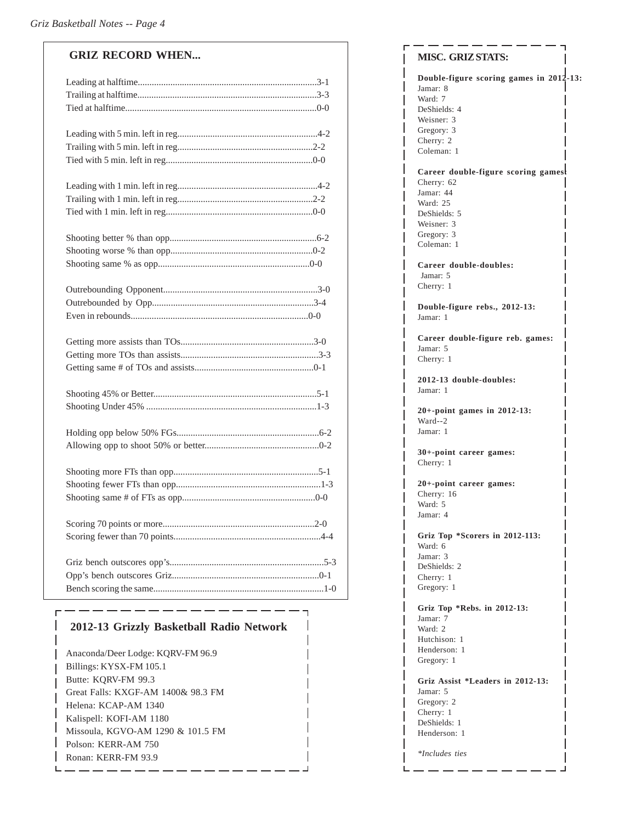| <b>GRIZ RECORD WHEN</b> |
|-------------------------|
|                         |
|                         |
|                         |
|                         |
|                         |
|                         |
|                         |
|                         |
|                         |
|                         |
|                         |
|                         |
|                         |
|                         |
|                         |
|                         |
|                         |
|                         |
|                         |
|                         |
|                         |
|                         |
|                         |
|                         |
|                         |
|                         |
|                         |
|                         |
|                         |
|                         |
|                         |
|                         |

# **2012-13 Grizzly Basketball Radio Network**

Anaconda/Deer Lodge: KQRV-FM 96.9 Billings: KYSX-FM 105.1 Butte: KQRV-FM 99.3 Great Falls: KXGF-AM 1400& 98.3 FM Helena: KCAP-AM 1340 Kalispell: KOFI-AM 1180 Missoula, KGVO-AM 1290 & 101.5 FM Polson: KERR-AM 750 Ronan: KERR-FM 93.9

## **MISC. GRIZ STATS: Double-figure scoring games in 2012-13:** Jamar: 8 Ward: 7 DeShields: 4 Weisner: 3 Gregory: 3 Cherry: 2 Coleman: 1 **Career double-figure scoring games:** Cherry: 62 Jamar: 44 Ward: 25 DeShields: 5 Weisner: 3 Gregory: 3 Coleman: 1 **Career double-doubles:** Jamar: 5 Cherry: 1 **Double-figure rebs., 2012-13:** Jamar: 1 **Career double-figure reb. games:** Jamar: 5 Cherry: 1 **2012-13 double-doubles:** Jamar: 1 **20+-point games in 2012-13:** Ward--2 Jamar: 1 **30+-point career games:** Cherry: 1 **20+-point career games:** Cherry: 16 Ward: 5 Jamar: 4 **Griz Top \*Scorers in 2012-113:** Ward: 6 Jamar: 3 DeShields: 2 Cherry: 1 Gregory: 1 **Griz Top \*Rebs. in 2012-13:** Jamar: 7 Ward: 2 Hutchison: 1 Henderson: 1 Gregory: 1 **Griz Assist \*Leaders in 2012-13:** Jamar: 5 Gregory: 2 Cherry: 1 DeShields: 1 Henderson: 1 *\*Includes ties*

I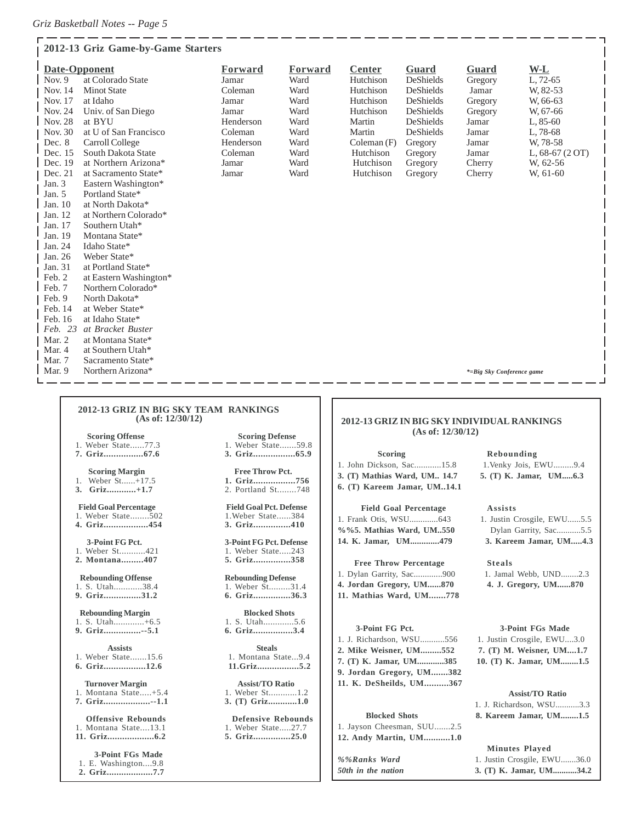|                | Date-Opponent          | Forward   | Forward | <b>Center</b> | Guard            | Guard                     | $W-L$            |
|----------------|------------------------|-----------|---------|---------------|------------------|---------------------------|------------------|
| Nov. $9$       | at Colorado State      | Jamar     | Ward    | Hutchison     | <b>DeShields</b> | Gregory                   | L, 72-65         |
| Nov. 14        | <b>Minot State</b>     | Coleman   | Ward    | Hutchison     | <b>DeShields</b> | Jamar                     | W, 82-53         |
| Nov. 17        | at Idaho               | Jamar     | Ward    | Hutchison     | DeShields        | Gregory                   | W, 66-63         |
| Nov. 24        | Univ. of San Diego     | Jamar     | Ward    | Hutchison     | DeShields        | Gregory                   | W, 67-66         |
| <b>Nov. 28</b> | at BYU                 | Henderson | Ward    | Martin        | DeShields        | Jamar                     | $L, 85-60$       |
| Nov. 30        | at U of San Francisco  | Coleman   | Ward    | Martin        | <b>DeShields</b> | Jamar                     | L, 78-68         |
| Dec. 8         | Carroll College        | Henderson | Ward    | Coleman(F)    | Gregory          | Jamar                     | W, 78-58         |
| Dec. 15        | South Dakota State     | Coleman   | Ward    | Hutchison     | Gregory          | Jamar                     | L, $68-67(2$ OT) |
| Dec. 19        | at Northern Arizona*   | Jamar     | Ward    | Hutchison     | Gregory          | Cherry                    | W, 62-56         |
| Dec. 21        | at Sacramento State*   | Jamar     | Ward    | Hutchison     | Gregory          | Cherry                    | W, 61-60         |
| Jan. $3$       | Eastern Washington*    |           |         |               |                  |                           |                  |
| Jan. $5$       | Portland State*        |           |         |               |                  |                           |                  |
| Jan. 10        | at North Dakota*       |           |         |               |                  |                           |                  |
| Jan. 12        | at Northern Colorado*  |           |         |               |                  |                           |                  |
| Jan. 17        | Southern Utah*         |           |         |               |                  |                           |                  |
| Jan. 19        | Montana State*         |           |         |               |                  |                           |                  |
| Jan. 24        | Idaho State*           |           |         |               |                  |                           |                  |
| Jan. 26        | Weber State*           |           |         |               |                  |                           |                  |
| Jan. 31        | at Portland State*     |           |         |               |                  |                           |                  |
| Feb. 2         | at Eastern Washington* |           |         |               |                  |                           |                  |
| Feb. 7         | Northern Colorado*     |           |         |               |                  |                           |                  |
| Feb. 9         | North Dakota*          |           |         |               |                  |                           |                  |
| Feb. 14        | at Weber State*        |           |         |               |                  |                           |                  |
| Feb. 16        | at Idaho State*        |           |         |               |                  |                           |                  |
| Feb. 23        | at Bracket Buster      |           |         |               |                  |                           |                  |
| Mar. 2         | at Montana State*      |           |         |               |                  |                           |                  |
| Mar. 4         | at Southern Utah*      |           |         |               |                  |                           |                  |
| Mar. 7         | Sacramento State*      |           |         |               |                  |                           |                  |
| Mar. 9         | Northern Arizona*      |           |         |               |                  | *=Big Sky Conference game |                  |

#### **2012-13 GRIZ IN BIG SKY TEAM RANKINGS (As of: 12/30/12)**

- 1. Weber State......77.3 1. Weber State.......59.8
- 

- 
- 

**4. Griz..................454 3. Griz...............410**

1. Weber St...........421 1. Weber State.....243<br>2. Montana.........407 5. Griz................358 **2. Montana.........407 5. Griz...............358**

- 1. S. Utah............38.4<br>9. Griz...............31.2
- 
- **Rebounding Margin Blocked Shots** 1. S. Utah..............+6.5
- 
- 1. Weber State.......15.6
- 

1. Montana State.....+5.4 1. Weber St.............1.2<br> **7. Griz..................-1.1** 3. (T) Griz...........1.0 **7. Griz...................--1.1 3. (T) Griz............1.0**

#### **3-Point FGs Made**

- 1. E. Washington....9.8
- **2. Griz...................7.7**

# **Scoring Offense** Scoring Defense

**7. Griz................67.6 3. Griz.................65.9**

#### **Scoring Margin Free Throw Pct.** 1. Weber St......+17.5 **1. Griz................756**<br>3. Griz............+1.7 2. Portland St........748 2. Portland St........748

**Field Goal Percentage** Field Goal Pct. Defense<br>1. Weber State........502 1. Weber State......384 1. Weber State........502 1. Weber State......384<br>4. Griz..................454 3. Griz...............410

 **3-Point FG Pct. 3-Point FG Pct. Defense**

- 
- **Rebounding Offense**<br> **Rebounding Defense**<br> **Rebounding Defense**<br> **Rebounding Defense**<br> **Rebounding Defense**<br> **Rebounding Defense 9. Griz...............31.2 6. Griz...............36.3**
	-
- **9. Griz...............--5.1 6. Griz................3.4**
- Assists<br> **1.** Montana State...9.4<br> **1.** Montana State...9.4 **6. Griz.................12.6 11.Griz.................5.2**
	- **Turnover Margin Assist/TO Ratio**<br>Montana State.....+5.4 1. Weber St............1.2
		-

#### **Offensive Rebounds**<br>1. Montana State....13.1 1. Weber State.....27.7 1. Weber State.....27.7

**11. Griz...................6.2 5. Griz...............25.0**

#### **2012-13 GRIZ IN BIG SKY INDIVIDUAL RANKINGS (As of: 12/30/12)**

#### 1. John Dickson, Sac............15.8 1.Venky Jois, EWU.........9.4 **3. (T) Mathias Ward, UM.. 14.7 5. (T) K. Jamar, UM.....6.3 6. (T) Kareem Jamar, UM..14.1**

### **Field Goal Percentage Assists** 1. Frank Otis, WSU..............643 1. Justin Crosgile, EWU......5.5 %%5. Mathias Ward, UM.550 Dylan Garrity, Sac............5.5

#### **Free Throw Percentage Steals**

- **4. Jordan Gregory, UM......870 4. J. Gregory, UM......870**
- **11. Mathias Ward, UM.......778**

1. J. Richardson, WSU...........556 1. Justin Crosgile, EWU....3.0 **2. Mike Weisner, UM.........552 7. (T) M. Weisner, UM....1.7 7. (T) K. Jamar, UM............385 10. (T) K. Jamar, UM........1.5 9. Jordan Gregory, UM.......382 11. K. DeSheilds, UM..........367**

#### **Blocked Shots**

|  | 1. Jayson Cheesman, SUU2.5 |  |  |
|--|----------------------------|--|--|
|  | 12. Andy Martin, UM1.0     |  |  |

#### **Scoring Rebounding**

**14. K. Jamar, UM.............479 3. Kareem Jamar, UM.....4.3**

1. Dylan Garrity, Sac.............9001. Jamal Webb, UND........2.3

#### **3-Point FG Pct. 3-Point FGs Made**

| 1. J. Richardson, WSU3.3 |  |
|--------------------------|--|
| 8. Kareem Jamar, UM1.5   |  |

#### **Minutes Played**

### **Assist/TO Ratio**

|  | 8. Kareem Jamar, UM1.5 |
|--|------------------------|

- 
- *%%Ranks Ward*1. Justin Crosgile, EWU.......36.0
- *50th in the nation* **3. (T) K. Jamar, UM...........34.2**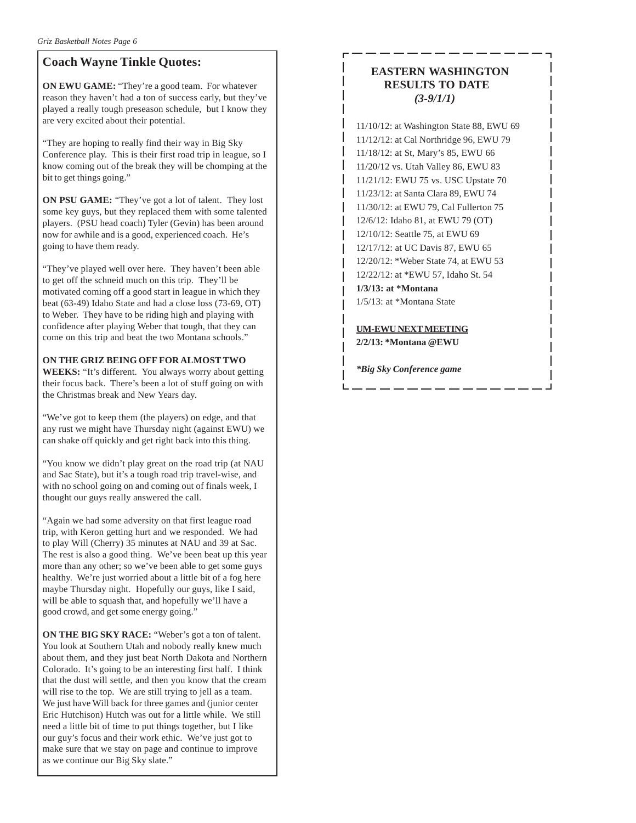# **Coach Wayne Tinkle Quotes:**

**ON EWU GAME:** "They're a good team. For whatever reason they haven't had a ton of success early, but they've played a really tough preseason schedule, but I know they are very excited about their potential.

"They are hoping to really find their way in Big Sky Conference play. This is their first road trip in league, so I know coming out of the break they will be chomping at the bit to get things going."

**ON PSU GAME:** "They've got a lot of talent. They lost some key guys, but they replaced them with some talented players. (PSU head coach) Tyler (Gevin) has been around now for awhile and is a good, experienced coach. He's going to have them ready.

"They've played well over here. They haven't been able to get off the schneid much on this trip. They'll be motivated coming off a good start in league in which they beat (63-49) Idaho State and had a close loss (73-69, OT) to Weber. They have to be riding high and playing with confidence after playing Weber that tough, that they can come on this trip and beat the two Montana schools."

### **ON THE GRIZ BEING OFF FOR ALMOST TWO**

**WEEKS:** "It's different. You always worry about getting their focus back. There's been a lot of stuff going on with the Christmas break and New Years day.

"We've got to keep them (the players) on edge, and that any rust we might have Thursday night (against EWU) we can shake off quickly and get right back into this thing.

"You know we didn't play great on the road trip (at NAU and Sac State), but it's a tough road trip travel-wise, and with no school going on and coming out of finals week, I thought our guys really answered the call.

"Again we had some adversity on that first league road trip, with Keron getting hurt and we responded. We had to play Will (Cherry) 35 minutes at NAU and 39 at Sac. The rest is also a good thing. We've been beat up this year more than any other; so we've been able to get some guys healthy. We're just worried about a little bit of a fog here maybe Thursday night. Hopefully our guys, like I said, will be able to squash that, and hopefully we'll have a good crowd, and get some energy going."

**ON THE BIG SKY RACE:** "Weber's got a ton of talent. You look at Southern Utah and nobody really knew much about them, and they just beat North Dakota and Northern Colorado. It's going to be an interesting first half. I think that the dust will settle, and then you know that the cream will rise to the top. We are still trying to jell as a team. We just have Will back for three games and (junior center Eric Hutchison) Hutch was out for a little while. We still need a little bit of time to put things together, but I like our guy's focus and their work ethic. We've just got to make sure that we stay on page and continue to improve as we continue our Big Sky slate."

# **EASTERN WASHINGTON RESULTS TO DATE** *(3-9/1/1)*

11/10/12: at Washington State 88, EWU 69 11/12/12: at Cal Northridge 96, EWU 79 11/18/12: at St, Mary's 85, EWU 66 11/20/12 vs. Utah Valley 86, EWU 83 11/21/12: EWU 75 vs. USC Upstate 70 11/23/12: at Santa Clara 89, EWU 74 11/30/12: at EWU 79, Cal Fullerton 75 12/6/12: Idaho 81, at EWU 79 (OT) 12/10/12: Seattle 75, at EWU 69 12/17/12: at UC Davis 87, EWU 65 12/20/12: \*Weber State 74, at EWU 53 12/22/12: at \*EWU 57, Idaho St. 54 **1/3/13: at \*Montana**

1/5/13: at \*Montana State

**UM-EWU NEXT MEETING 2/2/13: \*Montana @EWU**

*\*Big Sky Conference game*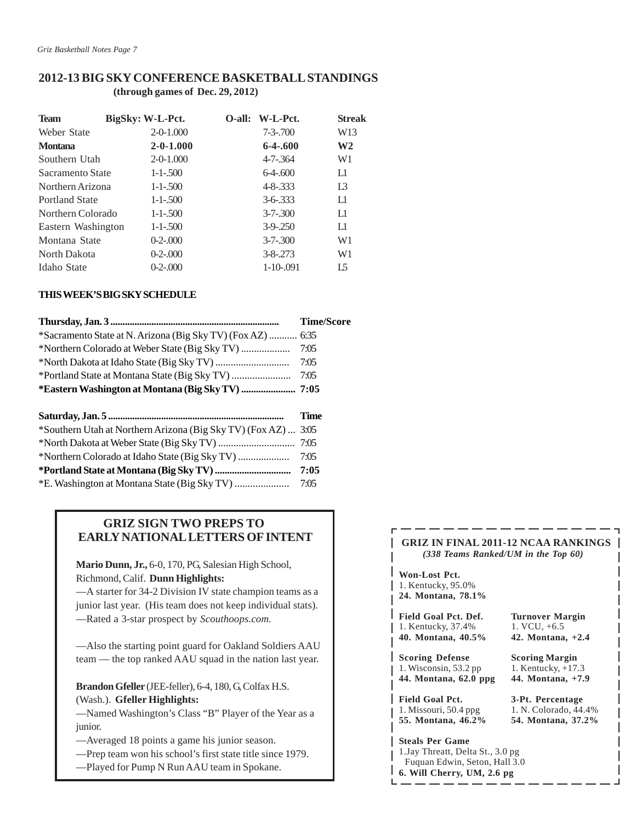### **2012-13 BIG SKY CONFERENCE BASKETBALL STANDINGS (through games of Dec. 29, 2012)**

| <b>Team</b>           | BigSky: W-L-Pct. | O-all: W-L-Pct. | Streak         |
|-----------------------|------------------|-----------------|----------------|
| Weber State           | $2 - 0 - 1.000$  | $7 - 3 - 700$   | W13            |
| <b>Montana</b>        | $2 - 0 - 1.000$  | $6-4-600$       | W <sub>2</sub> |
| Southern Utah         | $2 - 0 - 1.000$  | $4 - 7 - 364$   | W1             |
| Sacramento State      | $1 - 1 - 500$    | $6-4-600$       | L1             |
| Northern Arizona      | $1 - 1 - 500$    | $4 - 8 - 333$   | L <sub>3</sub> |
| <b>Portland State</b> | $1 - 1 - 500$    | $3-6-333$       | L1             |
| Northern Colorado     | $1 - 1 - 500$    | $3 - 7 - 300$   | L1             |
| Eastern Washington    | $1 - 1 - 500$    | $3-9-0.250$     | L1             |
| Montana State         | $0 - 2 - 000$    | $3 - 7 - 300$   | W <sub>1</sub> |
| North Dakota          | $0 - 2 - 000$    | $3 - 8 - 273$   | W <sub>1</sub> |
| Idaho State           | $0 - 2 - 000$    | $1-10-0.091$    | L5             |

### **THIS WEEK'S BIG SKY SCHEDULE**

|                                                          | <b>Time/Score</b> |
|----------------------------------------------------------|-------------------|
| *Sacramento State at N. Arizona (Big Sky TV) (Fox AZ)    | 6:35              |
|                                                          | 7:05              |
|                                                          | 7:05              |
|                                                          | 7:05              |
|                                                          |                   |
|                                                          |                   |
|                                                          |                   |
|                                                          | Time              |
| *Southern Utah at Northern Arizona (Big Sky TV) (Fox AZ) | 3:05              |
|                                                          | 7:05              |
|                                                          | 7:05              |
|                                                          | 7:05              |

# **GRIZ SIGN TWO PREPS TO EARLY NATIONAL LETTERS OF INTENT**

**Mario Dunn, Jr.,** 6-0, 170, PG, Salesian High School, Richmond, Calif. **Dunn Highlights:**

—A starter for 34-2 Division IV state champion teams as a junior last year. (His team does not keep individual stats). —Rated a 3-star prospect by *Scouthoops.com.*

—Also the starting point guard for Oakland Soldiers AAU team — the top ranked AAU squad in the nation last year.

**Brandon Gfeller** (JEE-feller), 6-4, 180, G, Colfax H.S. (Wash.). **Gfeller Highlights:**

—Named Washington's Class "B" Player of the Year as a junior.

—Averaged 18 points a game his junior season.

—Prep team won his school's first state title since 1979.

—Played for Pump N Run AAU team in Spokane.

### **GRIZ IN FINAL 2011-12 NCAA RANKINGS** *(338 Teams Ranked/UM in the Top 60)*

**Won-Lost Pct.** 1. Kentucky, 95.0% **24. Montana, 78.1% Field Goal Pct. Def.** Turnover Margin 1. Kentucky, 37.4% 1. VCU, +6.5 1. Kentucky, 37.4% **40. Montana, 40.5% 42. Montana, +2.4 Scoring Defense Scoring Margin** 1. Wisconsin, 53.2 pp 1. Kentucky, +17.3 **44. Montana, 62.0 ppg 44. Montana, +7.9 Field Goal Pct. 3-Pt. Percentage** 1. Missouri, 50.4 ppg 1. N. Colorado, 44.4%<br>55. Montana, 46.2% 54. Montana, 37.2% **55. Montana, 46.2% 54. Montana, 37.2% Steals Per Game** 1.Jay Threatt, Delta St., 3.0 pg Fuquan Edwin, Seton, Hall 3.0

**6. Will Cherry, UM, 2.6 pg**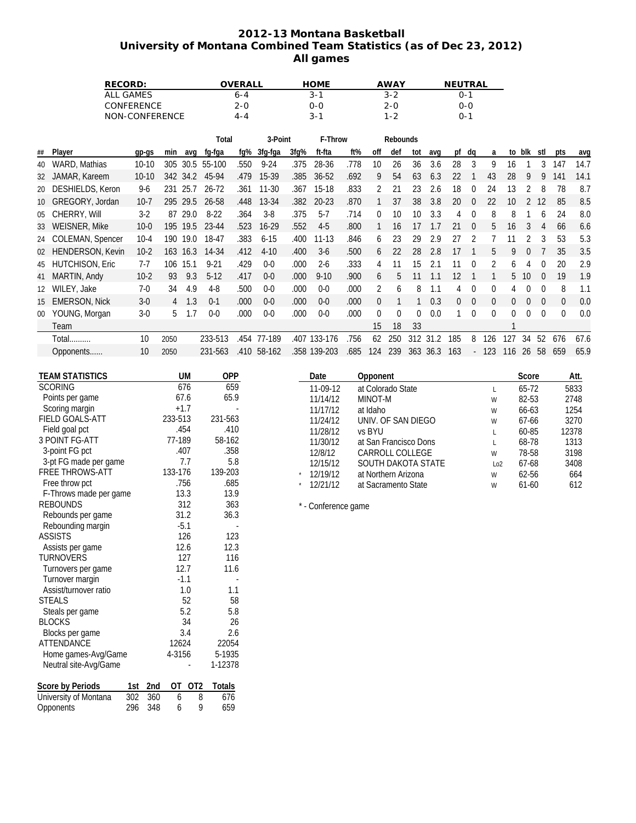# **2012-13 Montana Basketball University of Montana Combined Team Statistics (as of Dec 23, 2012) All games**

| <b>RECORD:</b>    | OVERALL | <b>HOME</b> | <b>AWAY</b> | <b>NEUTRAL</b> |
|-------------------|---------|-------------|-------------|----------------|
| ALL GAMES         | 6-4     | 3-1         | $3 - 2$     | ი-1            |
| <b>CONFERENCE</b> | 2-0     | ი-ი         | 2-0         | $0 - 0$        |
| NON-CONFERENCE    | 4-4     | 3-1         | 1-2         | $0 - 1$        |

|                 |                        |          |      |          | Total     |      | 3-Point   |      | F-Throw   |      |     | <b>Rebounds</b> |     |         |          |          |                |              |          |          |          |      |
|-----------------|------------------------|----------|------|----------|-----------|------|-----------|------|-----------|------|-----|-----------------|-----|---------|----------|----------|----------------|--------------|----------|----------|----------|------|
| ##              | Player                 | qp-qs    | min  | ava      | fq-fqa    | fq%  | 3fg-fga   | 3fq% | ft-fta    | ft%  | off | def             | tot | avq     | pf       | dq       | a              | to           | blk      | stl      | pts      | avg  |
| 40              | WARD, Mathias          | $10-10$  | 305  | 30.5     | 55-100    | .550 | $9 - 24$  | .375 | 28-36     | .778 | 10  | 26              | 36  | 3.6     | 28       | 3        | 9              | 16           |          | 3        | 147      | 14.7 |
| 32              | JAMAR, Kareem          | $10-10$  |      | 342 34.2 | 45-94     | .479 | 15-39     | 385  | $36 - 52$ | .692 | 9   | 54              | 63  | 6.3     | 22       |          | 43             | 28           |          | 9        | 141      | 14.1 |
| 20              | DESHIELDS, Keron       | $9-6$    | 231  | 25.7     | $26 - 72$ | .361 | $11 - 30$ | .367 | 15-18     | .833 |     | 21              | 23  | 2.6     | 18       |          | 24             | 13           |          | 8        | 78       | 8.7  |
| 10              | GREGORY, Jordan        | $10 - 7$ | 295  | 29.5     | 26-58     | .448 | 13-34     | .382 | $20 - 23$ | .870 |     | 37              | 38  | 3.8     | 20       |          | 22             | 10           |          | 12       | 85       | 8.5  |
| 05              | CHERRY, Will           | $3-2$    | 87   | 29.0     | $8 - 22$  | .364 | $3 - 8$   | .375 | $5 - 7$   | .714 | 0   | 10              | 10  | 3.3     |          |          | 8              | 8            |          | 6        | 24       | 8.0  |
| 33              | <b>WEISNER, Mike</b>   | $10-0$   | 195  | 19.5     | 23-44     | .523 | $16 - 29$ | .552 | $4 - 5$   | .800 |     | 16              | 17  |         | 21       | $\Omega$ | 5              | 16           |          | 4        | 66       | 6.6  |
| 24              | COLEMAN, Spencer       | $10-4$   | 190  | 19.0     | 18-47     | .383 | $6 - 15$  | .400 | $11 - 13$ | .846 | 6   | 23              | 29  | 2.9     | 27       |          |                |              |          | 3        | 53       | 5.3  |
| 02              | HENDERSON, Kevin       | $10-2$   | 163  | 16.3     | 14-34     | .412 | $4 - 10$  | .400 | $3-6$     | .500 | 6   | 22              | 28  | 2.8     | 17       |          | 5              | 9            |          |          | 35       | 3.5  |
| 45              | <b>HUTCHISON, Eric</b> | $7 - 7$  | 106  | 15.1     | $9 - 21$  | .429 | $0-0$     | .000 | $2 - 6$   | .333 |     |                 | 15  | 2.1     | 11       | $\Omega$ | 2              | <sub>6</sub> |          | $\Omega$ | 20       | 2.9  |
|                 | 41 MARTIN, Andy        | $10-2$   | 93   | 9.3      | $5-12$    | .417 | $0-0$     | .000 | $9 - 10$  | .900 | 6   | 5               |     |         | 12       |          |                | 5            | 10       | $\Omega$ | 19       | 1.9  |
| 12 <sup>2</sup> | WILEY, Jake            | $7-0$    | 34   | 4.9      | $4-8$     | .500 | $0-0$     | .000 | $0 - 0$   | .000 | 2   | 6               | 8   | 1.1     | 4        | $\Omega$ | $\theta$       | 4            | $\Omega$ | $\Omega$ | 8        | 1.1  |
| 15              | <b>EMERSON, Nick</b>   | $3-0$    | 4    | 1.3      | $0-1$     | .000 | $0-0$     | .000 | $0-0$     | .000 | 0   |                 |     | 0.3     | $\Omega$ | $\Omega$ | $\overline{0}$ | $\Omega$     | $\Omega$ | $\Omega$ | $\Omega$ | 0.0  |
| $00\,$          | YOUNG, Morgan          | $3-0$    | 5    | 1.7      | $0 - 0$   | .000 | $0 - 0$   | .000 | $0-0$     | .000 | 0   | $\Omega$        | 0   | 0.0     |          | $\Omega$ | 0              | 0            | $\Omega$ | $\Omega$ | $\Omega$ | 0.0  |
|                 | Team                   |          |      |          |           |      |           |      |           |      | 15  | 18              | 33  |         |          |          |                |              |          |          |          |      |
|                 | Total                  | 10       | 2050 |          | 233-513   | .454 | 77-189    | .407 | 133-176   | 756  | 62  | 250             | 312 | 2<br>31 | 185      | 8        | 126            | 127          | 34       | 52       | 676      | 67.6 |
|                 | Opponents              | 10       | 2050 |          | 231-563   | .410 | 58-162    | .358 | 139-203   | .685 | 124 | 239             | 363 | 36.3    | 163      |          | 123            | 116          | 26       | 58       | 659      | 65.9 |

| <b>TEAM STATISTICS</b>  |     |     |         | UM     | <b>OPP</b> |  |
|-------------------------|-----|-----|---------|--------|------------|--|
| <b>SCORING</b>          |     |     | 676     |        | 659        |  |
| Points per game         |     |     | 67.6    |        | 65.9       |  |
| Scoring margin          |     |     | $+1.7$  |        |            |  |
| <b>FIELD GOALS-ATT</b>  |     |     | 233-513 |        | 231-563    |  |
| Field goal pct          |     |     | .454    |        | .410       |  |
| 3 POINT FG-ATT          |     |     | 77-189  |        | 58-162     |  |
| 3-point FG pct          |     |     | .407    |        | .358       |  |
| 3-pt FG made per game   |     |     |         | 7.7    | 5.8        |  |
| <b>FREE THROWS-ATT</b>  |     |     | 133-176 |        | 139-203    |  |
| Free throw pct          |     |     | .756    |        | .685       |  |
| F-Throws made per game  |     |     | 13.3    |        | 13.9       |  |
| <b>REBOUNDS</b>         |     |     | 312     |        | 363        |  |
| Rebounds per game       |     |     | 31.2    | 36.3   |            |  |
| Rebounding margin       |     |     | $-5.1$  |        |            |  |
| <b>ASSISTS</b>          |     |     | 126     | 123    |            |  |
| Assists per game        |     |     | 12.6    |        | 12.3       |  |
| <b>TURNOVERS</b>        |     |     | 127     | 116    |            |  |
| Turnovers per game      |     |     | 12.7    |        | 11.6       |  |
| Turnover margin         |     |     | $-1.1$  |        |            |  |
| Assist/turnover ratio   |     |     |         | 1.0    | 1.1        |  |
| <b>STEALS</b>           |     |     |         | 52     | 58         |  |
| Steals per game         |     |     |         | 5.2    | 5.8        |  |
| <b>BLOCKS</b>           |     |     |         | 34     | 26         |  |
| Blocks per game         |     |     |         | 3.4    | 2.6        |  |
| <b>ATTENDANCE</b>       |     |     | 12624   |        | 22054      |  |
| Home games-Avg/Game     |     |     | 4-3156  | 5-1935 |            |  |
| Neutral site-Avg/Game   |     |     |         |        | 1-12378    |  |
| <b>Score by Periods</b> | 1st | 2nd | OT      | OT2    | Totals     |  |
| University of Montana   | 302 | 360 | 6       | 8      | 676        |  |
| Opponents               | 296 | 348 | 6       | 9      | 659        |  |

|            | Date     | Opponent              |     | Score     | Att.  |
|------------|----------|-----------------------|-----|-----------|-------|
|            | 11-09-12 | at Colorado State     |     | 65-72     | 5833  |
|            | 11/14/12 | MINOT-M               | W   | 82-53     | 2748  |
|            | 11/17/12 | at Idaho              | W   | $66 - 63$ | 1254  |
|            | 11/24/12 | UNIV. OF SAN DIEGO    | W   | $67-66$   | 3270  |
|            | 11/28/12 | vs BYU                |     | $60 - 85$ | 12378 |
|            | 11/30/12 | at San Francisco Dons |     | 68-78     | 1313  |
|            | 12/8/12  | CARROLL COLLEGE       | W   | 78-58     | 3198  |
|            | 12/15/12 | SOUTH DAKOTA STATE    | 102 | $67-68$   | 3408  |
| $^\star$   | 12/19/12 | at Northern Arizona   | W   | $62 - 56$ | 664   |
| $^{\star}$ | 12/21/12 | at Sacramento State   | W   | $61-60$   | 612   |

\* - Conference game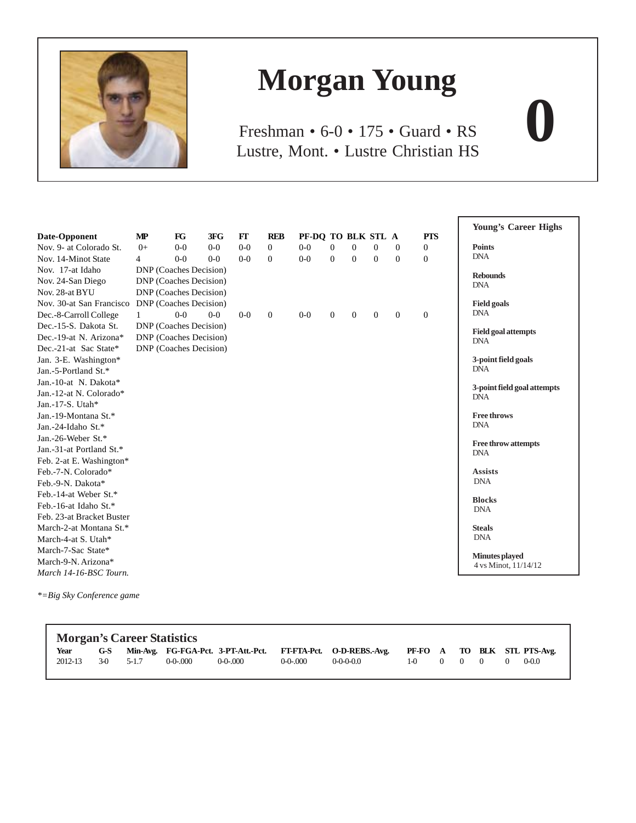

# **Morgan Young**

Lustre, Mont. • Lustre Christian HS Freshman • 6-0 • 175 • Guard • RS

|                           |                |                        |         |         |                |                    |                |          |          |          |            | <b>Young's Career Highs</b> |
|---------------------------|----------------|------------------------|---------|---------|----------------|--------------------|----------------|----------|----------|----------|------------|-----------------------------|
| Date-Opponent             | <b>MP</b>      | FG                     | 3FG     | FT      | <b>REB</b>     | PF-DO TO BLK STL A |                |          |          |          | <b>PTS</b> |                             |
| Nov. 9- at Colorado St.   | $0+$           | $0-0$                  | $0 - 0$ | $0 - 0$ | $\Omega$       | $0 - 0$            | $\Omega$       | $\Omega$ | $\Omega$ | $\Omega$ | $\theta$   | <b>Points</b>               |
| Nov. 14-Minot State       | $\overline{4}$ | $0-0$                  | $0 - 0$ | $0 - 0$ | $\Omega$       | $0-0$              | $\Omega$       | $\Omega$ | $\Omega$ | $\Omega$ | $\Omega$   | <b>DNA</b>                  |
| Nov. 17-at Idaho          |                | DNP (Coaches Decision) |         |         |                |                    |                |          |          |          |            | <b>Rebounds</b>             |
| Nov. 24-San Diego         |                | DNP (Coaches Decision) |         |         |                |                    |                |          |          |          |            | <b>DNA</b>                  |
| Nov. 28-at BYU            |                | DNP (Coaches Decision) |         |         |                |                    |                |          |          |          |            |                             |
| Nov. 30-at San Francisco  |                | DNP (Coaches Decision) |         |         |                |                    |                |          |          |          |            | <b>Field goals</b>          |
| Dec.-8-Carroll College    | $\mathbf{1}$   | $0 - 0$                | $0 - 0$ | $0-0$   | $\overline{0}$ | $0-0$              | $\overline{0}$ | $\theta$ | $\theta$ | $\theta$ | $\theta$   | <b>DNA</b>                  |
| Dec.-15-S. Dakota St.     |                | DNP (Coaches Decision) |         |         |                |                    |                |          |          |          |            | <b>Field goal attempts</b>  |
| Dec.-19-at N. Arizona*    |                | DNP (Coaches Decision) |         |         |                |                    |                |          |          |          |            | <b>DNA</b>                  |
| Dec.-21-at Sac State*     |                | DNP (Coaches Decision) |         |         |                |                    |                |          |          |          |            |                             |
| Jan. 3-E. Washington*     |                |                        |         |         |                |                    |                |          |          |          |            | 3-point field goals         |
| Jan.-5-Portland St.*      |                |                        |         |         |                |                    |                |          |          |          |            | <b>DNA</b>                  |
| Jan.-10-at N. Dakota*     |                |                        |         |         |                |                    |                |          |          |          |            | 3-point field goal attempts |
| Jan.-12-at N. Colorado*   |                |                        |         |         |                |                    |                |          |          |          |            | <b>DNA</b>                  |
| Jan.-17-S. Utah*          |                |                        |         |         |                |                    |                |          |          |          |            |                             |
| Jan.-19-Montana St.*      |                |                        |         |         |                |                    |                |          |          |          |            | <b>Free throws</b>          |
| Jan.-24-Idaho St.*        |                |                        |         |         |                |                    |                |          |          |          |            | <b>DNA</b>                  |
| Jan.-26-Weber St.*        |                |                        |         |         |                |                    |                |          |          |          |            | <b>Free throw attempts</b>  |
| Jan.-31-at Portland St.*  |                |                        |         |         |                |                    |                |          |          |          |            | <b>DNA</b>                  |
| Feb. 2-at E. Washington*  |                |                        |         |         |                |                    |                |          |          |          |            |                             |
| Feb.-7-N. Colorado*       |                |                        |         |         |                |                    |                |          |          |          |            | <b>Assists</b>              |
| Feb.-9-N. Dakota*         |                |                        |         |         |                |                    |                |          |          |          |            | <b>DNA</b>                  |
| Feb.-14-at Weber St.*     |                |                        |         |         |                |                    |                |          |          |          |            | <b>Blocks</b>               |
| Feb.-16-at Idaho St.*     |                |                        |         |         |                |                    |                |          |          |          |            | <b>DNA</b>                  |
| Feb. 23-at Bracket Buster |                |                        |         |         |                |                    |                |          |          |          |            |                             |
| March-2-at Montana St.*   |                |                        |         |         |                |                    |                |          |          |          |            | <b>Steals</b>               |
| March-4-at S. Utah*       |                |                        |         |         |                |                    |                |          |          |          |            | <b>DNA</b>                  |
| March-7-Sac State*        |                |                        |         |         |                |                    |                |          |          |          |            | Minutes played              |
| March-9-N. Arizona*       |                |                        |         |         |                |                    |                |          |          |          |            | 4 vs Minot, 11/14/12        |
| March 14-16-BSC Tourn.    |                |                        |         |         |                |                    |                |          |          |          |            |                             |

*\*=Big Sky Conference game*

|         | <b>Morgan's Career Statistics</b> |               |               |               |               |                                                                                                |               |  |  |  |  |           |  |  |  |
|---------|-----------------------------------|---------------|---------------|---------------|---------------|------------------------------------------------------------------------------------------------|---------------|--|--|--|--|-----------|--|--|--|
| Year    |                                   |               |               |               |               | G-S Min-Avg. FG-FGA-Pct. 3-PT-Att.-Pct. FT-FTA-Pct. O-D-REBS.-Avg. PF-FO A TO BLK STL PTS-Avg. |               |  |  |  |  |           |  |  |  |
| 2012-13 |                                   | $3-0$ $5-1.7$ | $0 - 0 - 000$ | $0 - 0 - 000$ | $0 - 0 - 000$ | $0 - 0 - 0 - 0.0$                                                                              | $1-0$ 0 0 0 0 |  |  |  |  | $0 - 0.0$ |  |  |  |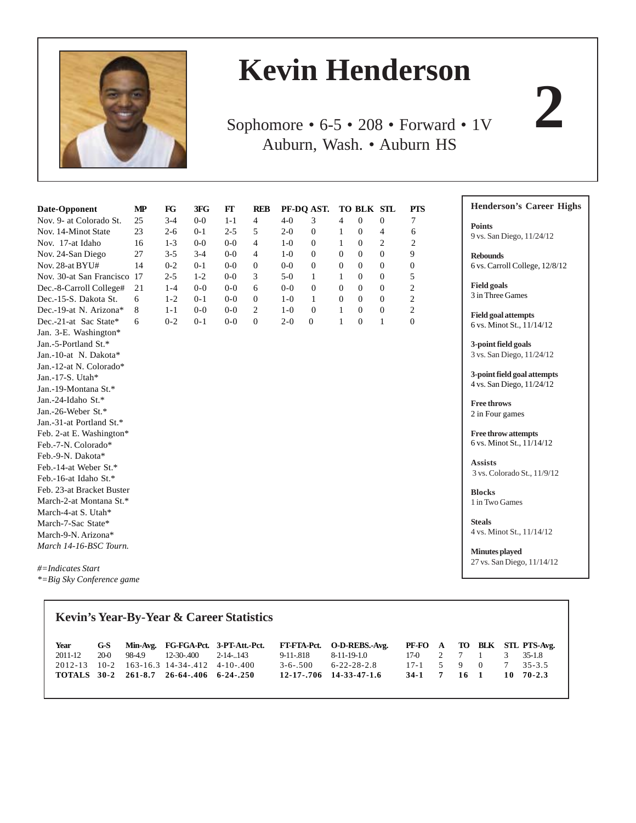

# **Kevin Henderson**

Sophomore • 6-5 • 208 • Forward • 1V Auburn, Wash. • Auburn HS

| Date-Opponent             | MP | FG      | 3FG     | FT      | <b>REB</b>     |         | PF-DQ AST.     |                | TO BLK STL     |                | <b>PTS</b>       |
|---------------------------|----|---------|---------|---------|----------------|---------|----------------|----------------|----------------|----------------|------------------|
| Nov. 9- at Colorado St.   | 25 | $3 - 4$ | $0-0$   | $1 - 1$ | $\overline{4}$ | $4 - 0$ | 3              | 4              | $\overline{0}$ | $\mathbf{0}$   | 7                |
| Nov. 14-Minot State       | 23 | $2 - 6$ | $0 - 1$ | $2 - 5$ | 5              | $2 - 0$ | $\mathbf{0}$   | 1              | $\theta$       | 4              | 6                |
| Nov. 17-at Idaho          | 16 | $1 - 3$ | $0-0$   | $0-0$   | $\overline{4}$ | $1-0$   | $\mathbf{0}$   | 1              | $\theta$       | $\overline{c}$ | 2                |
| Nov. 24-San Diego         | 27 | $3 - 5$ | $3-4$   | $0 - 0$ | $\overline{4}$ | $1-0$   | $\mathbf{0}$   | $\Omega$       | $\Omega$       | $\Omega$       | 9                |
| Nov. 28-at BYU#           | 14 | $0 - 2$ | $0 - 1$ | $0-0$   | $\overline{0}$ | $0-0$   | $\overline{0}$ | $\overline{0}$ | $\Omega$       | $\overline{0}$ | $\boldsymbol{0}$ |
| Nov. 30-at San Francisco  | 17 | $2 - 5$ | $1-2$   | $0-0$   | 3              | $5-0$   | 1              | 1              | $\Omega$       | $\overline{0}$ | 5                |
| Dec.-8-Carroll College#   | 21 | $1 - 4$ | $0 - 0$ | $0 - 0$ | 6              | $0 - 0$ | $\overline{0}$ | $\Omega$       | $\Omega$       | $\theta$       | $\overline{c}$   |
| Dec.-15-S. Dakota St.     | 6  | $1 - 2$ | $0 - 1$ | $0 - 0$ | $\mathbf{0}$   | $1-0$   | 1              | $\Omega$       | $\Omega$       | $\mathbf{0}$   | $\overline{c}$   |
| Dec.-19-at N. Arizona*    | 8  | $1 - 1$ | $0 - 0$ | $0 - 0$ | 2              | $1 - 0$ | $\overline{0}$ | $\mathbf{1}$   | $\theta$       | $\theta$       | $\overline{c}$   |
| Dec.-21-at Sac State*     | 6  | $0 - 2$ | $0 - 1$ | $0 - 0$ | $\mathbf{0}$   | $2 - 0$ | $\mathbf{0}$   | 1              | $\theta$       | 1              | $\overline{0}$   |
| Jan. 3-E. Washington*     |    |         |         |         |                |         |                |                |                |                |                  |
| Jan.-5-Portland St.*      |    |         |         |         |                |         |                |                |                |                |                  |
| Jan.-10-at N. Dakota*     |    |         |         |         |                |         |                |                |                |                |                  |
| Jan.-12-at N. Colorado*   |    |         |         |         |                |         |                |                |                |                |                  |
| Jan.-17-S. Utah*          |    |         |         |         |                |         |                |                |                |                |                  |
| Jan.-19-Montana St.*      |    |         |         |         |                |         |                |                |                |                |                  |
| Jan.-24-Idaho St.*        |    |         |         |         |                |         |                |                |                |                |                  |
| Jan.-26-Weber St.*        |    |         |         |         |                |         |                |                |                |                |                  |
| Jan.-31-at Portland St.*  |    |         |         |         |                |         |                |                |                |                |                  |
| Feb. 2-at E. Washington*  |    |         |         |         |                |         |                |                |                |                |                  |
| Feb.-7-N. Colorado*       |    |         |         |         |                |         |                |                |                |                |                  |
| Feb.-9-N. Dakota*         |    |         |         |         |                |         |                |                |                |                |                  |
| Feb.-14-at Weber St.*     |    |         |         |         |                |         |                |                |                |                |                  |
| Feb.-16-at Idaho St.*     |    |         |         |         |                |         |                |                |                |                |                  |
| Feb. 23-at Bracket Buster |    |         |         |         |                |         |                |                |                |                |                  |
| March-2-at Montana St.*   |    |         |         |         |                |         |                |                |                |                |                  |
| March-4-at S. Utah*       |    |         |         |         |                |         |                |                |                |                |                  |
| March-7-Sac State*        |    |         |         |         |                |         |                |                |                |                |                  |
| March-9-N. Arizona*       |    |         |         |         |                |         |                |                |                |                |                  |
| March 14-16-BSC Tourn.    |    |         |         |         |                |         |                |                |                |                |                  |

*#=Indicates Start \*=Big Sky Conference game*

Г

|             | <b>Kevin's Year-By-Year &amp; Career Statistics</b> |        |                                          |                                     |                |                     |        |                |              |                |    |                             |  |  |
|-------------|-----------------------------------------------------|--------|------------------------------------------|-------------------------------------|----------------|---------------------|--------|----------------|--------------|----------------|----|-----------------------------|--|--|
| Year        | G-S                                                 |        |                                          | Min-Avg. FG-FGA-Pct. 3-PT-Att.-Pct. | FT-FTA-Pct.    | O-D-REBS.-Avg.      |        |                |              |                |    | PF-FO A TO BLK STL PTS-Avg. |  |  |
| 2011-12     | 20-0                                                | 98-4.9 | 12-30-.400                               | 2-14-143                            | $9 - 11 - 818$ | 8-11-19-1.0         | $17-0$ | 2              | 7 1          |                | 3  | $35-1.8$                    |  |  |
| $2012 - 13$ |                                                     |        | $10-2$ 163-16.3 14-34-.412 4-10-.400     |                                     | $3 - 6 - 500$  | $6 - 22 - 28 - 2.8$ | $17-1$ | 5 <sup>7</sup> | - 9          | $\overline{0}$ | 7  | $35 - 3.5$                  |  |  |
|             |                                                     |        | TOTALS 30-2 261-8.7 26-64-.406 6-24-.250 |                                     | 12-17-.706     | 14-33-47-1.6        | $34-1$ | 7              | $16 \quad 1$ |                | 10 | $70 - 2.3$                  |  |  |

**Henderson's Career Highs**

**Points**

9 vs. San Diego, 11/24/12

**Rebounds** 6 vs. Carroll College, 12/8/12

**Field goals** 3 in Three Games

**Field goal attempts** 6 vs. Minot St., 11/14/12

**3-point field goals** 3 vs. San Diego, 11/24/12

**3-point field goal attempts** 4 vs. San Diego, 11/24/12

**Free throws** 2 in Four games

**Free throw attempts** 6 vs. Minot St., 11/14/12

**Assists** 3 vs. Colorado St., 11/9/12

**Blocks** 1 in Two Games

**Steals** 4 vs. Minot St., 11/14/12

**Minutes played** 27 vs. San Diego, 11/14/12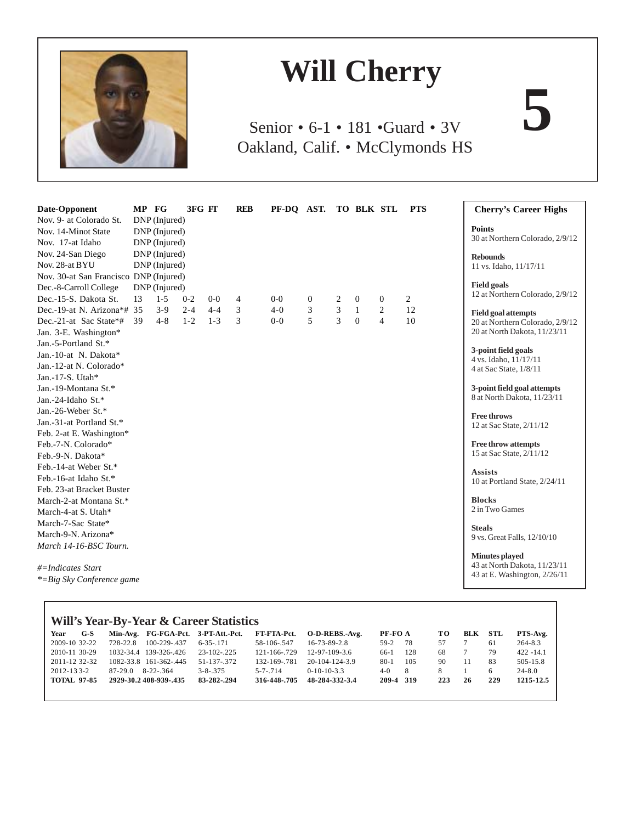

# **Will Cherry**

Senior • 6-1 • 181 •Guard • 3V Oakland, Calif. • McClymonds HS

| Date-Opponent                           | MP FG |                                | 3FG FT  |         | <b>REB</b> | PF-DQ AST. TO BLK STL |                |   |              |                | <b>PTS</b>     | <b>Cherry's Career Highs</b>                          |
|-----------------------------------------|-------|--------------------------------|---------|---------|------------|-----------------------|----------------|---|--------------|----------------|----------------|-------------------------------------------------------|
| Nov. 9- at Colorado St.                 |       | DNP (Injured)                  |         |         |            |                       |                |   |              |                |                | <b>Points</b>                                         |
| Nov. 14-Minot State<br>Nov. 17-at Idaho |       | DNP (Injured)<br>DNP (Injured) |         |         |            |                       |                |   |              |                |                | 30 at Northern Colorado, 2/9/12                       |
| Nov. 24-San Diego                       |       | DNP (Injured)                  |         |         |            |                       |                |   |              |                |                |                                                       |
| Nov. 28-at BYU                          |       | DNP (Injured)                  |         |         |            |                       |                |   |              |                |                | <b>Rebounds</b><br>11 vs. Idaho, 11/17/11             |
| Nov. 30-at San Francisco DNP (Injured)  |       |                                |         |         |            |                       |                |   |              |                |                |                                                       |
| Dec.-8-Carroll College                  |       | DNP (Injured)                  |         |         |            |                       |                |   |              |                |                | <b>Field goals</b>                                    |
| Dec.-15-S. Dakota St.                   | 13    | $1 - 5$                        | $0 - 2$ | $0-0$   | 4          | $0 - 0$               | $\overline{0}$ | 2 | $\theta$     | $\mathbf{0}$   | $\overline{2}$ | 12 at Northern Colorado, 2/9/12                       |
| Dec.-19-at N. Arizona*# 35              |       | $3-9$                          | $2 - 4$ | $4 - 4$ | 3          | $4 - 0$               | 3              | 3 | $\mathbf{1}$ | $\overline{c}$ | 12             | <b>Field goal attempts</b>                            |
| Dec.-21-at Sac State*#                  | 39    | $4 - 8$                        | $1 - 2$ | $1 - 3$ | 3          | $0 - 0$               | 5              | 3 | $\mathbf{0}$ | $\overline{4}$ | 10             | 20 at Northern Colorado, 2/9/12                       |
| Jan. 3-E. Washington*                   |       |                                |         |         |            |                       |                |   |              |                |                | 20 at North Dakota, 11/23/11                          |
| Jan.-5-Portland St.*                    |       |                                |         |         |            |                       |                |   |              |                |                |                                                       |
| Jan.-10-at N. Dakota*                   |       |                                |         |         |            |                       |                |   |              |                |                | 3-point field goals<br>4 vs. Idaho, 11/17/11          |
| Jan.-12-at N. Colorado*                 |       |                                |         |         |            |                       |                |   |              |                |                | 4 at Sac State, 1/8/11                                |
| Jan.-17-S. Utah*                        |       |                                |         |         |            |                       |                |   |              |                |                |                                                       |
| Jan.-19-Montana St.*                    |       |                                |         |         |            |                       |                |   |              |                |                | 3-point field goal attempts                           |
| Jan.-24-Idaho St.*                      |       |                                |         |         |            |                       |                |   |              |                |                | 8 at North Dakota, 11/23/11                           |
| Jan.-26-Weber St.*                      |       |                                |         |         |            |                       |                |   |              |                |                | <b>Free throws</b>                                    |
| Jan.-31-at Portland St.*                |       |                                |         |         |            |                       |                |   |              |                |                | 12 at Sac State, 2/11/12                              |
| Feb. 2-at E. Washington*                |       |                                |         |         |            |                       |                |   |              |                |                |                                                       |
| Feb.-7-N. Colorado*                     |       |                                |         |         |            |                       |                |   |              |                |                | <b>Free throw attempts</b>                            |
| Feb.-9-N. Dakota*                       |       |                                |         |         |            |                       |                |   |              |                |                | 15 at Sac State, 2/11/12                              |
| Feb.-14-at Weber St.*                   |       |                                |         |         |            |                       |                |   |              |                |                | <b>Assists</b>                                        |
| Feb.-16-at Idaho St.*                   |       |                                |         |         |            |                       |                |   |              |                |                | 10 at Portland State, 2/24/11                         |
| Feb. 23-at Bracket Buster               |       |                                |         |         |            |                       |                |   |              |                |                |                                                       |
| March-2-at Montana St.*                 |       |                                |         |         |            |                       |                |   |              |                |                | <b>Blocks</b>                                         |
| March-4-at S. Utah*                     |       |                                |         |         |            |                       |                |   |              |                |                | 2 in Two Games                                        |
| March-7-Sac State*                      |       |                                |         |         |            |                       |                |   |              |                |                | <b>Steals</b>                                         |
| March-9-N. Arizona*                     |       |                                |         |         |            |                       |                |   |              |                |                | 9 vs. Great Falls, 12/10/10                           |
| March 14-16-BSC Tourn.                  |       |                                |         |         |            |                       |                |   |              |                |                |                                                       |
|                                         |       |                                |         |         |            |                       |                |   |              |                |                | <b>Minutes played</b><br>43 at North Dakota, 11/23/11 |
| #=Indicates Start                       |       |                                |         |         |            |                       |                |   |              |                |                | 43 at E. Washington, 2/26/11                          |
| *= Big Sky Conference game              |       |                                |         |         |            |                       |                |   |              |                |                |                                                       |

| Will's Year-By-Year & Career Statistics |       |           |                        |                                     |               |                  |         |     |     |     |     |              |  |
|-----------------------------------------|-------|-----------|------------------------|-------------------------------------|---------------|------------------|---------|-----|-----|-----|-----|--------------|--|
| Year                                    | $G-S$ |           |                        | Min-Avg. FG-FGA-Pct. 3-PT-Att.-Pct. | FT-FTA-Pct.   | O-D-REBS.-Avg.   | PF-FO A |     | TО  | BLK | STL | PTS-Avg.     |  |
| 2009-10 32-22                           |       | 728-22.8  | $100 - 229 - 437$      | $6 - 35 - 171$                      | 58-106-547    | 16-73-89-2.8     | $59-2$  | -78 | 57  |     | 61  | $264 - 8.3$  |  |
| 2010-11 30-29                           |       |           | 1032-34.4 139-326-.426 | $23 - 102 - 225$                    | 121-166-.729  | $12-97-109-3.6$  | 66-1    | 128 | 68  |     | 79  | $422 - 14.1$ |  |
| 2011-12 32-32                           |       |           | 1082-33.8 161-362-.445 | 51-137-372                          | 132-169-.781  | $20-104-124-3.9$ | $80-1$  | 105 | 90  | 11  | 83  | 505-15.8     |  |
| 2012-133-2                              |       | $87-29.0$ | $8 - 22 - 364$         | $3 - 8 - 375$                       | $5 - 7 - 714$ | $0-10-10-3.3$    | $4-0$   | 8   | 8.  |     | 6   | $24 - 8.0$   |  |
| <b>TOTAL 97-85</b>                      |       |           | 2929-30.2 408-939-.435 | 83-282-.294                         | 316-448-.705  | 48-284-332-3.4   | 209-4   | 319 | 223 | 26  | 229 | 1215-12.5    |  |
|                                         |       |           |                        |                                     |               |                  |         |     |     |     |     |              |  |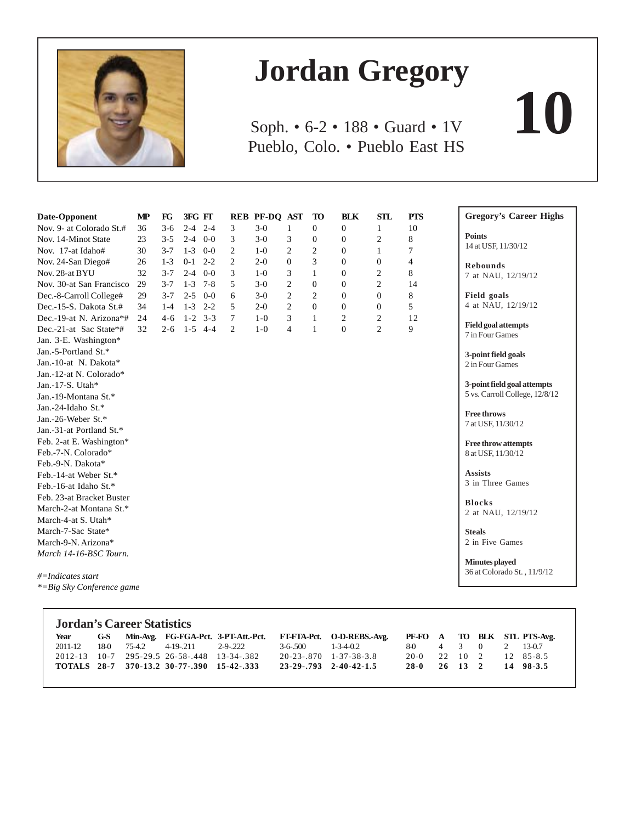

# **Jordan Gregory**

Soph. • 6-2 • 188 • Guard • 1V **10** Pueblo, Colo. • Pueblo East HS

| Date-Opponent                 | $\bf MP$ | FG      | 3FG FT             |                | REB PF-DQ AST |                | <b>TO</b>        | <b>BLK</b>     | <b>STL</b>     | <b>PTS</b> | <b>Gregory's Career Highs</b>  |
|-------------------------------|----------|---------|--------------------|----------------|---------------|----------------|------------------|----------------|----------------|------------|--------------------------------|
| Nov. 9- at Colorado St.#      | 36       | $3-6$   | $2 - 4$<br>$2 - 4$ | 3              | $3-0$         | $\mathbf{1}$   | $\mathbf{0}$     | $\overline{0}$ | 1              | 10         |                                |
| Nov. 14-Minot State           | 23       | $3 - 5$ | $0-0$<br>$2 - 4$   | 3              | $3-0$         | 3              | $\boldsymbol{0}$ | $\overline{0}$ | $\overline{c}$ | 8          | <b>Points</b>                  |
| Nov. 17-at Idaho#             | 30       | $3 - 7$ | $1 - 3$<br>$0 - 0$ | $\overline{c}$ | $1-0$         | $\overline{c}$ | $\overline{2}$   | $\theta$       | 1              | 7          | 14 at USF, 11/30/12            |
| Nov. 24-San Diego#            | 26       | $1 - 3$ | $0 - 1$<br>$2 - 2$ | $\overline{c}$ | $2-0$         | $\Omega$       | 3                | $\Omega$       | $\overline{0}$ | 4          | <b>Rebounds</b>                |
| Nov. 28-at BYU                | 32       | $3 - 7$ | $2 - 4$<br>$0-0$   | 3              | $1-0$         | 3              | $\mathbf{1}$     | $\overline{0}$ | $\overline{c}$ | 8          | 7 at NAU, 12/19/12             |
| Nov. 30-at San Francisco      | 29       | $3 - 7$ | $1 - 3$<br>$7 - 8$ | 5              | $3-0$         | $\overline{c}$ | $\mathbf{0}$     | $\theta$       | $\overline{c}$ | 14         |                                |
| Dec.-8-Carroll College#       | 29       | $3 - 7$ | $2 - 5$<br>$0-0$   | 6              | $3-0$         | $\overline{2}$ | 2                | $\Omega$       | $\Omega$       | 8          | Field goals                    |
| Dec.-15-S. Dakota St.#        | 34       | $1-4$   | $1 - 3$<br>$2 - 2$ | 5              | $2-0$         | $\overline{2}$ | $\theta$         | $\Omega$       | $\Omega$       | 5          | 4 at NAU, 12/19/12             |
| Dec.-19-at N. Arizona*#       | 24       | $4-6$   | $1 - 2$<br>$3 - 3$ | $\tau$         | $1 - 0$       | 3              | 1                | $\overline{2}$ | $\overline{c}$ | 12         |                                |
| Dec.-21-at Sac State*#        | 32       | $2 - 6$ | $1 - 5$<br>$4 - 4$ | 2              | $1-0$         | $\overline{4}$ | $\mathbf{1}$     | $\mathbf{0}$   | $\overline{2}$ | 9          | <b>Field goal attempts</b>     |
| Jan. 3-E. Washington*         |          |         |                    |                |               |                |                  |                |                |            | 7 in Four Games                |
| Jan.-5-Portland St.*          |          |         |                    |                |               |                |                  |                |                |            | 3-point field goals            |
| Jan.-10-at N. Dakota*         |          |         |                    |                |               |                |                  |                |                |            | 2 in Four Games                |
| Jan.-12-at N. Colorado*       |          |         |                    |                |               |                |                  |                |                |            |                                |
| Jan.-17-S. Utah*              |          |         |                    |                |               |                |                  |                |                |            | 3-point field goal attempts    |
| Jan.-19-Montana St.*          |          |         |                    |                |               |                |                  |                |                |            | 5 vs. Carroll College, 12/8/12 |
| Jan.-24-Idaho St.*            |          |         |                    |                |               |                |                  |                |                |            | <b>Free throws</b>             |
| Jan.-26-Weber St.*            |          |         |                    |                |               |                |                  |                |                |            | 7 at USF, 11/30/12             |
| Jan.-31-at Portland St.*      |          |         |                    |                |               |                |                  |                |                |            |                                |
| Feb. 2-at E. Washington*      |          |         |                    |                |               |                |                  |                |                |            | <b>Free throw attempts</b>     |
| Feb.-7-N. Colorado*           |          |         |                    |                |               |                |                  |                |                |            | 8 at USF, 11/30/12             |
| Feb.-9-N. Dakota*             |          |         |                    |                |               |                |                  |                |                |            |                                |
| Feb.-14-at Weber St.*         |          |         |                    |                |               |                |                  |                |                |            | <b>Assists</b>                 |
| Feb.-16-at Idaho St.*         |          |         |                    |                |               |                |                  |                |                |            | 3 in Three Games               |
| Feb. 23-at Bracket Buster     |          |         |                    |                |               |                |                  |                |                |            | <b>Blocks</b>                  |
| March-2-at Montana St.*       |          |         |                    |                |               |                |                  |                |                |            | 2 at NAU, 12/19/12             |
| March-4-at S. Utah*           |          |         |                    |                |               |                |                  |                |                |            |                                |
| March-7-Sac State*            |          |         |                    |                |               |                |                  |                |                |            | <b>Steals</b>                  |
| March-9-N. Arizona*           |          |         |                    |                |               |                |                  |                |                |            | 2 in Five Games                |
| March 14-16-BSC Tourn.        |          |         |                    |                |               |                |                  |                |                |            |                                |
|                               |          |         |                    |                |               |                |                  |                |                |            | Minutes played                 |
| $#$ =Indicates start          |          |         |                    |                |               |                |                  |                |                |            | 36 at Colorado St., 11/9/12    |
| $* = Big Sky Conference game$ |          |         |                    |                |               |                |                  |                |                |            |                                |

| <b>Jordan's Career Statistics</b> |  |  |                                             |  |  |                                                                                                |                        |  |  |  |  |  |  |
|-----------------------------------|--|--|---------------------------------------------|--|--|------------------------------------------------------------------------------------------------|------------------------|--|--|--|--|--|--|
| Year                              |  |  |                                             |  |  | G-S Min-Avg. FG-FGA-Pct. 3-PT-Att.-Pct. FT-FTA-Pct. O-D-REBS.-Avg. PF-FO A TO BLK STL PTS-Avg. |                        |  |  |  |  |  |  |
| 2011-12                           |  |  | 18-0 75-4.2 4-19-.211 2-9-.222              |  |  | $3-6-500$ 1-3-4-0.2                                                                            | 8-0 4 3 0 2 13-0.7     |  |  |  |  |  |  |
|                                   |  |  | 2012-13 10-7 295-29.5 26-58-.448 13-34-.382 |  |  | 20-23-870 1-37-38-3.8                                                                          | 20-0 22 10 2 12 85-8.5 |  |  |  |  |  |  |
|                                   |  |  | TOTALS 28-7 370-13.2 30-77-.390 15-42-.333  |  |  | 23-29-793 2-40-42-1.5                                                                          | 28-0 26 13 2 14 98-3.5 |  |  |  |  |  |  |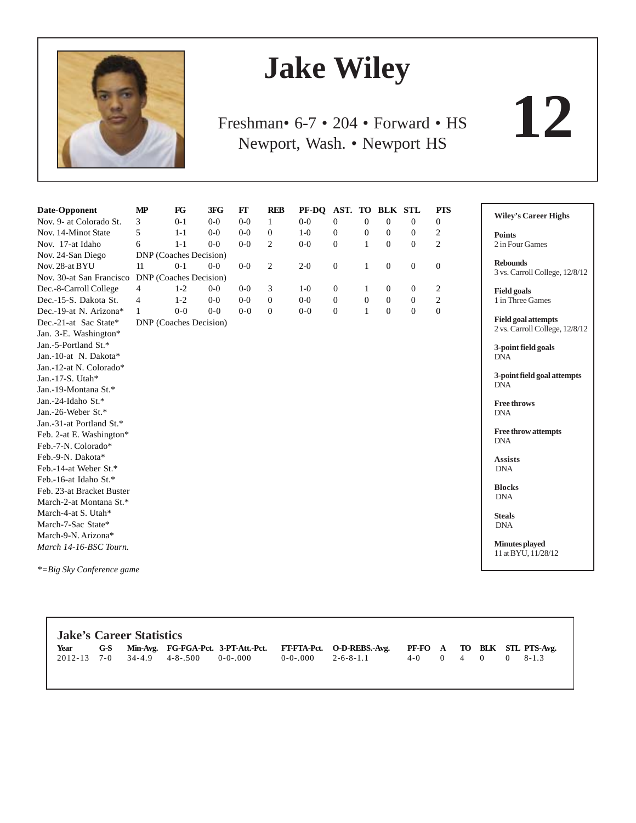

# **Jake Wiley**

Freshman• 6-7 • 204 • Forward • HS Newport, Wash. • Newport HS

**12**

| Date-Opponent             | $\mathbf{MP}$                 | FG      | 3FG     | $FT$    | <b>REB</b>       | PF-DQ   | AST. TO BLK STL  |                  |                  |                  | <b>PTS</b>       | <b>Wiley's Career Highs</b>                  |
|---------------------------|-------------------------------|---------|---------|---------|------------------|---------|------------------|------------------|------------------|------------------|------------------|----------------------------------------------|
| Nov. 9- at Colorado St.   | 3                             | $0 - 1$ | $0-0$   | $0-0$   | $\mathbf{1}$     | $0-0$   | $\Omega$         | $\overline{0}$   | $\mathbf{0}$     | $\Omega$         | $\mathbf{0}$     |                                              |
| Nov. 14-Minot State       | 5                             | $1 - 1$ | $0 - 0$ | $0-0$   | $\boldsymbol{0}$ | $1-0$   | $\boldsymbol{0}$ | $\mathbf{0}$     | $\boldsymbol{0}$ | $\boldsymbol{0}$ | 2                | <b>Points</b>                                |
| Nov. 17-at Idaho          | 6                             | $1 - 1$ | $0 - 0$ | $0-0$   | $\overline{2}$   | $0-0$   | $\mathbf{0}$     | $\mathbf{1}$     | $\Omega$         | $\Omega$         | $\overline{c}$   | 2 in Four Games                              |
| Nov. 24-San Diego         | DNP (Coaches Decision)        |         |         |         |                  |         |                  |                  |                  |                  |                  |                                              |
| Nov. 28-at BYU            | 11                            | $0-1$   | $0-0$   | $0-0$   | $\overline{2}$   | $2 - 0$ | $\mathbf{0}$     | 1                | $\overline{0}$   | $\mathbf{0}$     | $\mathbf{0}$     | <b>Rebounds</b>                              |
| Nov. 30-at San Francisco  | <b>DNP</b> (Coaches Decision) |         |         |         |                  |         |                  |                  |                  |                  |                  | 3 vs. Carroll College, 12/8/12               |
| Dec.-8-Carroll College    | 4                             | $1 - 2$ | $0-0$   | $0-0$   | 3                | $1-0$   | $\theta$         | 1                | $\mathbf{0}$     | $\overline{0}$   | $\overline{c}$   | <b>Field goals</b>                           |
| Dec.-15-S. Dakota St.     | 4                             | $1 - 2$ | $0-0$   | $0-0$   | $\overline{0}$   | $0-0$   | $\mathbf{0}$     | $\boldsymbol{0}$ | $\boldsymbol{0}$ | $\mathbf{0}$     | $\boldsymbol{2}$ | 1 in Three Games                             |
| Dec.-19-at N. Arizona*    | $\mathbf{1}$                  | $0 - 0$ | $0 - 0$ | $0 - 0$ | $\mathbf{0}$     | $0 - 0$ | $\mathbf{0}$     | $\mathbf{1}$     | $\overline{0}$   | $\mathbf{0}$     | $\overline{0}$   |                                              |
| Dec.-21-at Sac State*     | DNP (Coaches Decision)        |         |         |         |                  |         |                  |                  |                  |                  |                  | <b>Field goal attempts</b>                   |
| Jan. 3-E. Washington*     |                               |         |         |         |                  |         |                  |                  |                  |                  |                  | 2 vs. Carroll College, 12/8/12               |
| Jan.-5-Portland St.*      |                               |         |         |         |                  |         |                  |                  |                  |                  |                  | 3-point field goals                          |
| Jan.-10-at N. Dakota*     |                               |         |         |         |                  |         |                  |                  |                  |                  |                  | <b>DNA</b>                                   |
| Jan.-12-at N. Colorado*   |                               |         |         |         |                  |         |                  |                  |                  |                  |                  |                                              |
| Jan.-17-S. Utah*          |                               |         |         |         |                  |         |                  |                  |                  |                  |                  | 3-point field goal attempts<br><b>DNA</b>    |
| Jan.-19-Montana St.*      |                               |         |         |         |                  |         |                  |                  |                  |                  |                  |                                              |
| Jan.-24-Idaho St.*        |                               |         |         |         |                  |         |                  |                  |                  |                  |                  | <b>Free throws</b>                           |
| Jan.-26-Weber St.*        |                               |         |         |         |                  |         |                  |                  |                  |                  |                  | <b>DNA</b>                                   |
| Jan.-31-at Portland St.*  |                               |         |         |         |                  |         |                  |                  |                  |                  |                  |                                              |
| Feb. 2-at E. Washington*  |                               |         |         |         |                  |         |                  |                  |                  |                  |                  | <b>Free throw attempts</b><br><b>DNA</b>     |
| Feb.-7-N. Colorado*       |                               |         |         |         |                  |         |                  |                  |                  |                  |                  |                                              |
| Feb.-9-N. Dakota*         |                               |         |         |         |                  |         |                  |                  |                  |                  |                  | <b>Assists</b>                               |
| Feb.-14-at Weber St.*     |                               |         |         |         |                  |         |                  |                  |                  |                  |                  | <b>DNA</b>                                   |
| Feb.-16-at Idaho St.*     |                               |         |         |         |                  |         |                  |                  |                  |                  |                  |                                              |
| Feb. 23-at Bracket Buster |                               |         |         |         |                  |         |                  |                  |                  |                  |                  | <b>Blocks</b><br><b>DNA</b>                  |
| March-2-at Montana St.*   |                               |         |         |         |                  |         |                  |                  |                  |                  |                  |                                              |
| March-4-at S. Utah*       |                               |         |         |         |                  |         |                  |                  |                  |                  |                  | <b>Steals</b>                                |
| March-7-Sac State*        |                               |         |         |         |                  |         |                  |                  |                  |                  |                  | <b>DNA</b>                                   |
| March-9-N. Arizona*       |                               |         |         |         |                  |         |                  |                  |                  |                  |                  |                                              |
| March 14-16-BSC Tourn.    |                               |         |         |         |                  |         |                  |                  |                  |                  |                  | <b>Minutes</b> played<br>11 at BYU, 11/28/12 |

*\*=Big Sky Conference game*

| <b>Jake's Career Statistics</b> |  |  |                                        |  |  |                                                                                                |                     |  |  |  |  |  |  |
|---------------------------------|--|--|----------------------------------------|--|--|------------------------------------------------------------------------------------------------|---------------------|--|--|--|--|--|--|
| Year                            |  |  |                                        |  |  | G-S Min-Avg. FG-FGA-Pct. 3-PT-Att.-Pct. FT-FTA-Pct. O-D-REBS.-Avg. PF-FO A TO BLK STL PTS-Avg. |                     |  |  |  |  |  |  |
|                                 |  |  | $2012-13$ 7-0 34-4.9 4-8-.500 0-0-.000 |  |  | $0-0-0.000$ 2-6-8-1.1                                                                          | $4-0$ 0 4 0 0 8-1.3 |  |  |  |  |  |  |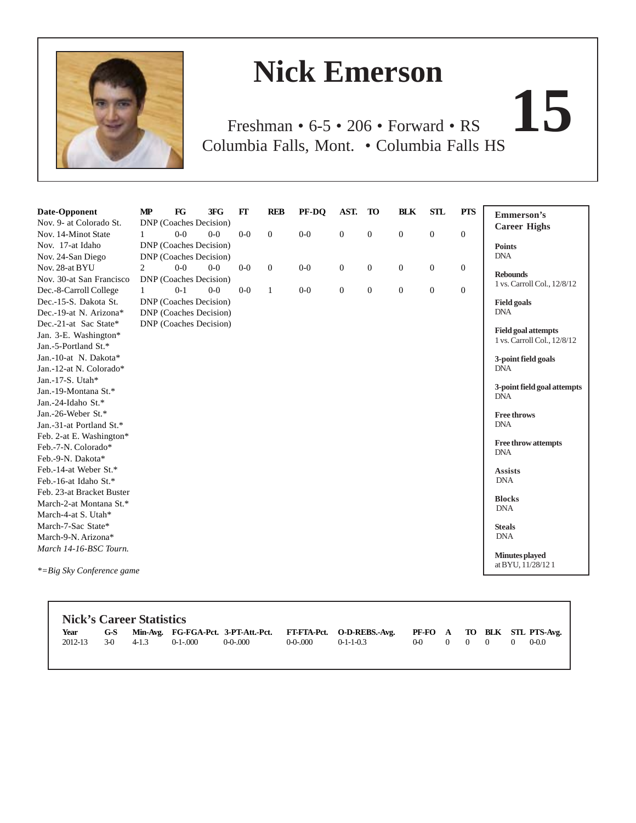

Г

# **Nick Emerson**

Freshman • 6-5 • 206 • Forward • RS **15** Columbia Falls, Mont. • Columbia Falls HS

| Date-Opponent             | $\mathbf{MP}$ | FG                     | 3FG   | $FT$    | <b>REB</b>       | PF-DO | AST.             | <b>TO</b>        | <b>BLK</b>       | <b>STL</b>       | <b>PTS</b>     | <b>Emmerson's</b>                                         |
|---------------------------|---------------|------------------------|-------|---------|------------------|-------|------------------|------------------|------------------|------------------|----------------|-----------------------------------------------------------|
| Nov. 9- at Colorado St.   |               | DNP (Coaches Decision) |       |         |                  |       |                  |                  |                  |                  |                | <b>Career Highs</b>                                       |
| Nov. 14-Minot State       | $\mathbf{1}$  | $0-0$                  | $0-0$ | $0-0$   | $\boldsymbol{0}$ | $0-0$ | $\boldsymbol{0}$ | $\boldsymbol{0}$ | $\boldsymbol{0}$ | $\boldsymbol{0}$ | $\mathbf{0}$   |                                                           |
| Nov. 17-at Idaho          |               | DNP (Coaches Decision) |       |         |                  |       |                  |                  |                  |                  |                | <b>Points</b>                                             |
| Nov. 24-San Diego         |               | DNP (Coaches Decision) |       |         |                  |       |                  |                  |                  |                  |                | <b>DNA</b>                                                |
| Nov. 28-at BYU            | 2             | $0-0$                  | $0-0$ | $0-0$   | $\mathbf{0}$     | $0-0$ | $\mathbf{0}$     | $\mathbf{0}$     | $\boldsymbol{0}$ | $\boldsymbol{0}$ | $\overline{0}$ | <b>Rebounds</b>                                           |
| Nov. 30-at San Francisco  |               | DNP (Coaches Decision) |       |         |                  |       |                  |                  |                  |                  |                | 1 vs. Carroll Col., 12/8/12                               |
| Dec.-8-Carroll College    | $\mathbf{1}$  | $0 - 1$                | $0-0$ | $0 - 0$ | $\mathbf{1}$     | $0-0$ | $\mathbf{0}$     | $\mathbf{0}$     | $\theta$         | $\mathbf{0}$     | $\overline{0}$ |                                                           |
| Dec.-15-S. Dakota St.     |               | DNP (Coaches Decision) |       |         |                  |       |                  |                  |                  |                  |                | <b>Field goals</b>                                        |
| Dec.-19-at N. Arizona*    |               | DNP (Coaches Decision) |       |         |                  |       |                  |                  |                  |                  |                | <b>DNA</b>                                                |
| Dec.-21-at Sac State*     |               | DNP (Coaches Decision) |       |         |                  |       |                  |                  |                  |                  |                |                                                           |
| Jan. 3-E. Washington*     |               |                        |       |         |                  |       |                  |                  |                  |                  |                | <b>Field goal attempts</b><br>1 vs. Carroll Col., 12/8/12 |
| Jan.-5-Portland St.*      |               |                        |       |         |                  |       |                  |                  |                  |                  |                |                                                           |
| Jan.-10-at N. Dakota*     |               |                        |       |         |                  |       |                  |                  |                  |                  |                | 3-point field goals                                       |
| Jan.-12-at N. Colorado*   |               |                        |       |         |                  |       |                  |                  |                  |                  |                | <b>DNA</b>                                                |
| Jan.-17-S. Utah*          |               |                        |       |         |                  |       |                  |                  |                  |                  |                |                                                           |
| Jan.-19-Montana St.*      |               |                        |       |         |                  |       |                  |                  |                  |                  |                | 3-point field goal attempts<br><b>DNA</b>                 |
| Jan.-24-Idaho St.*        |               |                        |       |         |                  |       |                  |                  |                  |                  |                |                                                           |
| Jan.-26-Weber St.*        |               |                        |       |         |                  |       |                  |                  |                  |                  |                | <b>Free throws</b>                                        |
| Jan.-31-at Portland St.*  |               |                        |       |         |                  |       |                  |                  |                  |                  |                | <b>DNA</b>                                                |
| Feb. 2-at E. Washington*  |               |                        |       |         |                  |       |                  |                  |                  |                  |                |                                                           |
| Feb.-7-N. Colorado*       |               |                        |       |         |                  |       |                  |                  |                  |                  |                | <b>Free throw attempts</b><br><b>DNA</b>                  |
| Feb.-9-N. Dakota*         |               |                        |       |         |                  |       |                  |                  |                  |                  |                |                                                           |
| Feb.-14-at Weber St.*     |               |                        |       |         |                  |       |                  |                  |                  |                  |                | <b>Assists</b>                                            |
| Feb.-16-at Idaho St.*     |               |                        |       |         |                  |       |                  |                  |                  |                  |                | <b>DNA</b>                                                |
| Feb. 23-at Bracket Buster |               |                        |       |         |                  |       |                  |                  |                  |                  |                |                                                           |
| March-2-at Montana St.*   |               |                        |       |         |                  |       |                  |                  |                  |                  |                | <b>Blocks</b><br><b>DNA</b>                               |
| March-4-at S. Utah*       |               |                        |       |         |                  |       |                  |                  |                  |                  |                |                                                           |
| March-7-Sac State*        |               |                        |       |         |                  |       |                  |                  |                  |                  |                | <b>Steals</b>                                             |
| March-9-N. Arizona*       |               |                        |       |         |                  |       |                  |                  |                  |                  |                | <b>DNA</b>                                                |
| March 14-16-BSC Tourn.    |               |                        |       |         |                  |       |                  |                  |                  |                  |                |                                                           |
|                           |               |                        |       |         |                  |       |                  |                  |                  |                  |                | Minutes played<br>at BYU, 11/28/121                       |
| *=Big Sky Conference game |               |                        |       |         |                  |       |                  |                  |                  |                  |                |                                                           |

|       |           |           |         |               | G-S Min-Avg. FG-FGA-Pct. 3-PT-Att.-Pct. FT-FTA-Pct. O-D-REBS.-Avg. PF-FO A TO BLK STL PTS-Avg. |  |  |  |
|-------|-----------|-----------|---------|---------------|------------------------------------------------------------------------------------------------|--|--|--|
| $3-0$ | $4 - 1.3$ | $0-1-000$ | 0-0-000 | $0 - 0 - 000$ | $0-1-1-0.3$                                                                                    |  |  |  |
|       |           |           |         |               |                                                                                                |  |  |  |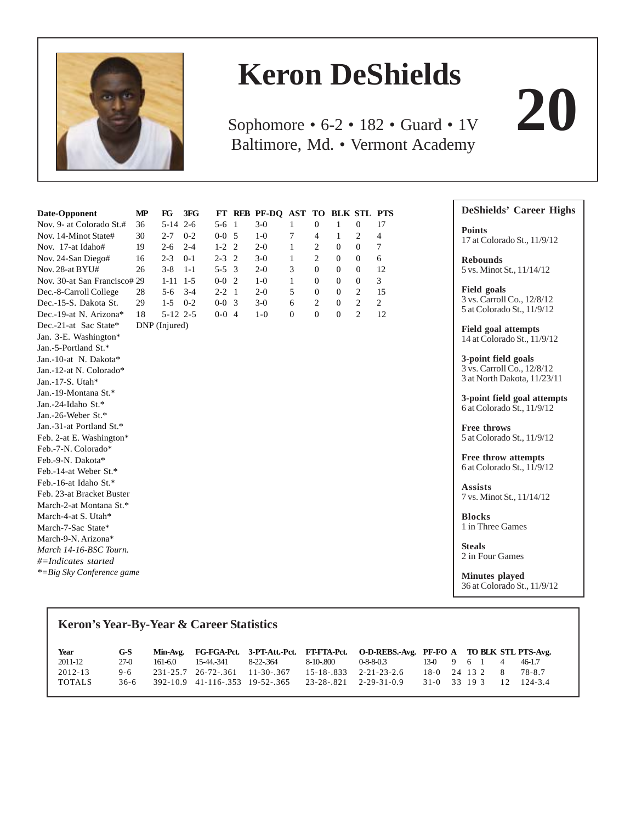

# **Keron DeShields**

Sophomore • 6-2 • 182 • Guard • 1V **20** Baltimore, Md. • Vermont Academy

| Date-Opponent                | МP            | $_{\rm FG}$ | 3FG     |             |                | FT REB PF-DQ AST TO BLK STL PTS |          |                |                  |                |                |
|------------------------------|---------------|-------------|---------|-------------|----------------|---------------------------------|----------|----------------|------------------|----------------|----------------|
| Nov. 9- at Colorado St.#     | 36            | $5 - 14$    | $2 - 6$ | $5 - 6$     | $\overline{1}$ | $3-0$                           | 1        | $\mathbf{0}$   | 1                | $\mathbf{0}$   | 17             |
| Nov. 14-Minot State#         | 30            | $2 - 7$     | $0 - 2$ | $0-0$ 5     |                | $1-0$                           | 7        | 4              | 1                | $\overline{2}$ | $\overline{4}$ |
| Nov. 17-at Idaho#            | 19            | $2 - 6$     | $2 - 4$ | $1-2$ 2     |                | $2 - 0$                         | 1        | 2              | $\boldsymbol{0}$ | $\mathbf{0}$   | $\overline{7}$ |
| Nov. 24-San Diego#           | 16            | $2 - 3$     | $0 - 1$ | $2 - 3$     | $\overline{2}$ | $3-0$                           | 1        | $\overline{c}$ | $\mathbf{0}$     | $\mathbf{0}$   | 6              |
| Nov. 28-at BYU#              | 26            | $3 - 8$     | $1 - 1$ | $5 - 5$ 3   |                | $2 - 0$                         | 3        | $\overline{0}$ | $\overline{0}$   | $\overline{0}$ | 12             |
| Nov. 30-at San Francisco# 29 |               | $1 - 11$    | $1-5$   | $0-0$       | $\overline{2}$ | $1-0$                           | 1        | $\mathbf{0}$   | $\overline{0}$   | $\overline{0}$ | 3              |
| Dec.-8-Carroll College       | 28            | $5 - 6$     | $3 - 4$ | $2 - 2 = 1$ |                | $2 - 0$                         | 5        | $\mathbf{0}$   | $\overline{0}$   | $\overline{2}$ | 15             |
| Dec.-15-S. Dakota St.        | 29            | $1 - 5$     | $0 - 2$ | $0-0$ 3     |                | $3-0$                           | 6        | $\overline{c}$ | $\overline{0}$   | $\overline{2}$ | $\overline{2}$ |
| Dec.-19-at N. Arizona*       | 18            | $5-12$ 2-5  |         | $0-0$ 4     |                | $1-0$                           | $\Omega$ | $\Omega$       | $\mathbf{0}$     | $\overline{2}$ | 12             |
| Dec.-21-at Sac State*        | DNP (Injured) |             |         |             |                |                                 |          |                |                  |                |                |
| Jan. 3-E. Washington*        |               |             |         |             |                |                                 |          |                |                  |                |                |
| Jan.-5-Portland St.*         |               |             |         |             |                |                                 |          |                |                  |                |                |
| Jan.-10-at N. Dakota*        |               |             |         |             |                |                                 |          |                |                  |                |                |
| Jan.-12-at N. Colorado*      |               |             |         |             |                |                                 |          |                |                  |                |                |
| Jan.-17-S. Utah*             |               |             |         |             |                |                                 |          |                |                  |                |                |
| Jan.-19-Montana St.*         |               |             |         |             |                |                                 |          |                |                  |                |                |
| Jan.-24-Idaho St.*           |               |             |         |             |                |                                 |          |                |                  |                |                |
| Jan.-26-Weber St.*           |               |             |         |             |                |                                 |          |                |                  |                |                |
| Jan.-31-at Portland St.*     |               |             |         |             |                |                                 |          |                |                  |                |                |
| Feb. 2-at E. Washington*     |               |             |         |             |                |                                 |          |                |                  |                |                |
| Feb.-7-N. Colorado*          |               |             |         |             |                |                                 |          |                |                  |                |                |
| Feb.-9-N. Dakota*            |               |             |         |             |                |                                 |          |                |                  |                |                |
| Feb.-14-at Weber St.*        |               |             |         |             |                |                                 |          |                |                  |                |                |
| Feb.-16-at Idaho St.*        |               |             |         |             |                |                                 |          |                |                  |                |                |
| Feb. 23-at Bracket Buster    |               |             |         |             |                |                                 |          |                |                  |                |                |
| March-2-at Montana St.*      |               |             |         |             |                |                                 |          |                |                  |                |                |
| March-4-at S. Utah*          |               |             |         |             |                |                                 |          |                |                  |                |                |
| March-7-Sac State*           |               |             |         |             |                |                                 |          |                |                  |                |                |
| March-9-N. Arizona*          |               |             |         |             |                |                                 |          |                |                  |                |                |
| March 14-16-BSC Tourn.       |               |             |         |             |                |                                 |          |                |                  |                |                |
| $#$ =Indicates started       |               |             |         |             |                |                                 |          |                |                  |                |                |
| *=Big Sky Conference game    |               |             |         |             |                |                                 |          |                |                  |                |                |
|                              |               |             |         |             |                |                                 |          |                |                  |                |                |

# **Keron's Year-By-Year & Career Statistics Year G-S Min-Avg. FG-FGA-Pct. 3-PT-Att.-Pct. FT-FTA-Pct. O-D-REBS.-Avg. PF-FO A TO BLK STL PTS-Avg.** 2011-12 27-0 161-6.0 15-44.-341 8-22-.364 8-10-.800 0-8-8-0.3 13-0 9 6 1 4 46-1.7 2012-13 9-6 231-25.7 26-72-.361 11-30-.367 15-18-.833 2-21-23-2.6 18-0 24 13 2 8 78-8.7 TOTALS 36-6 392-10.9 41-116-.353 19-52-.365 23-28-.821 2-29-31-0.9 31-0 33 19 3 12 124-3.4

# **Points** 17 at Colorado St., 11/9/12 **Rebounds** 5 vs. Minot St., 11/14/12

**DeShields' Career Highs**

**Field goals** 3 vs. Carroll Co., 12/8/12 5 at Colorado St., 11/9/12

**Field goal attempts** 14 at Colorado St., 11/9/12

**3-point field goals** 3 vs. Carroll Co., 12/8/12 3 at North Dakota, 11/23/11

**3-point field goal attempts** 6 at Colorado St., 11/9/12

**Free throws** 5 at Colorado St., 11/9/12

**Free throw attempts** 6 at Colorado St., 11/9/12

**Assists** 7 vs. Minot St., 11/14/12

**Blocks** 1 in Three Games

**Steals** 2 in Four Games

**Minutes played** 36 at Colorado St., 11/9/12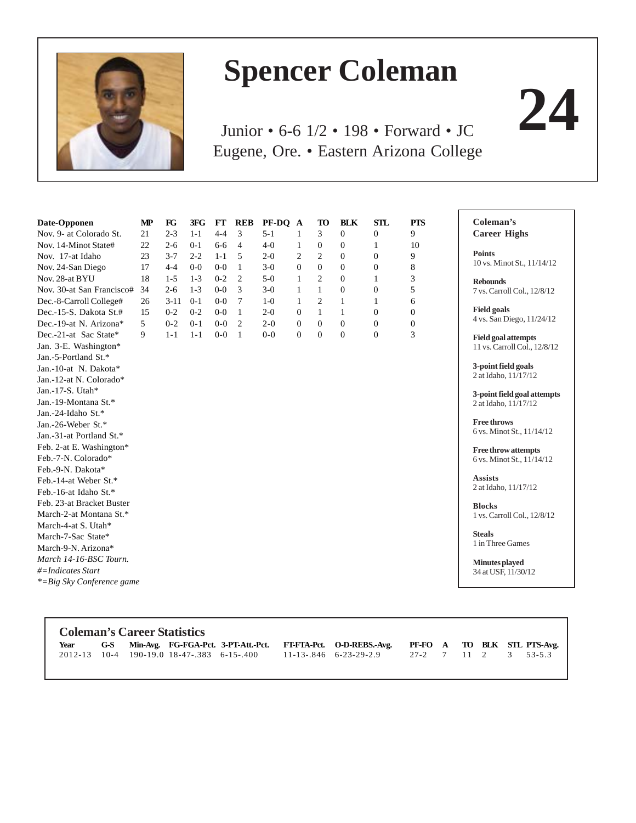

# **Spencer Coleman**

Junior • 6-6 1/2 • 198 • Forward • JC **24** Eugene, Ore. • Eastern Arizona College

| Date-Opponen              | $\bf MP$ | $_{\rm FG}$ | 3FG     | $\bf FT$ | <b>REB</b>     | PF-DQ A |              | TO               | <b>BLK</b>     | <b>STL</b>       | <b>PTS</b>     | Coleman's                    |
|---------------------------|----------|-------------|---------|----------|----------------|---------|--------------|------------------|----------------|------------------|----------------|------------------------------|
| Nov. 9- at Colorado St.   | 21       | $2 - 3$     | $1 - 1$ | $4 - 4$  | 3              | $5 - 1$ | 1            | 3                | $\Omega$       | $\boldsymbol{0}$ | 9              | <b>Career Highs</b>          |
| Nov. 14-Minot State#      | 22       | $2 - 6$     | $0 - 1$ | $6 - 6$  | $\overline{4}$ | $4-0$   | 1            | $\boldsymbol{0}$ | $\overline{0}$ | 1                | 10             |                              |
| Nov. 17-at Idaho          | 23       | $3 - 7$     | $2 - 2$ | $1 - 1$  | 5              | $2 - 0$ | 2            | $\overline{2}$   | $\mathbf{0}$   | $\boldsymbol{0}$ | 9              | <b>Points</b>                |
| Nov. 24-San Diego         | 17       | $4 - 4$     | $0 - 0$ | $0 - 0$  | 1              | $3-0$   | $\Omega$     | $\Omega$         | $\Omega$       | $\overline{0}$   | 8              | 10 vs. Minot St., 11/14/12   |
| Nov. 28-at BYU            | 18       | $1 - 5$     | $1 - 3$ | $0 - 2$  | $\overline{2}$ | $5-0$   | 1            | $\overline{c}$   | $\Omega$       | 1                | 3              | <b>Rebounds</b>              |
| Nov. 30-at San Francisco# | 34       | $2 - 6$     | $1 - 3$ | $0-0$    | 3              | $3-0$   | $\mathbf{1}$ | $\mathbf{1}$     | $\theta$       | $\mathbf{0}$     | 5              | 7 vs. Carroll Col., 12/8/12  |
| Dec.-8-Carroll College#   | 26       | $3 - 11$    | $0-1$   | $0-0$    | $\overline{7}$ | $1-0$   | 1            | $\overline{2}$   | 1              | 1                | 6              |                              |
| Dec.-15-S. Dakota St.#    | 15       | $0 - 2$     | $0 - 2$ | $0-0$    | $\mathbf{1}$   | $2 - 0$ | $\mathbf{0}$ | $\mathbf{1}$     | 1              | $\mathbf{0}$     | $\Omega$       | <b>Field goals</b>           |
| Dec.-19-at N. Arizona*    | 5        | $0 - 2$     | $0 - 1$ | $0 - 0$  | $\overline{c}$ | $2 - 0$ | $\Omega$     | $\Omega$         | $\Omega$       | $\theta$         | $\overline{0}$ | 4 vs. San Diego, 11/24/12    |
| Dec.-21-at Sac State*     | 9        | $1 - 1$     | $1 - 1$ | $0 - 0$  | 1              | $0 - 0$ | $\mathbf{0}$ | $\overline{0}$   | $\theta$       | $\overline{0}$   | 3              | <b>Field goal attempts</b>   |
| Jan. 3-E. Washington*     |          |             |         |          |                |         |              |                  |                |                  |                | 11 vs. Carroll Col., 12/8/12 |
| Jan.-5-Portland St.*      |          |             |         |          |                |         |              |                  |                |                  |                |                              |
| Jan.-10-at N. Dakota*     |          |             |         |          |                |         |              |                  |                |                  |                | 3-point field goals          |
| Jan.-12-at N. Colorado*   |          |             |         |          |                |         |              |                  |                |                  |                | 2 at Idaho, 11/17/12         |
| Jan.-17-S. Utah*          |          |             |         |          |                |         |              |                  |                |                  |                | 3-point field goal attempts  |
| Jan.-19-Montana St.*      |          |             |         |          |                |         |              |                  |                |                  |                | 2 at Idaho, 11/17/12         |
| Jan.-24-Idaho St.*        |          |             |         |          |                |         |              |                  |                |                  |                |                              |
| Jan.-26-Weber St.*        |          |             |         |          |                |         |              |                  |                |                  |                | <b>Free throws</b>           |
| Jan.-31-at Portland St.*  |          |             |         |          |                |         |              |                  |                |                  |                | 6 vs. Minot St., 11/14/12    |
| Feb. 2-at E. Washington*  |          |             |         |          |                |         |              |                  |                |                  |                | Free throw attempts          |
| Feb.-7-N. Colorado*       |          |             |         |          |                |         |              |                  |                |                  |                | 6 vs. Minot St., 11/14/12    |
| Feb.-9-N. Dakota*         |          |             |         |          |                |         |              |                  |                |                  |                |                              |
| Feb.-14-at Weber St.*     |          |             |         |          |                |         |              |                  |                |                  |                | <b>Assists</b>               |
| Feb.-16-at Idaho St.*     |          |             |         |          |                |         |              |                  |                |                  |                | 2 at Idaho, 11/17/12         |
| Feb. 23-at Bracket Buster |          |             |         |          |                |         |              |                  |                |                  |                | <b>Blocks</b>                |
| March-2-at Montana St.*   |          |             |         |          |                |         |              |                  |                |                  |                | 1 vs. Carroll Col., 12/8/12  |
| March-4-at S. Utah*       |          |             |         |          |                |         |              |                  |                |                  |                |                              |
| March-7-Sac State*        |          |             |         |          |                |         |              |                  |                |                  |                | <b>Steals</b>                |
| March-9-N. Arizona*       |          |             |         |          |                |         |              |                  |                |                  |                | 1 in Three Games             |
| March 14-16-BSC Tourn.    |          |             |         |          |                |         |              |                  |                |                  |                | <b>Minutes</b> played        |
| $# = Indicates Start$     |          |             |         |          |                |         |              |                  |                |                  |                | 34 at USF, 11/30/12          |
| *=Big Sky Conference game |          |             |         |          |                |         |              |                  |                |                  |                |                              |

|  | <b>Coleman's Career Statistics</b> | 2012-13 10-4 190-19.0 18-47-.383 6-15-.400 |  |  |  | G-S Min-Avg. FG-FGA-Pct. 3-PT-Att.-Pct. FT-FTA-Pct. O-D-REBS.-Avg. PF-FO A TO BLK STL PTS-Avg.<br>$11-13-846$ 6-23-29-2.9 27-2 7 11 2 3 53-5.3 |
|--|------------------------------------|--------------------------------------------|--|--|--|------------------------------------------------------------------------------------------------------------------------------------------------|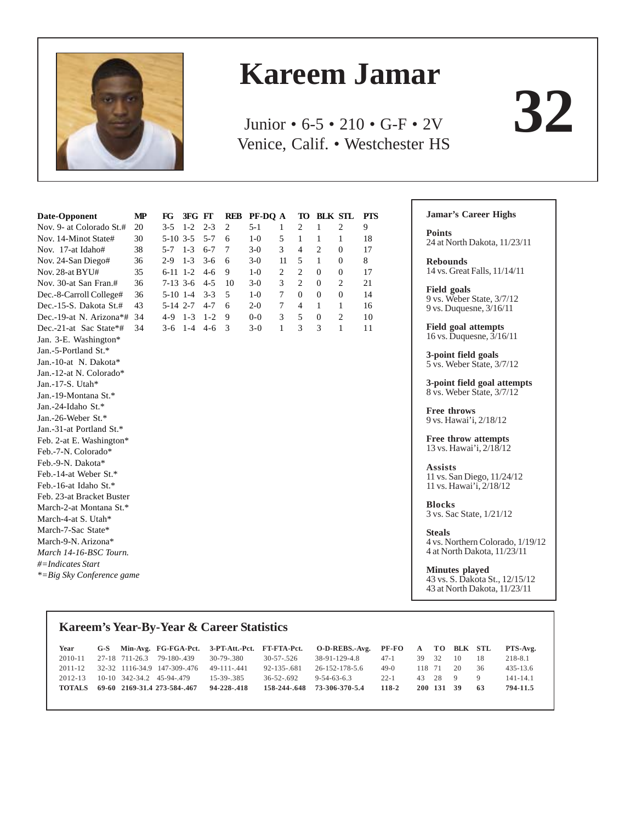

# **Kareem Jamar**

Junior • 6-5 • 210 • G-F • 2V Venice, Calif. • Westchester HS

| Date-Opponent             | МP | $_{\rm FG}$ | 3FG FT  |         |                | REB PF-DQ A |                | TO             | <b>BLK STL</b>   |                  | <b>PTS</b> |
|---------------------------|----|-------------|---------|---------|----------------|-------------|----------------|----------------|------------------|------------------|------------|
| Nov. 9- at Colorado St.#  | 20 | $3 - 5$     | $1 - 2$ | $2 - 3$ | $\overline{c}$ | $5 - 1$     | $\mathbf{1}$   | $\overline{c}$ | 1                | $\overline{c}$   | 9          |
| Nov. 14-Minot State#      | 30 | $5-10$ 3-5  |         | $5 - 7$ | 6              | $1-0$       | 5              | 1              | 1                | 1                | 18         |
| Nov. 17-at Idaho#         | 38 | $5 - 7$     | $1 - 3$ | $6 - 7$ | 7              | $3-0$       | 3              | $\overline{4}$ | $\overline{c}$   | $\boldsymbol{0}$ | 17         |
| Nov. 24-San Diego#        | 36 | $2-9$       | $1 - 3$ | $3-6$   | 6              | $3-0$       | 11             | 5              | 1                | $\theta$         | 8          |
| Nov. 28-at BYU#           | 35 | $6-11$ 1-2  |         | $4-6$   | 9              | $1-0$       | $\overline{2}$ | $\overline{c}$ | $\Omega$         | $\mathbf{0}$     | 17         |
| Nov. 30-at San Fran.#     | 36 | $7-13$ 3-6  |         | $4 - 5$ | 10             | $3-0$       | 3              | $\overline{c}$ | $\mathbf{0}$     | $\overline{c}$   | 21         |
| Dec.-8-Carroll College#   | 36 | $5-10$ 1-4  |         | $3 - 3$ | 5              | $1-0$       | 7              | $\overline{0}$ | $\mathbf{0}$     | $\overline{0}$   | 14         |
| Dec.-15-S. Dakota St.#    | 43 | 5-14 2-7    |         | $4 - 7$ | 6              | $2 - 0$     | 7              | $\overline{4}$ | 1                | $\mathbf{1}$     | 16         |
| Dec.-19-at N. Arizona*#   | 34 | $4 - 9$     | $1 - 3$ | $1 - 2$ | 9              | $0-0$       | 3              | 5              | $\boldsymbol{0}$ | 2                | 10         |
| Dec.-21-at Sac State*#    | 34 | $3-6$       | $1 - 4$ | $4-6$   | 3              | $3 - 0$     | $\mathbf{1}$   | 3              | 3                | $\mathbf{1}$     | 11         |
| Jan. 3-E. Washington*     |    |             |         |         |                |             |                |                |                  |                  |            |
| Jan.-5-Portland St.*      |    |             |         |         |                |             |                |                |                  |                  |            |
| Jan.-10-at N. Dakota*     |    |             |         |         |                |             |                |                |                  |                  |            |
| Jan.-12-at N. Colorado*   |    |             |         |         |                |             |                |                |                  |                  |            |
| Jan.-17-S. Utah*          |    |             |         |         |                |             |                |                |                  |                  |            |
| Jan.-19-Montana St.*      |    |             |         |         |                |             |                |                |                  |                  |            |
| Jan.-24-Idaho St.*        |    |             |         |         |                |             |                |                |                  |                  |            |
| Jan.-26-Weber St.*        |    |             |         |         |                |             |                |                |                  |                  |            |
| Jan.-31-at Portland St.*  |    |             |         |         |                |             |                |                |                  |                  |            |
| Feb. 2-at E. Washington*  |    |             |         |         |                |             |                |                |                  |                  |            |
| Feb.-7-N. Colorado*       |    |             |         |         |                |             |                |                |                  |                  |            |
| Feb.-9-N. Dakota*         |    |             |         |         |                |             |                |                |                  |                  |            |
| Feb.-14-at Weber St.*     |    |             |         |         |                |             |                |                |                  |                  |            |
| Feb.-16-at Idaho St.*     |    |             |         |         |                |             |                |                |                  |                  |            |
| Feb. 23-at Bracket Buster |    |             |         |         |                |             |                |                |                  |                  |            |
| March-2-at Montana St.*   |    |             |         |         |                |             |                |                |                  |                  |            |
| March-4-at S. Utah*       |    |             |         |         |                |             |                |                |                  |                  |            |
| March-7-Sac State*        |    |             |         |         |                |             |                |                |                  |                  |            |
| March-9-N. Arizona*       |    |             |         |         |                |             |                |                |                  |                  |            |
| March 14-16-BSC Tourn.    |    |             |         |         |                |             |                |                |                  |                  |            |
| #=Indicates Start         |    |             |         |         |                |             |                |                |                  |                  |            |
| *=Big Sky Conference game |    |             |         |         |                |             |                |                |                  |                  |            |

#### **Jamar's Career Highs**

г

**Points** 24 at North Dakota, 11/23/11

**32**

**Rebounds** 14 vs. Great Falls, 11/14/11

**Field goals** 9 vs. Weber State, 3/7/12 9 vs. Duquesne, 3/16/11

**Field goal attempts** 16 vs. Duquesne, 3/16/11

**3-point field goals** 5 vs. Weber State, 3/7/12

**3-point field goal attempts** 8 vs. Weber State, 3/7/12

**Free throws** 9 vs. Hawai'i, 2/18/12

**Free throw attempts** 13 vs. Hawai'i, 2/18/12

**Assists** 11 vs. San Diego, 11/24/12 11 vs. Hawai'i, 2/18/12

**Blocks** 3 vs. Sac State, 1/21/12

**Steals** 4 vs. Northern Colorado, 1/19/12 4 at North Dakota, 11/23/11

**Minutes played** 43 vs. S. Dakota St., 12/15/12 43 at North Dakota, 11/23/11

### **Kareem's Year-By-Year & Career Statistics**

| Year          |  |                                   |             |                  | G-S Min-Avg. FG-FGA-Pct. 3-PT-Att.-Pct. FT-FTA-Pct. O-D-REBS.-Avg. PF-FO A TO BLK STL |          |        |            |              |              | PTS-Avg.     |
|---------------|--|-----------------------------------|-------------|------------------|---------------------------------------------------------------------------------------|----------|--------|------------|--------------|--------------|--------------|
| $2010 - 11$   |  | 27-18 711-26.3 79-180-.439        | 30-79-380   | 30-57-526        | 38-91-129-4.8                                                                         | $47-1$   | 39     | 32         | -10          | -18          | 218-8.1      |
| $2011 - 12$   |  | 32-32 1116-34.9 147-309-.476      | 49-111-441  | $92 - 135 - 681$ | 26-152-178-5.6                                                                        | $49-0$   | 118 71 |            | $20^{\circ}$ | -36          | $435 - 13.6$ |
|               |  | 2012-13 10-10 342-34.2 45-94-.479 | 15-39-385   | $36 - 52 - 692$  | $9 - 54 - 63 - 6.3$                                                                   | $22 - 1$ |        | 43 28 9    |              | $\mathbf{Q}$ | $141 - 14.1$ |
| <b>TOTALS</b> |  | 69-60 2169-31.4 273-584-.467      | 94-228-.418 |                  | 158-244-.648 73-306-370-5.4                                                           | 118-2    |        | 200 131 39 |              | - 63         | 794-11.5     |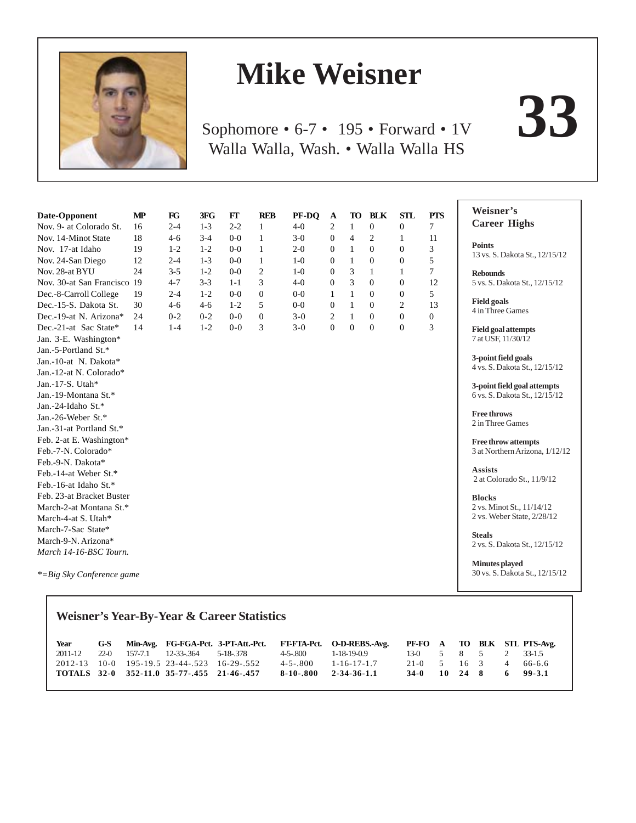

# **Mike Weisner**

Sophomore • 6-7 • 195 • Forward • 1V **33** Walla Walla, Wash. • Walla Walla HS

| Date-Opponent               | $\mathbf{MP}$ | $_{\rm FG}$ | 3FG     | FT      | <b>REB</b>     | PF-DQ   | A              | TO             | <b>BLK</b>     | <b>STL</b>     | <b>PTS</b>       | Weisner's                                               |
|-----------------------------|---------------|-------------|---------|---------|----------------|---------|----------------|----------------|----------------|----------------|------------------|---------------------------------------------------------|
| Nov. 9- at Colorado St.     | 16            | $2 - 4$     | $1 - 3$ | $2 - 2$ | 1              | $4-0$   | $\overline{c}$ | 1              | $\mathbf{0}$   | $\overline{0}$ | 7                | <b>Career Highs</b>                                     |
| Nov. 14-Minot State         | 18            | $4 - 6$     | $3 - 4$ | $0 - 0$ | $\mathbf{1}$   | $3-0$   | $\mathbf{0}$   | $\overline{4}$ | 2              | 1              | 11               |                                                         |
| Nov. 17-at Idaho            | 19            | $1 - 2$     | $1 - 2$ | $0-0$   | $\mathbf{1}$   | $2 - 0$ | $\mathbf{0}$   | $\mathbf{1}$   | $\Omega$       | $\theta$       | 3                | <b>Points</b>                                           |
| Nov. 24-San Diego           | 12            | $2 - 4$     | $1 - 3$ | $0-0$   | 1              | $1-0$   | $\mathbf{0}$   | $\mathbf{1}$   | $\overline{0}$ | $\mathbf{0}$   | 5                | 13 vs. S. Dakota St., 12/15/12                          |
| Nov. 28-at BYU              | 24            | $3 - 5$     | $1 - 2$ | $0 - 0$ | $\overline{2}$ | $1-0$   | $\mathbf{0}$   | 3              | 1              | 1              | $\overline{7}$   | <b>Rebounds</b>                                         |
| Nov. 30-at San Francisco 19 |               | $4 - 7$     | $3 - 3$ | $1 - 1$ | 3              | $4-0$   | $\mathbf{0}$   | 3              | $\Omega$       | $\Omega$       | 12               | 5 vs. S. Dakota St., 12/15/12                           |
| Dec.-8-Carroll College      | 19            | $2 - 4$     | $1 - 2$ | $0 - 0$ | $\Omega$       | $0-0$   | $\mathbf{1}$   | $\mathbf{1}$   | $\Omega$       | $\mathbf{0}$   | 5                |                                                         |
| Dec.-15-S. Dakota St.       | 30            | $4-6$       | $4 - 6$ | $1 - 2$ | 5              | $0-0$   | $\overline{0}$ | $\mathbf{1}$   | $\mathbf{0}$   | $\overline{c}$ | 13               | <b>Field goals</b><br>4 in Three Games                  |
| Dec.-19-at N. Arizona*      | 24            | $0 - 2$     | $0 - 2$ | $0 - 0$ | $\mathbf{0}$   | $3-0$   | 2              | 1              | $\Omega$       | $\mathbf{0}$   | $\boldsymbol{0}$ |                                                         |
| Dec.-21-at Sac State*       | 14            | $1 - 4$     | $1 - 2$ | $0 - 0$ | 3              | $3 - 0$ | $\overline{0}$ | $\mathbf{0}$   | $\Omega$       | $\Omega$       | 3                | <b>Field goal attempts</b>                              |
| Jan. 3-E. Washington*       |               |             |         |         |                |         |                |                |                |                |                  | 7 at USF, 11/30/12                                      |
| Jan.-5-Portland St.*        |               |             |         |         |                |         |                |                |                |                |                  |                                                         |
| Jan.-10-at N. Dakota*       |               |             |         |         |                |         |                |                |                |                |                  | 3-point field goals                                     |
| Jan.-12-at N. Colorado*     |               |             |         |         |                |         |                |                |                |                |                  | 4 vs. S. Dakota St., 12/15/12                           |
| Jan.-17-S. Utah*            |               |             |         |         |                |         |                |                |                |                |                  | 3-point field goal attempts                             |
| Jan.-19-Montana St.*        |               |             |         |         |                |         |                |                |                |                |                  | 6 vs. S. Dakota St., 12/15/12                           |
| Jan.-24-Idaho St.*          |               |             |         |         |                |         |                |                |                |                |                  |                                                         |
| Jan.-26-Weber St.*          |               |             |         |         |                |         |                |                |                |                |                  | <b>Free throws</b><br>2 in Three Games                  |
| Jan.-31-at Portland St.*    |               |             |         |         |                |         |                |                |                |                |                  |                                                         |
| Feb. 2-at E. Washington*    |               |             |         |         |                |         |                |                |                |                |                  | <b>Free throw attempts</b>                              |
| Feb.-7-N. Colorado*         |               |             |         |         |                |         |                |                |                |                |                  | 3 at Northern Arizona, 1/12/12                          |
| Feb.-9-N. Dakota*           |               |             |         |         |                |         |                |                |                |                |                  |                                                         |
| Feb.-14-at Weber St.*       |               |             |         |         |                |         |                |                |                |                |                  | <b>Assists</b>                                          |
| Feb.-16-at Idaho St.*       |               |             |         |         |                |         |                |                |                |                |                  | 2 at Colorado St., 11/9/12                              |
| Feb. 23-at Bracket Buster   |               |             |         |         |                |         |                |                |                |                |                  | <b>Blocks</b>                                           |
| March-2-at Montana St.*     |               |             |         |         |                |         |                |                |                |                |                  | 2 vs. Minot St., 11/14/12                               |
| March-4-at S. Utah*         |               |             |         |         |                |         |                |                |                |                |                  | 2 vs. Weber State, 2/28/12                              |
| March-7-Sac State*          |               |             |         |         |                |         |                |                |                |                |                  | <b>Steals</b>                                           |
| March-9-N. Arizona*         |               |             |         |         |                |         |                |                |                |                |                  | 2 vs. S. Dakota St., 12/15/12                           |
| March 14-16-BSC Tourn.      |               |             |         |         |                |         |                |                |                |                |                  |                                                         |
| *=Big Sky Conference game   |               |             |         |         |                |         |                |                |                |                |                  | <b>Minutes</b> played<br>30 vs. S. Dakota St., 12/15/12 |

# **Weisner's Year-By-Year & Career Statistics**

| Year |  |                                             |                            | G-S Min-Avg. FG-FGA-Pct. 3-PT-Att.-Pct. FT-FTA-Pct. O-D-REBS.-Avg. PF-FO A TO BLK STL PTS-Avg. |                         |  |  |  |
|------|--|---------------------------------------------|----------------------------|------------------------------------------------------------------------------------------------|-------------------------|--|--|--|
|      |  | 2011-12 22-0 157-7.1 12-33-.364 5-18-.378   |                            | 4-5-800 1-18-19-0.9                                                                            | 13-0 5 8 5 2 33-1.5     |  |  |  |
|      |  | 2012-13 10-0 195-19.5 23-44-.523 16-29-.552 | $4 - 5 - 800$              | $1 - 16 - 17 - 1.7$                                                                            | $21-0$ 5 16 3 4 66-6.6  |  |  |  |
|      |  | TOTALS 32-0 352-11.0 35-77-.455 21-46-.457  | $8-10-0.800$ $2-34-36-1.1$ |                                                                                                | $34-0$ 10 24 8 6 99-3.1 |  |  |  |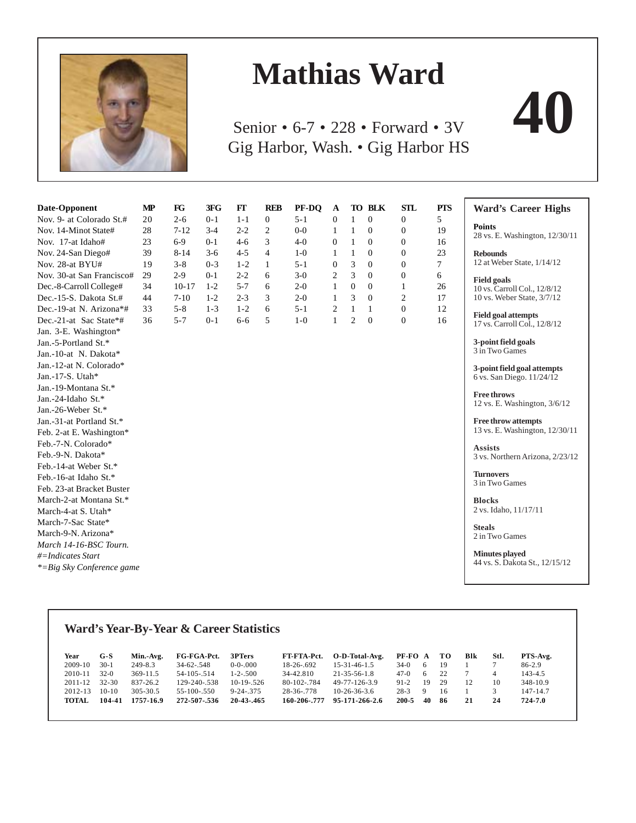

# **Mathias Ward**

Senior • 6-7 • 228 • Forward • 3V **40** Gig Harbor, Wash. • Gig Harbor HS



# **Ward's Year-By-Year & Career Statistics**

| Year<br>$2009-10$<br>2010-11<br>$2011 - 12$ | $G-S$<br>$30-1$<br>$32-0$<br>32-30 | Min.-Avg.<br>$249 - 8.3$<br>$369 - 11.5$<br>837-26.2 | FG-FGA-Pct.<br>$34 - 62 - 548$<br>$54 - 105 - 514$<br>129-240-.538 | 3PTers<br>$0-0-0.000$<br>$1 - 2 - 500$<br>$10-19-526$ | FT-FTA-Pct.<br>$18-26-692$<br>34-42.810<br>80-102-.784 | O-D-Total-Avg.<br>$15 - 31 - 46 - 1.5$<br>21-35-56-1.8<br>49-77-126-3.9 | PF-FO A<br>$34-0$<br>$47-0$<br>$91-2$ | - 6 -<br>- 6<br>19 | TО<br>-19<br>22<br>29 | Blk<br>12 | Stl.<br>10 | PTS-Avg.<br>86-2.9<br>143-4.5<br>348-10.9 |
|---------------------------------------------|------------------------------------|------------------------------------------------------|--------------------------------------------------------------------|-------------------------------------------------------|--------------------------------------------------------|-------------------------------------------------------------------------|---------------------------------------|--------------------|-----------------------|-----------|------------|-------------------------------------------|
| $2012 - 13$                                 | $10-10$                            | 305-30.5                                             | $55-100-550$                                                       | $9 - 24 - 375$                                        | 28-36-.778                                             | $10-26-36-3.6$                                                          | $28-3$                                | $\Omega$           | 16                    |           |            | $147 - 14.7$                              |
| <b>TOTAL</b>                                | 104-41                             | 1757-16.9                                            | 272-507-.536                                                       | $20 - 43 - 465$                                       | 160-206-.777                                           | 95-171-266-2.6                                                          | 200-5                                 | 40                 | -86                   | 21        | 24         | 724-7.0                                   |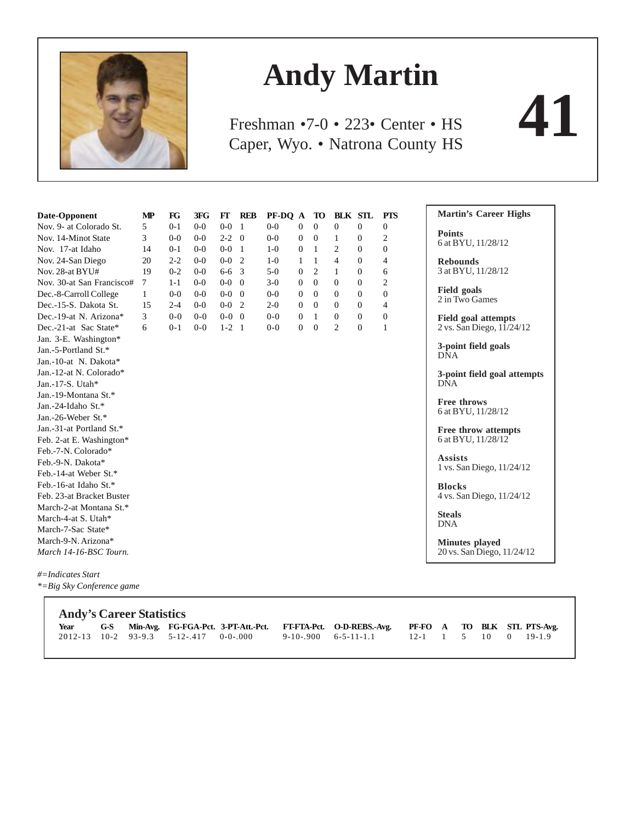

# **Andy Martin**

Caper, Wyo. • Natrona County HS Freshman •7-0 • 223• Center • HS

| Date-Opponent                                               | MP | $_{\rm FG}$ | 3FG     | FГ          | <b>REB</b> | PF-DQ A |                | TO             | <b>BLK STL</b> |                | <b>PTS</b>     | <b>Martin's Career Highs</b>                |
|-------------------------------------------------------------|----|-------------|---------|-------------|------------|---------|----------------|----------------|----------------|----------------|----------------|---------------------------------------------|
| Nov. 9- at Colorado St.                                     | 5  | $0 - 1$     | $0-0$   | $0-0$       | -1         | $0 - 0$ | $\mathbf{0}$   | $\mathbf{0}$   | $\mathbf{0}$   | $\mathbf{0}$   | $\overline{0}$ |                                             |
| Nov. 14-Minot State                                         | 3  | $0-0$       | $0-0$   | $2 - 2 = 0$ |            | $0-0$   | $\mathbf{0}$   | $\theta$       | 1              | $\overline{0}$ | 2              | <b>Points</b><br>6 at BYU, 11/28/12         |
| Nov. 17-at Idaho                                            | 14 | $0-1$       | $0 - 0$ | $0-0$ 1     |            | $1-0$   | $\mathbf{0}$   | 1              | 2              | $\Omega$       | $\Omega$       |                                             |
| Nov. 24-San Diego                                           | 20 | $2 - 2$     | $0-0$   | $0-0$       | 2          | $1-0$   | 1              | $\mathbf{1}$   | $\overline{4}$ | $\overline{0}$ | 4              | <b>Rebounds</b>                             |
| Nov. 28-at BYU#                                             | 19 | $0 - 2$     | $0-0$   | $6 - 6 = 3$ |            | $5-0$   | $\mathbf{0}$   | $\overline{2}$ | $\mathbf{1}$   | $\mathbf{0}$   | 6              | 3 at BYU, 11/28/12                          |
| Nov. 30-at San Francisco#                                   | 7  | $1 - 1$     | $0 - 0$ | $0 - 0$     |            | $3-0$   | $\Omega$       | $\Omega$       | $\Omega$       | $\Omega$       | $\overline{c}$ |                                             |
| Dec.-8-Carroll College                                      | 1  | $0-0$       | $0-0$   | $0-0$ 0     |            | $0-0$   | $\mathbf{0}$   | $\overline{0}$ | $\theta$       | $\overline{0}$ | $\overline{0}$ | <b>Field goals</b><br>2 in Two Games        |
| Dec.-15-S. Dakota St.                                       | 15 | $2 - 4$     | $0-0$   | $0-0$       | 2          | $2 - 0$ | $\mathbf{0}$   | $\mathbf{0}$   | $\overline{0}$ | $\mathbf{0}$   | 4              |                                             |
| Dec.-19-at N. Arizona*                                      | 3  | $0 - 0$     | $0-0$   | $0 - 0$ 0   |            | $0 - 0$ | $\Omega$       | $\mathbf{1}$   | $\overline{0}$ | $\Omega$       | $\mathbf{0}$   | <b>Field goal attempts</b>                  |
| Dec.-21-at Sac State*                                       | 6  | $0 - 1$     | $0 - 0$ | $1-2$ 1     |            | $0-0$   | $\overline{0}$ | $\overline{0}$ | $\overline{c}$ | $\mathbf{0}$   | 1              | 2 vs. San Diego, 11/24/12                   |
| Jan. 3-E. Washington*                                       |    |             |         |             |            |         |                |                |                |                |                |                                             |
| Jan.-5-Portland St.*                                        |    |             |         |             |            |         |                |                |                |                |                | 3-point field goals<br><b>DNA</b>           |
| Jan.-10-at N. Dakota*                                       |    |             |         |             |            |         |                |                |                |                |                |                                             |
| Jan.-12-at N. Colorado*                                     |    |             |         |             |            |         |                |                |                |                |                | 3-point field goal attempts                 |
| Jan.-17-S. Utah*                                            |    |             |         |             |            |         |                |                |                |                |                | <b>DNA</b>                                  |
| Jan.-19-Montana St.*                                        |    |             |         |             |            |         |                |                |                |                |                |                                             |
| Jan.-24-Idaho St.*                                          |    |             |         |             |            |         |                |                |                |                |                | <b>Free throws</b><br>6 at BYU, 11/28/12    |
| Jan.-26-Weber St.*                                          |    |             |         |             |            |         |                |                |                |                |                |                                             |
| Jan.-31-at Portland St.*                                    |    |             |         |             |            |         |                |                |                |                |                | Free throw attempts                         |
| Feb. 2-at E. Washington*                                    |    |             |         |             |            |         |                |                |                |                |                | 6 at BYU, 11/28/12                          |
| Feb.-7-N. Colorado*                                         |    |             |         |             |            |         |                |                |                |                |                |                                             |
| Feb.-9-N. Dakota*                                           |    |             |         |             |            |         |                |                |                |                |                | <b>Assists</b><br>1 vs. San Diego, 11/24/12 |
| Feb.-14-at Weber St.*                                       |    |             |         |             |            |         |                |                |                |                |                |                                             |
| Feb.-16-at Idaho St.*                                       |    |             |         |             |            |         |                |                |                |                |                | <b>Blocks</b>                               |
| Feb. 23-at Bracket Buster                                   |    |             |         |             |            |         |                |                |                |                |                | 4 vs. San Diego, 11/24/12                   |
| March-2-at Montana St.*                                     |    |             |         |             |            |         |                |                |                |                |                |                                             |
| March-4-at S. Utah*                                         |    |             |         |             |            |         |                |                |                |                |                | <b>Steals</b><br><b>DNA</b>                 |
| March-7-Sac State*                                          |    |             |         |             |            |         |                |                |                |                |                |                                             |
| March-9-N. Arizona*                                         |    |             |         |             |            |         |                |                |                |                |                | <b>Minutes played</b>                       |
| March 14-16-BSC Tourn.                                      |    |             |         |             |            |         |                |                |                |                |                | 20 vs. San Diego, 11/24/12                  |
| $\mu$ $\mathbf{L}$ , $\mathbf{L}$ $\mathbf{L}$ $\mathbf{L}$ |    |             |         |             |            |         |                |                |                |                |                |                                             |

*#=Indicates Start \*=Big Sky Conference game*

|  | <b>Andy's Career Statistics</b> |                                          |  |                                                                                                     |  |  |  |
|--|---------------------------------|------------------------------------------|--|-----------------------------------------------------------------------------------------------------|--|--|--|
|  |                                 |                                          |  | Year G-S Min-Avg. FG-FGA-Pct. 3-PT-Att.-Pct. FT-FTA-Pct. O-D-REBS.-Avg. PF-FO A TO BLK STL PTS-Avg. |  |  |  |
|  |                                 | $2012-13$ 10-2 93-9.3 5-12-.417 0-0-.000 |  | $9-10-900$ 6-5-11-1.1 12-1 1 5 10 0 19-1.9                                                          |  |  |  |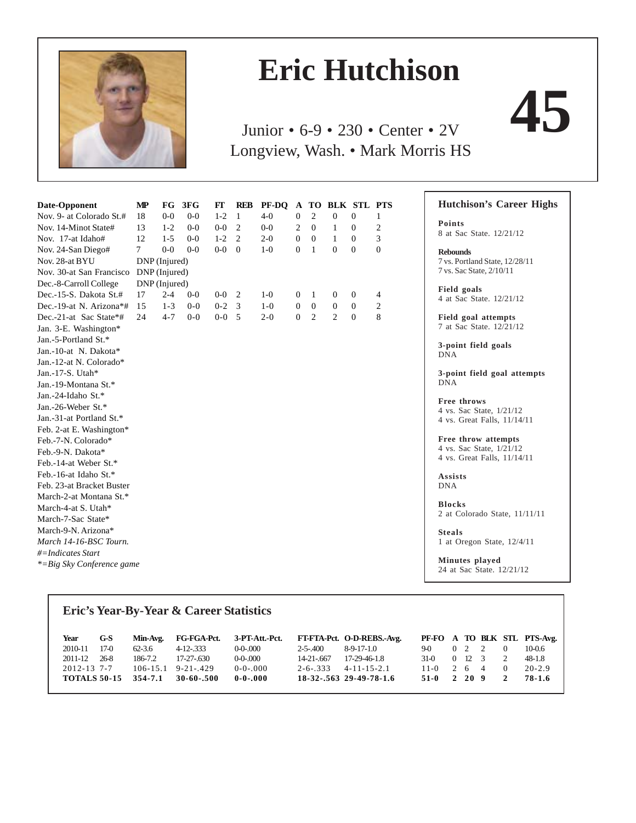

# **Eric Hutchison**

Junior • 6-9 • 230 • Center • 2V Longview, Wash. • Mark Morris HS

| Date-Opponent                 | MP     |               | FG 3FG  | FT      | <b>REB</b>     | PF-DO   |                  |                |                | A TO BLK STL PTS |                |
|-------------------------------|--------|---------------|---------|---------|----------------|---------|------------------|----------------|----------------|------------------|----------------|
| Nov. 9- at Colorado St.#      | 18     | $0-0$         | $0 - 0$ | $1 - 2$ | 1              | $4 - 0$ | $\boldsymbol{0}$ | $\overline{2}$ | $\overline{0}$ | $\mathbf{0}$     | 1              |
| Nov. 14-Minot State#          | 13     | $1 - 2$       | $0-0$   | $0-0$   | $\overline{2}$ | $0-0$   | $\overline{c}$   | $\mathbf{0}$   | 1              | $\mathbf{0}$     | $\overline{c}$ |
| Nov. 17-at Idaho#             | 12     | $1 - 5$       | $0-0$   | $1 - 2$ | 2              | $2 - 0$ | $\mathbf{0}$     | $\mathbf{0}$   | 1              | $\Omega$         | 3              |
| Nov. 24-San Diego#            | $\tau$ | $0 - 0$       | $0 - 0$ | $0-0$   | $\mathbf{0}$   | $1-0$   | $\mathbf{0}$     | 1              | $\theta$       | $\theta$         | $\overline{0}$ |
| Nov. 28-at BYU                |        | DNP (Injured) |         |         |                |         |                  |                |                |                  |                |
| Nov. 30-at San Francisco      |        | DNP (Injured) |         |         |                |         |                  |                |                |                  |                |
| Dec.-8-Carroll College        |        | DNP (Injured) |         |         |                |         |                  |                |                |                  |                |
| Dec.-15-S. Dakota St.#        | 17     | $2 - 4$       | $0 - 0$ | $0-0$   | 2              | $1-0$   | $\overline{0}$   | $\mathbf{1}$   | $\Omega$       | $\Omega$         | 4              |
| Dec.-19-at N. Arizona*#       | 15     | $1 - 3$       | $0 - 0$ | $0 - 2$ | 3              | $1-0$   | $\boldsymbol{0}$ | $\mathbf{0}$   | $\mathbf{0}$   | $\Omega$         | 2              |
| Dec.-21-at Sac State*#        | 24     | $4 - 7$       | $0 - 0$ | $0-0$   | 5              | $2 - 0$ | $\mathbf{0}$     | 2              | $\overline{c}$ | $\mathbf{0}$     | 8              |
| Jan. 3-E. Washington*         |        |               |         |         |                |         |                  |                |                |                  |                |
| Jan.-5-Portland St.*          |        |               |         |         |                |         |                  |                |                |                  |                |
| Jan.-10-at N. Dakota*         |        |               |         |         |                |         |                  |                |                |                  |                |
| Jan.-12-at N. Colorado*       |        |               |         |         |                |         |                  |                |                |                  |                |
| Jan.-17-S. Utah*              |        |               |         |         |                |         |                  |                |                |                  |                |
| Jan.-19-Montana St.*          |        |               |         |         |                |         |                  |                |                |                  |                |
| Jan.-24-Idaho St.*            |        |               |         |         |                |         |                  |                |                |                  |                |
| Jan.-26-Weber St.*            |        |               |         |         |                |         |                  |                |                |                  |                |
| Jan.-31-at Portland St.*      |        |               |         |         |                |         |                  |                |                |                  |                |
| Feb. 2-at E. Washington*      |        |               |         |         |                |         |                  |                |                |                  |                |
| Feb.-7-N. Colorado*           |        |               |         |         |                |         |                  |                |                |                  |                |
| Feb.-9-N. Dakota*             |        |               |         |         |                |         |                  |                |                |                  |                |
| Feb.-14-at Weber St.*         |        |               |         |         |                |         |                  |                |                |                  |                |
| Feb.-16-at Idaho St.*         |        |               |         |         |                |         |                  |                |                |                  |                |
| Feb. 23-at Bracket Buster     |        |               |         |         |                |         |                  |                |                |                  |                |
| March-2-at Montana St.*       |        |               |         |         |                |         |                  |                |                |                  |                |
| March-4-at S. Utah*           |        |               |         |         |                |         |                  |                |                |                  |                |
| March-7-Sac State*            |        |               |         |         |                |         |                  |                |                |                  |                |
| March-9-N. Arizona*           |        |               |         |         |                |         |                  |                |                |                  |                |
| March 14-16-BSC Tourn.        |        |               |         |         |                |         |                  |                |                |                  |                |
| #=Indicates Start             |        |               |         |         |                |         |                  |                |                |                  |                |
| $* = Big Sky Conference game$ |        |               |         |         |                |         |                  |                |                |                  |                |

## **Hutchison's Career Highs**

**Points** 8 at Sac State. 12/21/12

**Rebounds** 7 vs. Portland State, 12/28/11 7 vs. Sac State, 2/10/11

**Field goals** 4 at Sac State. 12/21/12

**Field goal attempts** 7 at Sac State. 12/21/12

**3-point field goals** DNA

**3-point field goal attempts** DNA

**Free throws** 4 vs. Sac State, 1/21/12 4 vs. Great Falls, 11/14/11

**Free throw attempts** 4 vs. Sac State, 1/21/12 4 vs. Great Falls, 11/14/11

**Assists** DNA

**Blocks** 2 at Colorado State, 11/11/11

**Steals** 1 at Oregon State, 12/4/11

**Minutes played** 24 at Sac State. 12/21/12

# **Eric's Year-By-Year & Career Statistics Year G-S Min-Avg. FG-FGA-Pct. 3-PT-Att.-Pct. FT-FTA-Pct. O-D-REBS.-Avg. PF-FO A TO BLK STL PTS-Avg.** 2010-11 17-0 62-3.6 4-12-.333 0-0-.000 2-5-.400 8-9-17-1.0 9-0 0 2 2 0 10-0.6 2011-12 26-8 186-7.2 17-27-.630 0-0-.000 14-21-.667 17-29-46-1.8 31-0 0 12 3 2 48-1.8<br>2012-13 7-7 106-15.1 9-21-.429 0-0-.000 2-6-.333 4-11-15-2.1 11-0 2 6 4 0 20-2.9 106-15.1 9-21-.429 0-0-.000 2-6-.333 4-11-15-2.1 11-0 2 6 4 0 20-2.9<br>354-7.1 30-60-.500 0-0-.000 18-32-.563 29-49-78-1.6 51-0 2 20 9 2 78-1.6 **TOTALS 50-15 354-7.1 30-60-.500 0-0-.000 18-32-.563 29-49-78-1.6 51-0 2 20 9 2 78-1.6**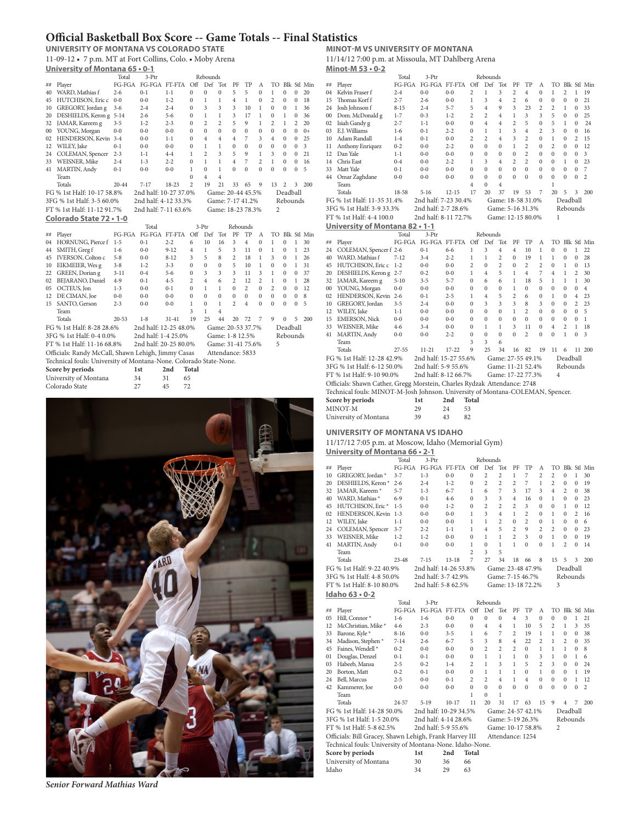## **Official Basketball Box Score -- Game Totals -- Final Statistics**

**UNIVERSITY OF MONTANA VS COLORADO STATE** 11-09-12 • 7 p.m. MT at Fort Collins, Colo. • Moby Arena **University of Montana 65 • 0-1**

|         |                                                                   | Total     | 3-Ptr                 |           |                | Rebounds       |                   |                |                |                |                |                |                |                         |
|---------|-------------------------------------------------------------------|-----------|-----------------------|-----------|----------------|----------------|-------------------|----------------|----------------|----------------|----------------|----------------|----------------|-------------------------|
| ##      | Player                                                            | FG-FGA    | FG-FGA FT-FTA         |           | Off            | Def            | Tot               | PF             | TP             | А              | TО             |                |                | Blk Stl Min             |
| 40      | WARD, Mathias f                                                   | $2 - 6$   | $0 - 1$               | $1 - 1$   | $\mathbf{0}$   | $\mathbf{0}$   | $\mathbf{0}$      | 5              | 5              | $\mathbf{0}$   | $\mathbf{1}$   | $\overline{0}$ | $\mathbf{0}$   | 20                      |
| 45      | HUTCHISON, Eric c                                                 | $0-0$     | $0-0$                 | $1 - 2$   | $\Omega$       | 1              | 1                 | $\overline{4}$ | $\mathbf{1}$   | $\theta$       | $\overline{c}$ | $\theta$       | $\Omega$       | 18                      |
| 10      | GREGORY, Jordan g                                                 | $3-6$     | $2 - 4$               | $2 - 4$   | $\mathbf{0}$   | 3              | 3                 | 3              | 10             | 1              | $\mathbf{0}$   | $\mathbf{0}$   | 1              | 36                      |
| 20      | DESHIELDS, Keron g 5-14                                           |           | $2 - 6$               | $5 - 6$   | $\mathbf{0}$   | $\mathbf{1}$   | $\mathbf{1}$      | 3              | 17             | 1              | $\mathbf{0}$   | 1              | $\theta$       | 36                      |
| 32      | JAMAR, Kareem g                                                   | $3 - 5$   | $1 - 2$               | $2 - 3$   | $\theta$       | $\overline{c}$ | $\overline{c}$    | 5              | 9              | 1              | $\overline{c}$ | 1              | $\overline{c}$ | 20                      |
| $^{00}$ | YOUNG, Morgan                                                     | $0 - 0$   | $0-0$                 | $0 - 0$   | $\Omega$       | $\Omega$       | $\Omega$          | $\theta$       | $\theta$       | $\overline{0}$ | $\theta$       | $\theta$       | $\theta$       | $0+$                    |
| 02      | HENDERSON, Kevin 3-4                                              |           | $0 - 0$               | $1 - 1$   | $\Omega$       | 4              | $\overline{4}$    | $\overline{4}$ | 7              | 3              | 4              | $\Omega$       | $\Omega$       | 25                      |
| 12      | WILEY, Jake                                                       | $0 - 1$   | $0 - 0$               | $0 - 0$   | $\bf{0}$       | $\mathbf{1}$   | 1                 | $\theta$       | $\theta$       | $\theta$       | $\mathbf{0}$   | $\Omega$       | $\theta$       | $\overline{\mathbf{3}}$ |
| 24      | COLEMAN, Spencer                                                  | $2 - 3$   | $1 - 1$               | $4 - 4$   | $\mathbf{1}$   | $\overline{2}$ | 3                 | 5              | $\mathsf{Q}$   | 1              | 3              | $\Omega$       | $\theta$       | 21                      |
| 33      | WEISNER, Mike                                                     | $2 - 4$   | $1 - 3$               | $2 - 2$   | $\theta$       | 1              | 1                 | $\overline{4}$ | $\overline{7}$ | $\overline{a}$ | $\mathbf{1}$   | $\theta$       | $\theta$       | 16                      |
| 41      | MARTIN, Andy                                                      | $0 - 1$   | $0 - 0$               | $0 - 0$   | $\mathbf{1}$   | $\Omega$       | 1                 | $\theta$       | $\theta$       | $\Omega$       | $\Omega$       | $\theta$       | $\theta$       | 5                       |
|         | Team                                                              |           |                       |           | $\mathbf{0}$   | $\overline{4}$ | $\overline{4}$    |                |                |                |                |                |                |                         |
|         | Totals                                                            | $20 - 44$ | $7 - 17$              | 18-23     | $\overline{2}$ | 19             | 21                | 33             | 65             | $\mathbf Q$    | 13             | $\overline{c}$ | 3              | 200                     |
|         | FG % 1st Half: 10-17 58.8%                                        |           | 2nd half: 10-27 37.0% |           |                |                | Game: 20-44 45.5% |                |                |                |                | Deadball       |                |                         |
|         | 3FG % 1st Half: 3-5 60.0%                                         |           | 2nd half: 4-12 33.3%  |           |                |                | Game: 7-17 41.2%  |                |                |                |                | Rebounds       |                |                         |
|         | FT % 1st Half: 11-12 91.7%                                        |           | 2nd half: 7-11 63.6%  |           |                |                | Game: 18-23 78.3% |                |                |                | $\overline{2}$ |                |                |                         |
|         | Colorado State 72 . 1-0                                           |           |                       |           |                |                |                   |                |                |                |                |                |                |                         |
|         |                                                                   |           | Total                 |           |                | $3-Phr$        |                   | Rebounds       |                |                |                |                |                |                         |
| ##      | Player                                                            | FG-FGA    | FG-FGA FT-FTA         |           | Off            | Def            | Tot               | PF             | TP             | A              | TO             |                |                | Blk Stl Min             |
| 04      | HORNUNG, Pierce f                                                 | $1 - 5$   | $0 - 1$               | $2 - 2$   | 6              | 10             | 16                | 3              | $\overline{4}$ | $\theta$       | 1              | $\overline{0}$ | $\mathbf{1}$   | 30                      |
| 44      | SMITH, Greg f                                                     | $1-6$     | $0 - 0$               | $9 - 12$  | $\overline{4}$ | 1              | 5                 | 3              | 11             | $\theta$       | $\mathbf{1}$   | $\Omega$       | 1              | 23                      |
| 45      | IVERSON, Colton c                                                 | $5 - 8$   | $0 - 0$               | $8 - 12$  | 3              | 5              | 8                 | $\overline{c}$ | 18             | 1              | 3              | $\Omega$       | $\mathbf{1}$   | 26                      |
| 10      | EIKMEIER, Wes g                                                   | $3 - 8$   | $1 - 2$               | $3 - 3$   | $\mathbf{0}$   | $\mathbf{0}$   | $\mathbf{0}$      | 5              | 10             | 1              | $\mathbf{0}$   | $\mathbf{0}$   | $\mathbf{1}$   | 31                      |
| 22      | GREEN, Dorian g                                                   | $3 - 11$  | $0 - 4$               | $5 - 6$   | $\mathbf{0}$   | 3              | 3                 | 3              | 11             | 3              | $\mathbf{1}$   | $\mathbf{0}$   | $\mathbf{0}$   | 37                      |
| 02      | BEJARANO, Daniel                                                  | $4 - 9$   | $0 - 1$               | $4 - 5$   | $\overline{c}$ | $\overline{4}$ | 6                 | $\overline{c}$ | 12             | $\overline{c}$ | $\mathbf{1}$   | $\Omega$       | 1              | 28                      |
| 05      | OCTEUS, Jon                                                       | $1 - 3$   | $0 - 0$               | $0 - 1$   | $\mathbf{0}$   | 1              | 1                 | $\theta$       | $\overline{2}$ | $\theta$       | $\overline{a}$ | $\Omega$       | $\theta$       | 12                      |
| 12      | DE CIMAN, Joe                                                     | $0 - 0$   | $0 - 0$               | $0 - 0$   | $\theta$       | $\Omega$       | $\theta$          | $\theta$       | $\theta$       | $\overline{0}$ | $\Omega$       | $\theta$       | $\theta$       | 8                       |
| 15      | SANTO, Gerson                                                     | $2 - 3$   | $0 - 0$               | $0 - 0$   | $\mathbf{1}$   | $\Omega$       | 1                 | $\overline{c}$ | $\overline{4}$ | $\theta$       | $\theta$       | $\theta$       | $\theta$       | 5                       |
|         | Team                                                              |           |                       |           | 3              | 1              | $\overline{4}$    |                |                |                |                |                |                |                         |
|         | Totals                                                            | $20 - 53$ | $1 - 8$               | $31 - 41$ | 19             | 25             | 44                | 20             | 72             | 7              | 9              | $\theta$       | 5              | 200                     |
|         | FG % 1st Half: 8-28 28.6%                                         |           | 2nd half: 12-25 48.0% |           |                |                | Game: 20-53 37.7% |                |                |                |                | Deadball       |                |                         |
|         | 3FG % 1st Half: 0-4 0.0%                                          |           | 2nd half: 1-4 25.0%   |           |                |                | Game: 1-8 12.5%   |                |                |                |                | Rebounds       |                |                         |
|         |                                                                   |           |                       |           |                |                |                   |                |                |                |                |                |                |                         |
|         | FT % 1st Half: 11-16 68.8%                                        |           | 2nd half: 20-25 80.0% |           |                |                | Game: 31-41 75.6% |                |                |                | 5              |                |                |                         |
|         | Officials: Randy McCall, Shawn Lehigh, Jimmy Casas                |           |                       |           |                |                | Attendance: 5833  |                |                |                |                |                |                |                         |
|         | Technical fouls: University of Montana-None. Colorado State-None. |           |                       |           |                |                |                   |                |                |                |                |                |                |                         |
|         | Score by periods                                                  |           | 1st                   | 2nd       | Total          |                |                   |                |                |                |                |                |                |                         |
|         | University of Montana                                             |           | 34                    | 31        | 65             |                |                   |                |                |                |                |                |                |                         |
|         | Colorado State                                                    | 27        |                       | 45        | 72             |                |                   |                |                |                |                |                |                |                         |
|         |                                                                   |           |                       |           |                |                |                   |                |                |                |                |                |                |                         |



# **MINOT-M VS UNIVERSITY OF MONTANA**

11/14/12 7:00 p.m. at Missoula, MT Dahlberg Arena **Minot-M 53 • 0-2**

|    | --------------<br>- -                                                          |              |                       |           |                |                |                   |                |                |                |                |                |                |                |
|----|--------------------------------------------------------------------------------|--------------|-----------------------|-----------|----------------|----------------|-------------------|----------------|----------------|----------------|----------------|----------------|----------------|----------------|
|    |                                                                                | Total        | 3-Ptr                 |           |                | Rebounds       |                   |                |                |                |                |                |                |                |
| ## | Player                                                                         | FG-FGA       | FG-FGA FT-FTA         |           | Off            | Def            | Tot               | PF             | TP             | А              | TO             |                |                | Blk Stl Min    |
| 04 | Kelvin Fraser f                                                                | $2 - 4$      | $0 - 0$               | $0 - 0$   | $\overline{c}$ | $\mathbf{1}$   | 3                 | $\overline{c}$ | 4              | $\mathbf{0}$   | 1              | $\overline{c}$ | 1              | 19             |
| 15 | Thomas Korf f                                                                  | $2 - 7$      | $2 - 6$               | $0 - 0$   | $\mathbf{1}$   | 3              | 4                 | $\overline{c}$ | 6              | $\mathbf{0}$   | $\mathbf{0}$   | $\mathbf{0}$   | $\mathbf{0}$   | 21             |
| 24 | Josh Johnson f                                                                 | $8 - 15$     | $2 - 4$               | $5 - 7$   | 5              | $\overline{4}$ | 9                 | 3              | 23             | $\overline{c}$ | $\overline{c}$ | $\mathbf{1}$   | $\mathbf{0}$   | 33             |
|    | 00 Dom. McDonald g                                                             | $1 - 7$      | $0 - 3$               | $1 - 2$   | $\overline{c}$ | $\overline{c}$ | 4                 | 1              | 3              | 3              | 5              | $\mathbf{0}$   | 0              | 25             |
| 02 | Isiah Gandy g                                                                  | $2 - 7$      | $1 - 1$               | $0 - 0$   | $\bf{0}$       | $\overline{4}$ | 4                 | $\overline{2}$ | 5              | $\mathbf{0}$   | 5              | $\mathbf{1}$   | 0              | 24             |
| 03 | E.J. Williams                                                                  | $1-6$        | $0 - 1$               | $2 - 2$   | $\bf{0}$       | $\mathbf{1}$   | $\mathbf{1}$      | 3              | $\overline{4}$ | $\overline{c}$ | 3              | $\mathbf{0}$   | 0              | 16             |
| 10 | Adam Randall                                                                   | $1 - 4$      | $0 - 1$               | $0 - 0$   | 2              | $\overline{c}$ | 4                 | 3              | $\overline{c}$ | $\Omega$       | 1              | $\Omega$       | $\overline{c}$ | 15             |
| 11 | Anthony Enriquez                                                               | $0 - 2$      | $0 - 0$               | $2 - 2$   | $\bf{0}$       | $\mathbf{0}$   | 0                 | 1              | $\overline{c}$ | $\Omega$       | 2              | $\mathbf{0}$   | $\Omega$       | 12             |
| 12 | Dan Yale                                                                       | $1 - 1$      | $0 - 0$               | $0 - 0$   | $\mathbf{0}$   | $\mathbf{0}$   | $\overline{0}$    | $\mathbf{0}$   | $\overline{c}$ | $\mathbf{0}$   | $\mathbf{0}$   | $\mathbf{0}$   | $\mathbf{0}$   | 3              |
| 14 | Chris East                                                                     | $0 - 4$      | $0 - 0$               | $2 - 2$   | $\mathbf{1}$   | 3              | 4                 | $\overline{c}$ | $\overline{c}$ | $\mathbf{0}$   | $\mathbf{0}$   | 1              | $\mathbf{0}$   | 23             |
| 33 | Matt Yale                                                                      | $0 - 1$      | $0 - 0$               | $0 - 0$   | $\bf{0}$       | $\mathbf{0}$   | $\overline{0}$    | $\theta$       | $\mathbf{0}$   | $\mathbf{0}$   | $\theta$       | $\mathbf{0}$   | $\mathbf{0}$   | 7              |
|    | 44 Omar Zaghdane                                                               | $0 - 0$      | $0 - 0$               | $0 - 0$   | $\mathbf{0}$   | $\mathbf{0}$   | $\overline{0}$    | $\theta$       | $\mathbf{0}$   | $\theta$       | $\mathbf{0}$   | $\mathbf{0}$   | $\mathbf{0}$   | $\overline{c}$ |
|    | Team                                                                           |              |                       |           | 4              | $\mathbf{0}$   | 4                 |                |                |                | 1              |                |                |                |
|    | Totals                                                                         | 18-58        | $5 - 16$              | $12 - 15$ | 17             | 20             | 37                | 19             | 53             | 7              | 20             | 5              | 3              | 200            |
|    | FG % 1st Half: 11-35 31.4%                                                     |              | 2nd half: 7-23 30.4%  |           |                |                | Game: 18-58 31.0% |                |                |                |                | Deadball       |                |                |
|    | 3FG % 1st Half: 3-9 33.3%                                                      |              | 2nd half: 2-7 28.6%   |           |                |                | Game: 5-16 31.3%  |                |                |                |                | Rebounds       |                |                |
|    | FT % 1st Half: 4-4 100.0                                                       |              | 2nd half: 8-11 72.7%  |           |                |                | Game: 12-15 80.0% |                |                |                | 1              |                |                |                |
|    | University of Montana 82 . 1-1                                                 |              |                       |           |                |                |                   |                |                |                |                |                |                |                |
|    |                                                                                |              |                       |           |                |                |                   |                |                |                |                |                |                |                |
|    |                                                                                | Total        | 3-Ptr                 |           |                | Rebounds       |                   |                |                |                |                |                |                |                |
| ## | Player                                                                         | $FG$ - $FGA$ | FG-FGA FT-FTA Off     |           |                | Def            | Tot               | PF             | TP             | A              |                |                |                | TO Blk Stl Min |
| 24 | COLEMAN, Spencer f 2-6                                                         |              | $0 - 1$               | $6 - 6$   | $\mathbf{1}$   | 3              | 4                 | $\overline{4}$ | 10             | $\mathbf 1$    | $\mathbf{0}$   | $\mathbf{0}$   | $\mathbf{1}$   | 22             |
|    | 40 WARD, Mathias f                                                             | $7 - 12$     | $3 - 4$               | $2 - 2$   | $\mathbf{1}$   | $\mathbf{1}$   | $\overline{c}$    | $\mathbf{0}$   | 19             | $\mathbf{1}$   | $\mathbf{1}$   | $\bf{0}$       | $\mathbf{0}$   | 28             |
| 45 | HUTCHISON, Eric c                                                              | $1 - 2$      | $0 - 0$               | $0 - 0$   | $\overline{c}$ | $\mathbf{0}$   | $\overline{c}$    | $\mathbf{0}$   | 2              | $\overline{c}$ | $\mathbf{0}$   | $\,1$          | $\bf{0}$       | 13             |
| 20 | DESHIELDS, Keron g 2-7                                                         |              | $0 - 2$               | $0 - 0$   | 1              | $\overline{4}$ | 5                 | 1              | 4              | 7              | 4              | 1              | $\overline{c}$ | 30             |
|    | 32 JAMAR, Kareem g                                                             | $5 - 10$     | $3 - 5$               | $5 - 7$   | $\bf{0}$       | 6              | 6                 | 1              | 18             | 5              | $\mathbf{1}$   | 1              | 1              | 30             |
|    | 00 YOUNG, Morgan                                                               | $0 - 0$      | $0 - 0$               | $0 - 0$   | $\mathbf{0}$   | $\mathbf{0}$   | $\overline{0}$    | 1              | $\mathbf{0}$   | $\theta$       | $\mathbf{0}$   | $\mathbf{0}$   | $\mathbf{0}$   | $\overline{4}$ |
| 02 | HENDERSON, Kevin 2-6                                                           |              | $0 - 1$               | $2 - 5$   | 1              | $\overline{4}$ | 5                 | $\overline{c}$ | 6              | $\mathbf{0}$   | $\mathbf{1}$   | $\mathbf{0}$   | $\overline{4}$ | 23             |
| 10 | GREGORY, Jordan                                                                | $3 - 5$      | $2 - 4$               | $0 - 0$   | $\bf{0}$       | 3              | 3                 | 3              | 8              | 3              | $\mathbf{0}$   | $\mathbf{0}$   | $\overline{c}$ | 23             |
|    | 12 WILEY, Jake                                                                 | $1 - 1$      | $0 - 0$               | $0 - 0$   | $\mathbf{0}$   | $\mathbf{0}$   | $\overline{0}$    | $\mathbf{1}$   | $\overline{c}$ | $\mathbf{0}$   | $\mathbf{0}$   | $\mathbf{0}$   | $\mathbf{0}$   | 5              |
| 15 | <b>EMERSON, Nick</b>                                                           | $0 - 0$      | $0 - 0$               | $0 - 0$   | $\bf{0}$       | $\mathbf{0}$   | $\overline{0}$    | $\mathbf{0}$   | $\mathbf{0}$   | $\mathbf{0}$   | $\mathbf{0}$   | $\mathbf{0}$   | 0              | $\mathbf{1}$   |
| 33 | WEISNER, Mike                                                                  | $4-6$        | $3 - 4$               | $0 - 0$   | $\mathbf{0}$   | $\mathbf{1}$   | 1                 | 3              | 11             | $\bf{0}$       | $\overline{4}$ | $\overline{c}$ | 1              | 18             |
| 41 | MARTIN, Andy                                                                   | $0 - 0$      | $0 - 0$               | $2 - 2$   | $\mathbf{0}$   | $\mathbf{0}$   | 0                 | $\Omega$       | $\overline{c}$ | $\Omega$       | $\Omega$       | $\mathbf{1}$   | 0              | 3              |
|    | Team                                                                           |              |                       |           | 3              | 3              | 6                 |                |                |                |                |                |                |                |
|    | Totals                                                                         | $27 - 55$    | $11 - 21$             | $17 - 22$ | 9              | 25             | 34                | 16             | 82             | 19             | 11             | 6              |                | 11 200         |
|    | FG % 1st Half: 12-28 42.9%                                                     |              | 2nd half: 15-27 55.6% |           |                |                | Game: 27-55 49.1% |                |                |                |                | Deadball       |                |                |
|    | 3FG % 1st Half: 6-12 50.0%                                                     |              | 2nd half: 5-9 55.6%   |           |                |                | Game: 11-21 52.4% |                |                |                |                | Rebounds       |                |                |
|    | FT % 1st Half: 9-10 90.0%                                                      |              | 2nd half: 8-12 66.7%  |           |                |                | Game: 17-22 77.3% |                |                |                | 4              |                |                |                |
|    | Officials: Shawn Cather, Gregg Morstein, Charles Rydzak Attendance: 2748       |              |                       |           |                |                |                   |                |                |                |                |                |                |                |
|    | Technical fouls: MINOT-M-Josh Johnson. University of Montana-COLEMAN, Spencer. |              |                       |           |                |                |                   |                |                |                |                |                |                |                |
|    | Score by periods                                                               |              | 1st                   | 2nd       | Total          |                |                   |                |                |                |                |                |                |                |
|    |                                                                                |              |                       |           |                |                |                   |                |                |                |                |                |                |                |
|    | MINOT-M                                                                        | 29           |                       | 24        | 53             |                |                   |                |                |                |                |                |                |                |
|    | University of Montana                                                          | 39           |                       | 43<br>82  |                |                |                   |                |                |                |                |                |                |                |
|    | UNIVERSITY OF MONTANA VS IDAHO                                                 |              |                       |           |                |                |                   |                |                |                |                |                |                |                |
|    |                                                                                |              |                       |           |                |                |                   |                |                |                |                |                |                |                |
|    | 11/17/12 7:05 p.m. at Moscow, Idaho (Memorial Gym)                             |              |                       |           |                |                |                   |                |                |                |                |                |                |                |

**University of Montana 66 • 2-1**

|    |                               | Total                      | $3-Phr$               |           |                | Rebounds         |                   |                |                |                |                |                |          |             |
|----|-------------------------------|----------------------------|-----------------------|-----------|----------------|------------------|-------------------|----------------|----------------|----------------|----------------|----------------|----------|-------------|
| ## | Player                        | FG-FGA                     | FG-FGA                | FT-FTA    | Off            | Def              | Tot               | PF             | TP             | A              | TO             |                |          | Blk Stl Min |
| 10 | GREGORY, Jordan *             | $3 - 7$                    | $1 - 3$               | $0 - 0$   | $\Omega$       | $\overline{c}$   | $\overline{c}$    | 1              | 7              | $\overline{c}$ | $\overline{c}$ | $\Omega$       | 1        | 30          |
| 20 | DESHIELDS, Keron <sup>*</sup> | $2 - 6$                    | $2 - 4$               | $1 - 2$   | $\theta$       | $\overline{c}$   | $\overline{c}$    | $\overline{c}$ | 7              | 1              | $\overline{c}$ | $\Omega$       | $\Omega$ | 19          |
| 32 | JAMAR, Kareem <sup>*</sup>    | $5 - 7$                    | $1 - 3$               | $6 - 7$   | 1              | 6                | 7                 | 3              | 17             | 3              | 4              | $\overline{c}$ | $\Omega$ | 38          |
| 40 | WARD, Mathias *               | $6-9$                      | $0-1$                 | $4-6$     | $\theta$       | 3                | 3                 | $\overline{4}$ | 16             | $\Omega$       | 1              | $\Omega$       | $\Omega$ | 23          |
| 45 | HUTCHISON, Eric <sup>*</sup>  | $1 - 5$                    | $0 - 0$               | $1 - 2$   | $\bf{0}$       | $\overline{c}$   | $\overline{c}$    | $\overline{c}$ | 3              | $\Omega$       | $\Omega$       | 1              | $\Omega$ | 12          |
| 02 | HENDERSON, Kevin              | $1 - 3$                    | $0 - 0$               | $0 - 0$   | 1              | 3                | $\overline{4}$    | 1              | $\overline{c}$ | $\Omega$       | 1              | $\Omega$       | 2        | 16          |
| 12 | WILEY, Jake                   | $1 - 1$                    | $0 - 0$               | $0 - 0$   | $\mathbf{1}$   | 1                | $\overline{c}$    | $\Omega$       | $\overline{c}$ | $\Omega$       | 1              | $\Omega$       | $\Omega$ | 6           |
| 24 | COLEMAN, Spencer              | $3 - 7$                    | $2 - 2$               | $1 - 1$   | 1              | 4                | 5                 | $\mathfrak{D}$ | 9              | $\mathfrak{D}$ | $\mathcal{D}$  | $\Omega$       | $\Omega$ | 23          |
| 33 | <b>WEISNER, Mike</b>          | $1 - 2$                    | $1 - 2$               | $0 - 0$   | $\theta$       | 1                | 1                 | $\overline{c}$ | 3              | $\theta$       | 1              | $\Omega$       | $\Omega$ | 19          |
| 41 | MARTIN, Andy                  | $0 - 1$                    | $0 - 0$               | $0 - 0$   | 1              | $\Omega$         | 1                 | 1              | $\Omega$       | $\Omega$       | 1              | $\overline{c}$ | 0        | 14          |
|    | Team                          |                            |                       |           | $\overline{c}$ | 3                | 5                 |                |                |                |                |                |          |             |
|    | Totals                        | $23 - 48$                  | $7 - 15$              | $13 - 18$ | 7              | 27               | 34                | 18             | 66             | 8              | 15             | 5              | 3        | 200         |
|    | FG % 1st Half: 9-22 40.9%     |                            | 2nd half: 14-26 53.8% |           |                |                  | Game: 23-48 47.9% |                |                |                |                | Deadball       |          |             |
|    | 3FG % 1st Half: 4-8 50.0%     |                            | 2nd half: 3-7 42.9%   |           |                |                  | Game: 7-15 46.7%  |                |                |                |                | Rebounds       |          |             |
|    | FT % 1st Half: 8-10 80.0%     |                            | 2nd half: 5-8 62.5%   |           |                |                  | Game: 13-18 72.2% |                |                |                | 3              |                |          |             |
|    | Idaho 63 $\cdot$ 0-2          |                            |                       |           |                |                  |                   |                |                |                |                |                |          |             |
|    |                               | $T_{\alpha\uparrow\alpha}$ | $2$ D <sub>t</sub> .  |           |                | <b>D</b> ahounde |                   |                |                |                |                |                |          |             |

|       |                                                          | Total    | 3-Ptr                 |         |                | Rebounds       |                   |                |                |                |                |                |          |             |
|-------|----------------------------------------------------------|----------|-----------------------|---------|----------------|----------------|-------------------|----------------|----------------|----------------|----------------|----------------|----------|-------------|
| ##    | Player                                                   | FG-FGA   | $FG-FGA$              | FT-FTA  | Off            | Def            | Tot               | PF             | TР             | A              | TO             |                |          | Blk Stl Min |
| 05    | Hill, Connor*                                            | $1-6$    | $1-6$                 | $0 - 0$ | $\Omega$       | $\Omega$       | $\mathbf{0}$      | $\overline{4}$ | 3              | $\Omega$       | $\Omega$       | $\Omega$       | 1        | 21          |
| 12    | McChristian, Mike *                                      | $4-6$    | $2 - 3$               | $0 - 0$ | $\Omega$       | 4              | $\overline{4}$    | $\mathbf{1}$   | 10             | 5              | $\overline{c}$ | 1              | 3        | 35          |
| 33    | Barone, Kyle *                                           | $8 - 16$ | $0 - 0$               | $3 - 5$ | 1              | 6              | $\overline{7}$    | $\overline{c}$ | 19             | 1              | 1              | $\Omega$       | $\Omega$ | 38          |
| 34    | Madison, Stephen*                                        | $7 - 14$ | $2 - 6$               | $6 - 7$ | 5              | 3              | 8                 | $\overline{4}$ | 22             | $\overline{c}$ | 1              | $\overline{c}$ | $\Omega$ | 35          |
| 45    | Faines, Wendell*                                         | $0 - 2$  | $0 - 0$               | $0 - 0$ | $\mathbf{0}$   | $\overline{2}$ | $\overline{2}$    | $\overline{c}$ | $\Omega$       | 1              | 1              | 1              | $\Omega$ | 8           |
| 01    | Douglas, Denzel                                          | $0 - 1$  | $0 - 1$               | $0 - 0$ | $\Omega$       | 1              | 1                 | $\mathbf{1}$   | $\Omega$       | 3              | 1              | $\Omega$       | 1        | 6           |
| 03    | Habeeb, Mansa                                            | $2 - 5$  | $0 - 2$               | $1 - 4$ | $\overline{c}$ | $\mathbf{1}$   | 3                 | 1              | 5              | $\overline{c}$ | 3              | $\Omega$       | $\Omega$ | 24          |
| 20    | Borton, Matt                                             | $0 - 2$  | $0 - 1$               | $0 - 0$ | $\Omega$       | 1              | 1                 | 1              | $\Omega$       | 1              | $\Omega$       | $\Omega$       |          | 19          |
| 24    | Bell, Marcus                                             | $2 - 5$  | $0 - 0$               | $0 - 1$ | $\overline{c}$ | $\overline{c}$ | $\overline{4}$    | $\mathbf{1}$   | $\overline{4}$ | $\Omega$       | $\Omega$       | $\Omega$       | 1        | 12          |
| 42    | Kammerer, Joe                                            | $0 - 0$  | $0 - 0$               | $0 - 0$ | $\mathbf{0}$   | $\Omega$       | $\theta$          | $\Omega$       | $\Omega$       | $\Omega$       | $\Omega$       | $\Omega$       | $\Omega$ | 2           |
|       | Team                                                     |          |                       |         | 1              | $\Omega$       | 1                 |                |                |                |                |                |          |             |
|       | Totals                                                   | 24-57    | $5 - 19$              | $10-17$ | 11             | 20             | 31                | 17             | 63             | 15             | 9              | 4              | 7        | 200         |
|       | FG % 1st Half: 14-28 50.0%                               |          | 2nd half: 10-29 34.5% |         |                |                | Game: 24-57 42.1% |                |                |                |                | Deadball       |          |             |
|       | 3FG % 1st Half: 1-5 20.0%                                |          | 2nd half: 4-14 28.6%  |         |                |                | Game: 5-19 26.3%  |                |                |                |                | Rebounds       |          |             |
|       | FT % 1st Half: 5-8 62.5%                                 |          | 2nd half: 5-9 55.6%   |         |                |                | Game: 10-17 58.8% |                |                |                | $\overline{2}$ |                |          |             |
|       | Officials: Bill Gracey, Shawn Lehigh, Frank Harvey III   |          |                       |         |                |                | Attendance: 1254  |                |                |                |                |                |          |             |
|       | Technical fouls: University of Montana-None. Idaho-None. |          |                       |         |                |                |                   |                |                |                |                |                |          |             |
|       | Score by periods                                         |          | 1st                   | 2nd     | Total          |                |                   |                |                |                |                |                |          |             |
|       | University of Montana                                    |          | 30                    | 36      | 66             |                |                   |                |                |                |                |                |          |             |
| Idaho |                                                          |          | 34                    | 29      | 63             |                |                   |                |                |                |                |                |          |             |

*Senior Forward Mathias Ward*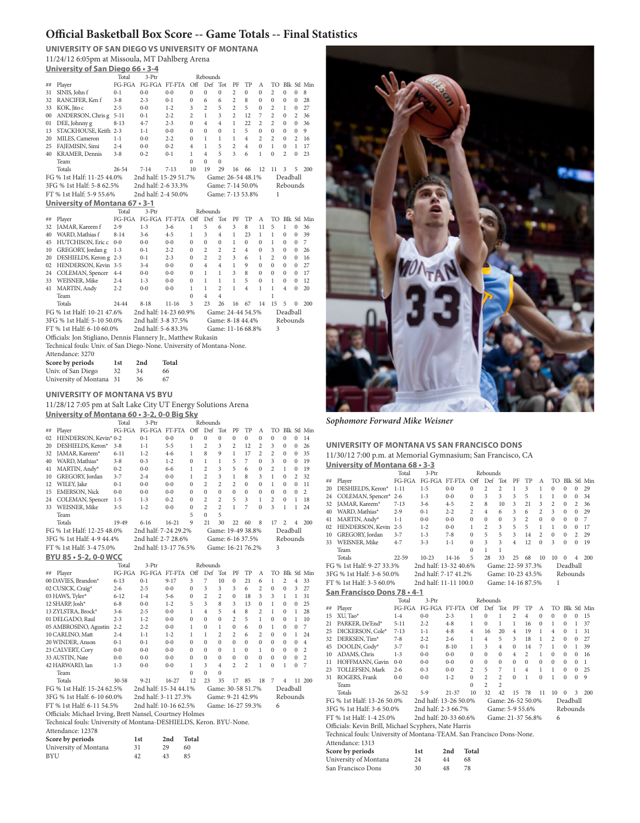# **Official Basketball Box Score -- Game Totals -- Final Statistics**

**UNIVERSITY OF SAN DIEGO VS UNIVERSITY OF MONTANA** 11/24/12 6:05pm at Missoula, MT Dahlberg Arena **University of San Diego 66 • 3-4**

|        |                                                                       | Total          | 3-Ptr                 |                              |                | Rebounds       |                   |                |                |                |                |                |                |             |
|--------|-----------------------------------------------------------------------|----------------|-----------------------|------------------------------|----------------|----------------|-------------------|----------------|----------------|----------------|----------------|----------------|----------------|-------------|
| ##     | Player                                                                | FG-FGA         | FG-FGA FT-FTA         |                              | $\bigcirc$ ff  | Def            | Tot               | PF             | TP             | А              | TO             |                |                | Blk Stl Min |
| 31     | SINIS, John f                                                         | $0 - 1$        | $0 - 0$               | $0 - 0$                      | $\mathbf{0}$   | $\mathbf{0}$   | $\mathbf{0}$      | $\overline{c}$ | $\mathbf{0}$   | $\Omega$       | $\overline{c}$ | $\mathbf{0}$   | $\mathbf{0}$   | 8           |
| 32     | RANCIFER, Kenf                                                        | $3 - 8$        | $2 - 3$               | $0 - 1$                      | $\bf{0}$       | 6              | 6                 | $\overline{c}$ | 8              | $\Omega$       | $\theta$       | $\mathbf{0}$   | $\mathbf{0}$   | 28          |
| 33     | KOK, Jito c                                                           | $2 - 5$        | $0 - 0$               | $1 - 2$                      | 3              | $\overline{c}$ | 5                 | $\overline{c}$ | 5              | $\Omega$       | 2              | 1              | $\Omega$       | 27          |
| $00\,$ | ANDERSON, Chris g                                                     | $5 - 11$       | $0 - 1$               | $2 - 2$                      | $\overline{c}$ | 1              | 3                 | $\overline{c}$ | 12             | 7              | $\overline{c}$ | 0              | $\overline{c}$ | 36          |
| 01     | DEE, Johnny g                                                         | $8 - 13$       | $4 - 7$               | $2 - 3$                      | $\Omega$       | $\overline{4}$ | 4                 | 1              | 22             | $\overline{c}$ | $\overline{c}$ | $\Omega$       | $\theta$       | 36          |
| 13     | STACKHOUSE, Keith 2-3                                                 |                | $1 - 1$               | $0 - 0$                      | $\Omega$       | $\Omega$       | $\Omega$          | 1              | 5              | $\Omega$       | $\Omega$       | $\Omega$       | $\Omega$       | 9           |
| 20     | MILES, Cameron                                                        | $1 - 1$        | $0 - 0$               | $2 - 2$                      | $\Omega$       | 1              | 1                 | 1              | $\overline{4}$ | $\overline{c}$ | $\overline{c}$ | $\theta$       | $\overline{c}$ | 16          |
| 25     | FAJEMISIN, Simi                                                       | $2 - 4$        | $0 - 0$               | $0 - 2$                      | 4              | 1              | 5                 | $\overline{c}$ | $\overline{4}$ | $\theta$       | 1              | $\Omega$       | 1              | 17          |
| 40     | KRAMER, Dennis                                                        | $3 - 8$        | $0 - 2$               | $0 - 1$                      | 1              | $\overline{4}$ | 5                 | 3              | 6              | 1              | $\theta$       | $\overline{c}$ | $\theta$       | 23          |
|        | Team                                                                  |                |                       |                              | $\Omega$       | $\Omega$       | $\theta$          |                |                |                |                |                |                |             |
|        | Totals                                                                | $26 - 54$      | $7 - 14$              | $7 - 13$                     | 10             | 19             | 29                | 16             | 66             | 12             | 11             | 3              | 5              | 200         |
|        | FG % 1st Half: 11-25 44.0%                                            |                | 2nd half: 15-29 51.7% |                              |                |                | Game: 26-54 48.1% |                |                |                |                | Deadball       |                |             |
|        | 3FG % 1st Half: 5-8 62.5%                                             |                | 2nd half: 2-6 33.3%   |                              |                |                | Game: 7-14 50.0%  |                |                |                |                | Rebounds       |                |             |
|        | FT % 1st Half: 5-9 55.6%                                              |                | 2nd half: 2-4 50.0%   |                              |                |                | Game: 7-13 53.8%  |                |                |                | 1              |                |                |             |
|        | University of Montana 67 . 3-1                                        |                |                       |                              |                |                |                   |                |                |                |                |                |                |             |
|        |                                                                       | Total          | $3-Prr$               |                              |                | Rebounds       |                   |                |                |                |                |                |                |             |
| ##     | Player                                                                | $FG-FGA$       | FG-FGA FT-FTA         |                              | $\bigcirc$ ff  | Def            | Tot               | PF             | TP             | A              | TO.            |                |                | Blk Stl Min |
| 32     | JAMAR, Kareem f                                                       | $2 - 9$        | $1 - 3$               | $3 - 6$                      | $\mathbf{1}$   | 5              | 6                 | 3              | 8              | 11             | 5              | 1              | $\theta$       | 36          |
| 40     | WARD, Mathias f                                                       | $8 - 14$       | $3 - 6$               | $4 - 5$                      | 1              | 3              | 4                 | 1              | 23             | 1              | 1              | 0              | 0              | 39          |
| 45     | HUTCHISON, Eric c                                                     | $0 - 0$        | $0 - 0$               | $0 - 0$                      | $\Omega$       | $\mathbf{0}$   | $\mathbf{0}$      | $\mathbf{1}$   | $\Omega$       | $\Omega$       | 1              | 0              | 0              | 7           |
| 10     | GREGORY, Jordan g                                                     | $1 - 3$        | $0 - 1$               | $2 - 2$                      | $\Omega$       | $\overline{c}$ | $\overline{c}$    | $\overline{c}$ | 4              | $\Omega$       | 3              | $\Omega$       | $\Omega$       | 26          |
| 20     | DESHIELDS, Keron g 2-3                                                |                | $0 - 1$               | $2 - 3$                      | $\Omega$       | $\overline{c}$ | $\overline{c}$    | 3              | 6              | $\mathbf{1}$   | $\overline{c}$ | 0              | $\Omega$       | 16          |
| 02     | HENDERSON, Kevin 3-5                                                  |                | $3 - 4$               | $0 - 0$                      | $\Omega$       | $\overline{4}$ | 4                 | $\mathbf{1}$   | 9              | $\Omega$       | $\Omega$       | $\Omega$       | $\Omega$       | 27          |
| 24     | COLEMAN, Spencer                                                      | $4 - 4$        | $0 - 0$               | $0 - 0$                      | $\Omega$       | 1              | 1                 | 3              | $\mathbf{8}$   | $\Omega$       | $\Omega$       | $\Omega$       | $\Omega$       | 17          |
| 33     | WEISNER, Mike                                                         | $2 - 4$        | $1 - 3$               | $0 - 0$                      | $\Omega$       | 1              | 1                 | 1              | 5              | $\theta$       | 1              | $\theta$       | $\theta$       | 12          |
| 41     | MARTIN, Andy                                                          | $2 - 2$        | $0 - 0$               | $0 - 0$                      | 1              | 1              | $\overline{c}$    | 1              | $\overline{4}$ | 1              | 1              | 4              | $\theta$       | 20          |
|        | Team                                                                  |                |                       |                              | $\theta$       | $\overline{4}$ | 4                 |                |                |                | 1              |                |                |             |
|        | Totals                                                                | $24 - 44$      | $8 - 18$              | $11 - 16$                    | 3              | 23             | 26                | 16             | 67             | 14             | 15             | 5              | 0              | 200         |
|        | FG % 1st Half: 10-21 47.6%                                            |                | 2nd half: 14-23 60.9% |                              |                |                | Game: 24-44 54.5% |                |                |                |                | Deadball       |                |             |
|        | 3FG % 1st Half: 5-10 50.0%                                            |                | 2nd half: 3-8 37.5%   |                              |                |                | Game: 8-18 44.4%  |                |                |                |                | Rebounds       |                |             |
|        | FT % 1st Half: 6-10 60.0%                                             |                | 2nd half: 5-6 83.3%   |                              |                |                | Game: 11-16 68.8% |                |                |                | 3              |                |                |             |
|        | Officials: Jon Stigliano, Dennis Flannery Jr., Matthew Rukasin        |                |                       |                              |                |                |                   |                |                |                |                |                |                |             |
|        | Technical fouls: Univ. of San Diego-None. University of Montana-None. |                |                       |                              |                |                |                   |                |                |                |                |                |                |             |
|        | Attendance: 3270                                                      |                |                       |                              |                |                |                   |                |                |                |                |                |                |             |
|        | Coose hy noviade                                                      | 1 <sub>0</sub> | 2nd                   | $T_{\alpha\uparrow\alpha}$ l |                |                |                   |                |                |                |                |                |                |             |

**Score by periods 1st 2nd Total** Univ. of San Diego 32 34 66 University of Montana 31 36 67

#### **UNIVERSITY OF MONTANA VS BYU**

11/28/12 7:05 pm at Salt Lake City UT Energy Solutions Arena **University of Montana 60 • 3-2, 0-0 Big Sky**

| <u><b>UTILE DIRECTS OF LA CALCER CALCER CALCER CALCER CALCER</b></u> |                                                         |         |                        |          |  |  |  |  |
|----------------------------------------------------------------------|---------------------------------------------------------|---------|------------------------|----------|--|--|--|--|
|                                                                      | Total                                                   | $3-Ptr$ |                        | Rebounds |  |  |  |  |
| ## Player                                                            | FG-FGA FG-FGA FT-FTA Off Def Tot PF TP A TO Blk Stl Min |         |                        |          |  |  |  |  |
| 02 HENDERSON, Kevin* 0-2 0-1                                         |                                                         |         | 0-0 0 0 0 0 0 0 0 0 14 |          |  |  |  |  |

| University of Montana                                              |                                                                                                                                                                           | 31                                                                                                                                                                                 | 29                                                                                                      | 60                                                                                 |                                                                                                                                                                              |                                                                                                              |                                                                                          |                                                                       |                                                      |                                                                                                                                                                                                                                                                               |                                                                                               |                                                                                                          |                                                                                                                                                    |
|--------------------------------------------------------------------|---------------------------------------------------------------------------------------------------------------------------------------------------------------------------|------------------------------------------------------------------------------------------------------------------------------------------------------------------------------------|---------------------------------------------------------------------------------------------------------|------------------------------------------------------------------------------------|------------------------------------------------------------------------------------------------------------------------------------------------------------------------------|--------------------------------------------------------------------------------------------------------------|------------------------------------------------------------------------------------------|-----------------------------------------------------------------------|------------------------------------------------------|-------------------------------------------------------------------------------------------------------------------------------------------------------------------------------------------------------------------------------------------------------------------------------|-----------------------------------------------------------------------------------------------|----------------------------------------------------------------------------------------------------------|----------------------------------------------------------------------------------------------------------------------------------------------------|
| Score by periods                                                   |                                                                                                                                                                           | 1st                                                                                                                                                                                | 2nd                                                                                                     | Total                                                                              |                                                                                                                                                                              |                                                                                                              |                                                                                          |                                                                       |                                                      |                                                                                                                                                                                                                                                                               |                                                                                               |                                                                                                          |                                                                                                                                                    |
| Attendance: 12378                                                  |                                                                                                                                                                           |                                                                                                                                                                                    |                                                                                                         |                                                                                    |                                                                                                                                                                              |                                                                                                              |                                                                                          |                                                                       |                                                      |                                                                                                                                                                                                                                                                               |                                                                                               |                                                                                                          |                                                                                                                                                    |
| Technical fouls: University of Montana-DESHIELDS, Keron. BYU-None. |                                                                                                                                                                           |                                                                                                                                                                                    |                                                                                                         |                                                                                    |                                                                                                                                                                              |                                                                                                              |                                                                                          |                                                                       |                                                      |                                                                                                                                                                                                                                                                               |                                                                                               |                                                                                                          |                                                                                                                                                    |
| Officials: Michael Irving, Brett Nansel, Courtney Holmes           |                                                                                                                                                                           |                                                                                                                                                                                    |                                                                                                         |                                                                                    |                                                                                                                                                                              |                                                                                                              |                                                                                          |                                                                       |                                                      |                                                                                                                                                                                                                                                                               |                                                                                               |                                                                                                          |                                                                                                                                                    |
| FT % 1st Half: 6-11 54.5%                                          |                                                                                                                                                                           | 2nd half: 10-16 62.5%                                                                                                                                                              |                                                                                                         |                                                                                    |                                                                                                                                                                              |                                                                                                              |                                                                                          | Game: 16-27 59.3%                                                     |                                                      | 6                                                                                                                                                                                                                                                                             |                                                                                               |                                                                                                          |                                                                                                                                                    |
| 3FG % 1st Half: 6-10 60.0%                                         |                                                                                                                                                                           | 2nd half: 3-11 27.3%                                                                                                                                                               |                                                                                                         |                                                                                    |                                                                                                                                                                              |                                                                                                              |                                                                                          | Game: 9-21 42.9%                                                      |                                                      |                                                                                                                                                                                                                                                                               | Rebounds                                                                                      |                                                                                                          |                                                                                                                                                    |
| FG % 1st Half: 15-24 62.5%                                         |                                                                                                                                                                           | 2nd half: 15-34 44.1%                                                                                                                                                              |                                                                                                         |                                                                                    |                                                                                                                                                                              |                                                                                                              |                                                                                          | Game: 30-58 51.7%                                                     |                                                      |                                                                                                                                                                                                                                                                               | Deadball                                                                                      |                                                                                                          |                                                                                                                                                    |
| Totals                                                             | $30 - 58$                                                                                                                                                                 | $9 - 21$                                                                                                                                                                           | 16-27                                                                                                   | 12                                                                                 | 23                                                                                                                                                                           | 35                                                                                                           | 17                                                                                       | 85                                                                    | 18                                                   | 7                                                                                                                                                                                                                                                                             | $\overline{4}$                                                                                |                                                                                                          | 11 200                                                                                                                                             |
| Team                                                               |                                                                                                                                                                           |                                                                                                                                                                                    |                                                                                                         | $\overline{0}$                                                                     | $\theta$                                                                                                                                                                     | $\mathbf{0}$                                                                                                 |                                                                                          |                                                                       |                                                      |                                                                                                                                                                                                                                                                               |                                                                                               |                                                                                                          |                                                                                                                                                    |
| 42 HARWARD, Ian                                                    | $1 - 3$                                                                                                                                                                   | $0 - 0$                                                                                                                                                                            | $0 - 0$                                                                                                 | $\mathbf{1}$                                                                       | 3                                                                                                                                                                            | 4                                                                                                            | $\overline{c}$                                                                           | $\overline{c}$                                                        | 1                                                    | $\mathbf{0}$                                                                                                                                                                                                                                                                  | $\mathbf{1}$                                                                                  | $\theta$                                                                                                 | 7                                                                                                                                                  |
| 33 AUSTIN, Nate                                                    | $0 - 0$                                                                                                                                                                   | $0-0$                                                                                                                                                                              | $0-0$                                                                                                   | $\theta$                                                                           | $\theta$                                                                                                                                                                     | $\Omega$                                                                                                     | $\theta$                                                                                 | $\theta$                                                              | $\theta$                                             | $\theta$                                                                                                                                                                                                                                                                      | $\theta$                                                                                      | $\Omega$                                                                                                 | $\overline{c}$                                                                                                                                     |
| 23 CALVERT, Cory                                                   | $0 - 0$                                                                                                                                                                   | $0 - 0$                                                                                                                                                                            | $0 - 0$                                                                                                 | $\theta$                                                                           | $\theta$                                                                                                                                                                     | $\Omega$                                                                                                     | 1                                                                                        | $\theta$                                                              | 1                                                    | $\Omega$                                                                                                                                                                                                                                                                      | $\Omega$                                                                                      | $\Omega$                                                                                                 | $\overline{c}$                                                                                                                                     |
| 20 WINDER, Anson                                                   | $0 - 1$                                                                                                                                                                   | $0 - 1$                                                                                                                                                                            | $0 - 0$                                                                                                 | $\theta$                                                                           | $\theta$                                                                                                                                                                     | $\Omega$                                                                                                     | $\theta$                                                                                 | $\theta$                                                              | $\theta$                                             | $\Omega$                                                                                                                                                                                                                                                                      | $\Omega$                                                                                      | $\Omega$                                                                                                 | $\overline{4}$                                                                                                                                     |
| 10 CARLINO, Matt                                                   | $2 - 4$                                                                                                                                                                   | $1 - 1$                                                                                                                                                                            | $1 - 2$                                                                                                 | 1                                                                                  | 1                                                                                                                                                                            | $\overline{c}$                                                                                               | $\overline{c}$                                                                           | 6                                                                     | $\overline{c}$                                       | $\Omega$                                                                                                                                                                                                                                                                      | $\mathbf{0}$                                                                                  | 1                                                                                                        | 24                                                                                                                                                 |
| 05 AMBROSINO, Agustin                                              | $2 - 2$                                                                                                                                                                   | $2 - 2$                                                                                                                                                                            | $0 - 0$                                                                                                 | 1                                                                                  | 0                                                                                                                                                                            | 1                                                                                                            | 0                                                                                        | 6                                                                     | $\Omega$                                             | 1                                                                                                                                                                                                                                                                             | $\mathbf{0}$                                                                                  | $\mathbf{0}$                                                                                             | 7                                                                                                                                                  |
| 01 DELGADO, Raul                                                   | $2 - 3$                                                                                                                                                                   | $1 - 2$                                                                                                                                                                            | $0 - 0$                                                                                                 | $\mathbf{0}$                                                                       | $\overline{0}$                                                                                                                                                               | $\mathbf{0}$                                                                                                 | $\overline{c}$                                                                           | 5                                                                     | $\mathbf{1}$                                         | $\mathbf{0}$                                                                                                                                                                                                                                                                  | $\mathbf{0}$                                                                                  | 1                                                                                                        | 10                                                                                                                                                 |
| 13 ZYLSTRA, Brock*                                                 | $3-6$                                                                                                                                                                     | $2 - 5$                                                                                                                                                                            | $0 - 0$                                                                                                 | 1                                                                                  | 4                                                                                                                                                                            | 5                                                                                                            | $\overline{4}$                                                                           | 8                                                                     | $\overline{c}$                                       | 1                                                                                                                                                                                                                                                                             | $\mathbf{0}$                                                                                  | 1                                                                                                        | 28                                                                                                                                                 |
| 12 SHARP, Josh*                                                    | $6 - 8$                                                                                                                                                                   | $0 - 0$                                                                                                                                                                            | $1 - 2$                                                                                                 | 5                                                                                  | 3                                                                                                                                                                            | 8                                                                                                            | 3                                                                                        | 13                                                                    | $\theta$                                             | $\mathbf{1}$                                                                                                                                                                                                                                                                  | $\mathbf{0}$                                                                                  | $\mathbf{0}$                                                                                             | 25                                                                                                                                                 |
| 03 HAWS, Tyler*                                                    | $6 - 12$                                                                                                                                                                  | $1 - 4$                                                                                                                                                                            | $5 - 6$                                                                                                 | $\mathbf{0}$                                                                       | $\overline{2}$                                                                                                                                                               | $\overline{2}$                                                                                               | $\mathbf{0}$                                                                             | 18                                                                    | 3                                                    | 3                                                                                                                                                                                                                                                                             | $\mathbf{1}$                                                                                  | 1                                                                                                        | 31                                                                                                                                                 |
|                                                                    | $2 - 6$                                                                                                                                                                   | $2 - 5$                                                                                                                                                                            | $0-0$                                                                                                   | $\theta$                                                                           | 3                                                                                                                                                                            | 3                                                                                                            | 3                                                                                        | 6                                                                     | $\overline{c}$                                       | $\theta$                                                                                                                                                                                                                                                                      | $\Omega$                                                                                      | 3                                                                                                        | 27                                                                                                                                                 |
| 00 DAVIES, Brandon*                                                | $6 - 13$                                                                                                                                                                  | $0 - 1$                                                                                                                                                                            | $9 - 17$                                                                                                | 3                                                                                  | 7                                                                                                                                                                            | 10                                                                                                           | $\mathbf{0}$                                                                             | 21                                                                    | 6                                                    | $\mathbf{1}$                                                                                                                                                                                                                                                                  | $\overline{c}$                                                                                | $\overline{4}$                                                                                           | 33                                                                                                                                                 |
| Player                                                             |                                                                                                                                                                           |                                                                                                                                                                                    |                                                                                                         | Off                                                                                | Def                                                                                                                                                                          |                                                                                                              | PF                                                                                       | TP                                                                    | А                                                    | TO                                                                                                                                                                                                                                                                            |                                                                                               |                                                                                                          |                                                                                                                                                    |
|                                                                    |                                                                                                                                                                           |                                                                                                                                                                                    |                                                                                                         |                                                                                    |                                                                                                                                                                              |                                                                                                              |                                                                                          |                                                                       |                                                      |                                                                                                                                                                                                                                                                               |                                                                                               |                                                                                                          |                                                                                                                                                    |
|                                                                    |                                                                                                                                                                           |                                                                                                                                                                                    |                                                                                                         |                                                                                    |                                                                                                                                                                              |                                                                                                              |                                                                                          |                                                                       |                                                      |                                                                                                                                                                                                                                                                               |                                                                                               |                                                                                                          |                                                                                                                                                    |
| FT % 1st Half: 3-4 75.0%                                           |                                                                                                                                                                           |                                                                                                                                                                                    |                                                                                                         |                                                                                    |                                                                                                                                                                              |                                                                                                              |                                                                                          |                                                                       |                                                      | 3                                                                                                                                                                                                                                                                             |                                                                                               |                                                                                                          |                                                                                                                                                    |
|                                                                    |                                                                                                                                                                           |                                                                                                                                                                                    |                                                                                                         |                                                                                    |                                                                                                                                                                              |                                                                                                              |                                                                                          |                                                                       |                                                      |                                                                                                                                                                                                                                                                               |                                                                                               |                                                                                                          |                                                                                                                                                    |
|                                                                    |                                                                                                                                                                           |                                                                                                                                                                                    |                                                                                                         |                                                                                    |                                                                                                                                                                              |                                                                                                              |                                                                                          |                                                                       |                                                      |                                                                                                                                                                                                                                                                               |                                                                                               |                                                                                                          |                                                                                                                                                    |
| Totals                                                             | 19-49                                                                                                                                                                     | $6 - 16$                                                                                                                                                                           | $16 - 21$                                                                                               | $\mathbf Q$                                                                        | 21                                                                                                                                                                           | 30                                                                                                           | 22                                                                                       | 60                                                                    | 8                                                    | 17                                                                                                                                                                                                                                                                            | $\overline{c}$                                                                                | 4                                                                                                        | 200                                                                                                                                                |
| Team                                                               |                                                                                                                                                                           |                                                                                                                                                                                    |                                                                                                         | 5                                                                                  | $\overline{0}$                                                                                                                                                               | 5                                                                                                            |                                                                                          |                                                                       |                                                      |                                                                                                                                                                                                                                                                               |                                                                                               |                                                                                                          |                                                                                                                                                    |
| WEISNER, Mike                                                      | $3 - 5$                                                                                                                                                                   | $1 - 2$                                                                                                                                                                            | $0 - 0$                                                                                                 | $\mathbf{0}$                                                                       | $\overline{c}$                                                                                                                                                               | $\overline{c}$                                                                                               | $\mathbf{1}$                                                                             | 7                                                                     | $\theta$                                             | 3                                                                                                                                                                                                                                                                             | 1                                                                                             | 1                                                                                                        | 24                                                                                                                                                 |
|                                                                    |                                                                                                                                                                           |                                                                                                                                                                                    |                                                                                                         |                                                                                    |                                                                                                                                                                              |                                                                                                              |                                                                                          |                                                                       |                                                      |                                                                                                                                                                                                                                                                               |                                                                                               |                                                                                                          | 18                                                                                                                                                 |
|                                                                    |                                                                                                                                                                           |                                                                                                                                                                                    |                                                                                                         |                                                                                    |                                                                                                                                                                              |                                                                                                              |                                                                                          |                                                                       |                                                      |                                                                                                                                                                                                                                                                               |                                                                                               |                                                                                                          | $\overline{c}$                                                                                                                                     |
|                                                                    |                                                                                                                                                                           |                                                                                                                                                                                    |                                                                                                         |                                                                                    |                                                                                                                                                                              |                                                                                                              |                                                                                          |                                                                       |                                                      |                                                                                                                                                                                                                                                                               |                                                                                               |                                                                                                          | 11                                                                                                                                                 |
|                                                                    |                                                                                                                                                                           |                                                                                                                                                                                    |                                                                                                         |                                                                                    |                                                                                                                                                                              |                                                                                                              |                                                                                          |                                                                       |                                                      |                                                                                                                                                                                                                                                                               |                                                                                               |                                                                                                          | 32                                                                                                                                                 |
|                                                                    |                                                                                                                                                                           |                                                                                                                                                                                    |                                                                                                         |                                                                                    |                                                                                                                                                                              |                                                                                                              |                                                                                          |                                                                       |                                                      |                                                                                                                                                                                                                                                                               |                                                                                               |                                                                                                          | 19<br>19                                                                                                                                           |
|                                                                    |                                                                                                                                                                           |                                                                                                                                                                                    |                                                                                                         |                                                                                    |                                                                                                                                                                              |                                                                                                              |                                                                                          |                                                                       |                                                      |                                                                                                                                                                                                                                                                               |                                                                                               |                                                                                                          | 35                                                                                                                                                 |
|                                                                    |                                                                                                                                                                           |                                                                                                                                                                                    |                                                                                                         |                                                                                    |                                                                                                                                                                              |                                                                                                              |                                                                                          |                                                                       |                                                      |                                                                                                                                                                                                                                                                               |                                                                                               |                                                                                                          | 26                                                                                                                                                 |
|                                                                    |                                                                                                                                                                           |                                                                                                                                                                                    |                                                                                                         |                                                                                    |                                                                                                                                                                              |                                                                                                              |                                                                                          |                                                                       |                                                      | $\mathbf{0}$                                                                                                                                                                                                                                                                  | $\mathbf{0}$                                                                                  | $\mathbf{0}$                                                                                             | 14                                                                                                                                                 |
|                                                                    | DESHIELDS, Keron*<br>JAMAR, Kareem*<br>WARD, Mathias*<br>MARTIN, Andy*<br>GREGORY, Jordan<br>WILEY, Jake<br><b>EMERSON, Nick</b><br>COLEMAN, Spencer<br>02 CUSICK, Craig* | $3 - 8$<br>$6 - 11$<br>$3 - 8$<br>$0 - 2$<br>$3 - 7$<br>$0 - 1$<br>$0 - 0$<br>$1 - 5$<br>FG % 1st Half: 12-25 48.0%<br>3FG % 1st Half: 4-9 44.4%<br>BYU 85 . 5-2, 0-0 WCC<br>Total | $1 - 1$<br>$1 - 2$<br>$0 - 3$<br>$0 - 0$<br>$2 - 4$<br>$0 - 0$<br>$0 - 0$<br>$1 - 3$<br>3-Ptr<br>FG-FGA | $5 - 5$<br>$4-6$<br>$1 - 2$<br>$6 - 6$<br>$0 - 0$<br>$0 - 0$<br>$0 - 0$<br>$0 - 2$ | $\mathbf{1}$<br>1<br>$\mathbf{0}$<br>1<br>1<br>$\mathbf{0}$<br>$\Omega$<br>$\Omega$<br>2nd half: 7-24 29.2%<br>2nd half: 2-7 28.6%<br>2nd half: 13-17 76.5%<br>FG-FGA FT-FTA | $\overline{2}$<br>8<br>1<br>$\overline{2}$<br>$\overline{2}$<br>$\overline{2}$<br>$\theta$<br>$\overline{2}$ | 3<br>9<br>1<br>3<br>3<br>$\overline{c}$<br>$\theta$<br>$\overline{c}$<br>Rebounds<br>Tot | $\overline{2}$<br>1<br>5<br>5<br>1<br>$\overline{c}$<br>$\Omega$<br>5 | 12<br>17<br>7<br>6<br>8<br>$\Omega$<br>$\Omega$<br>3 | HENDERSON, Kevin* 0-2<br>$0 - 1$<br>$0 - 0$<br>$\mathbf{0}$<br>$\overline{0}$<br>$\mathbf{0}$<br>0<br>$\mathbf{0}$<br>$\bf{0}$<br>2<br>$\overline{c}$<br>$\Omega$<br>$\theta$<br>3<br>$\theta$<br>$\theta$<br>1<br>Game: 19-49 38.8%<br>Game: 6-16 37.5%<br>Game: 16-21 76.2% | 3<br>$\overline{c}$<br>3<br>$\overline{c}$<br>$\mathbf{1}$<br>1<br>$\theta$<br>$\overline{c}$ | $\mathbf{0}$<br>$\Omega$<br>$\mathbf{0}$<br>$\mathbf{1}$<br>$\Omega$<br>$\Omega$<br>$\Omega$<br>$\Omega$ | $\mathbf{0}$<br>$\mathbf{0}$<br>$\mathbf{0}$<br>$\mathbf{0}$<br>$\overline{c}$<br>$\Omega$<br>$\theta$<br>1<br>Deadball<br>Rebounds<br>Blk Stl Min |

| University of Montana | 31 |    | 60 |
|-----------------------|----|----|----|
| BYU                   | 42 | 43 | 85 |



*Sophomore Forward Mike Weisner*

#### **UNIVERSITY OF MONTANA VS SAN FRANCISCO DONS**

| 11/30/12 7:00 p.m. at Memorial Gymnasium; San Francisco, CA |  |
|-------------------------------------------------------------|--|
|-------------------------------------------------------------|--|

|    | University of Montana 68 • 3-3                                        |           |                       |           |                |                |                   |                |                |                |                |              |                |                |
|----|-----------------------------------------------------------------------|-----------|-----------------------|-----------|----------------|----------------|-------------------|----------------|----------------|----------------|----------------|--------------|----------------|----------------|
|    |                                                                       | Total     | 3-Ptr                 |           |                | Rebounds       |                   |                |                |                |                |              |                |                |
| ## | Player                                                                | FG-FGA    | FG-FGA FT-FTA         |           | Off            | Def            | Tot               | PF             | TP             | А              |                |              |                | TO Blk Stl Min |
| 20 | DESHIELDS, Keron*                                                     | $1 - 11$  | $1 - 5$               | $0 - 0$   | $\theta$       | $\overline{c}$ | $\overline{2}$    | $\mathbf{1}$   | 3              | $\mathbf{1}$   | $\Omega$       | $\Omega$     | $\mathbf{0}$   | 29             |
| 24 | COLEMAN, Spencer*                                                     | $2 - 6$   | $1 - 3$               | $0 - 0$   | $\bf{0}$       | 3              | 3                 | 3              | 5              | $\mathbf{1}$   | $\mathbf{1}$   | $\mathbf{0}$ | $\mathbf{0}$   | 34             |
| 32 | JAMAR, Kareem*                                                        | $7 - 13$  | $3 - 6$               | $4 - 5$   | $\overline{c}$ | 8              | 10                | 3              | 21             | 3              | $\overline{c}$ | $\mathbf{0}$ | $\overline{c}$ | 36             |
| 40 | WARD, Mathias*                                                        | $2 - 9$   | $0 - 1$               | $2 - 2$   | $\overline{c}$ | 4              | 6                 | 3              | 6              | $\overline{c}$ | 3              | $\Omega$     | $\Omega$       | 29             |
| 41 | MARTIN, Andy*                                                         | $1 - 1$   | $0 - 0$               | $0 - 0$   | $\bf{0}$       | $\Omega$       | $\mathbf{0}$      | 3              | $\overline{c}$ | $\theta$       | $\Omega$       | $\Omega$     | $\Omega$       | 7              |
| 02 | HENDERSON, Kevin                                                      | $2 - 5$   | $1 - 2$               | $0 - 0$   | 1              | $\overline{2}$ | 3                 | 5              | 5              | 1              | $\mathbf{1}$   | $\mathbf{0}$ | $\Omega$       | 17             |
| 10 | GREGORY, Jordan                                                       | $3 - 7$   | $1 - 3$               | $7 - 8$   | $\theta$       | 5              | 5                 | 3              | 14             | $\overline{a}$ | $\theta$       | $\Omega$     | $\overline{c}$ | 29             |
| 33 | WEISNER, Mike                                                         | $4 - 7$   | $3 - 3$               | $1 - 1$   | $\theta$       | 3              | 3                 | $\overline{4}$ | 12             | $\theta$       | 3              | $\theta$     | $\theta$       | 19             |
|    | Team                                                                  |           |                       |           | $\theta$       | 1              | 1                 |                |                |                |                |              |                |                |
|    | Totals                                                                | $22 - 59$ | $10 - 23$             | $14 - 16$ | 5              | 28             | 33                | 25             | 68             | 10             | 10             | 0            | 4              | 200            |
|    | FG % 1st Half: 9-27 33.3%                                             |           | 2nd half: 13-32 40.6% |           |                |                | Game: 22-59 37.3% |                |                |                |                | Deadball     |                |                |
|    | 3FG % 1st Half: 3-6 50.0%                                             |           | 2nd half: 7-17 41.2%  |           |                |                | Game: 10-23 43.5% |                |                |                |                | Rebounds     |                |                |
|    | FT % 1st Half: 3-5 60.0%                                              |           | 2nd half: 11-11 100.0 |           |                |                | Game: 14-16 87.5% |                |                |                | $\mathbf{1}$   |              |                |                |
|    | San Francisco Dons 78 • 4-1                                           |           |                       |           |                |                |                   |                |                |                |                |              |                |                |
|    |                                                                       | Total     | 3-Ptr                 |           |                | Rebounds       |                   |                |                |                |                |              |                |                |
| ## | Player                                                                | FG-FGA    | FG-FGA FT-FTA         |           | Off            | Def            | Tot               | PF             | TP             | А              |                |              |                | TO Blk Stl Min |
| 15 | XU, Tao*                                                              | $1 - 4$   | $0 - 0$               | $2 - 3$   | 1              | $\Omega$       | 1                 | $\overline{2}$ | 4              | $\Omega$       | $\mathbf{0}$   | 0            | 0              | 15             |
| 21 | PARKER, De'End*                                                       | $5 - 11$  | $2 - 2$               | $4 - 8$   | 1              | $\Omega$       | 1                 | 1              | 16             | $\Omega$       | 1              | $\Omega$     | 1              | 37             |
| 25 | DICKERSON, Cole*                                                      | $7 - 13$  | $1 - 1$               | $4 - 8$   | $\overline{4}$ | 16             | 20                | $\overline{4}$ | 19             | 1              | $\overline{4}$ | $\mathbf{0}$ | 1              | 31             |
| 32 | DERKSEN, Tim*                                                         | $7 - 8$   | $2 - 2$               | $2 - 6$   | 1              | 4              | 5                 | 3              | 18             | 1              | 2              | $\Omega$     | $\Omega$       | 27             |
| 45 | DOOLIN, Cody*                                                         | $3 - 7$   | $0 - 1$               | $8 - 10$  | 1              | 3              | $\overline{4}$    | $\Omega$       | 14             | 7              | 1              | $\mathbf{0}$ | 1              | 39             |
| 10 | ADAMS, Chris                                                          | $1 - 3$   | $0 - 0$               | $0 - 0$   | $\mathbf{0}$   | $\mathbf{0}$   | $\mathbf{0}$      | $\overline{4}$ | $\overline{c}$ | 1              | $\theta$       | $\mathbf{0}$ | $\Omega$       | 16             |
| 11 | HOFFMANN, Gavin                                                       | $0 - 0$   | $0 - 0$               | $0 - 0$   | $\mathbf{0}$   | $\mathbf{0}$   | $\mathbf{0}$      | $\Omega$       | $\mathbf{0}$   | $\theta$       | $\Omega$       | $\Omega$     | $\Omega$       | 1              |
| 23 | TOLLEFSEN, Mark                                                       | $2 - 6$   | $0 - 3$               | $0 - 0$   | $\overline{c}$ | 5              | 7                 | 1              | $\overline{4}$ | 1              | 1              | $\Omega$     | $\Omega$       | 25             |
| 31 | ROGERS, Frank                                                         | $0 - 0$   | $0 - 0$               | $1 - 2$   | $\theta$       | $\overline{a}$ | $\overline{c}$    | $\theta$       | 1              | $\theta$       | 1              | $\theta$     | $\theta$       | $\mathbf{Q}$   |
|    | Team                                                                  |           |                       |           | $\mathbf{0}$   | $\overline{a}$ | $\overline{c}$    |                |                |                |                |              |                |                |
|    | Totals                                                                | $26 - 52$ | $5-9$                 | $21 - 37$ | 10             | 32             | 42                | 15             | 78             | 11             | 10             | $\mathbf{0}$ | 3              | 200            |
|    | FG % 1st Half: 13-26 50.0%                                            |           | 2nd half: 13-26 50.0% |           |                |                | Game: 26-52 50.0% |                |                |                |                | Deadball     |                |                |
|    | 3FG % 1st Half: 3-6 50.0%                                             |           | 2nd half: 2-3 66.7%   |           |                |                | Game: 5-9 55.6%   |                |                |                |                | Rebounds     |                |                |
|    | FT % 1st Half: 1-4 25.0%                                              |           | 2nd half: 20-33 60.6% |           |                |                | Game: 21-37 56.8% |                |                |                | 6              |              |                |                |
|    | Officials: Kevin Brill, Michael Scyphers, Nate Harris                 |           |                       |           |                |                |                   |                |                |                |                |              |                |                |
|    | Technical fouls: University of Montana-TEAM. San Francisco Dons-None. |           |                       |           |                |                |                   |                |                |                |                |              |                |                |
|    | Attendance: 1313                                                      |           |                       |           |                |                |                   |                |                |                |                |              |                |                |
|    | Score by periods                                                      |           | 1st                   | 2nd       | Total          |                |                   |                |                |                |                |              |                |                |

| Score by periods      | 1st | 2nd | Тo |
|-----------------------|-----|-----|----|
| University of Montana | 24  | 44  | 68 |
| San Francisco Dons    | 30  | 48  | 78 |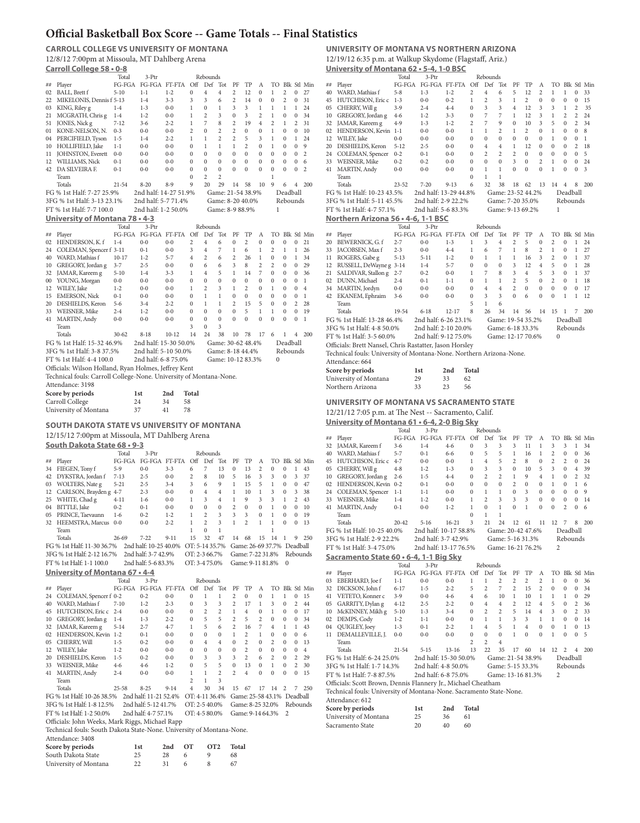# **Official Basketball Box Score -- Game Totals -- Final Statistics**

**CARROLL COLLEGE VS UNIVERSITY OF MONTANA** 12/8/12 7:00pm at Missoula, MT Dahlberg Arena **Carroll College 58 • 0-8** 3-Ptr Rebounds

|          | Player                                                                                                                   | rotar<br>FG-FGA     | J-1 U<br>FG-FGA FT-FTA |                    | Off                          | repounds<br>Def     | Tot                          | PF              | TP                         | А              |                   |                   |              | TO Blk Stl Min |
|----------|--------------------------------------------------------------------------------------------------------------------------|---------------------|------------------------|--------------------|------------------------------|---------------------|------------------------------|-----------------|----------------------------|----------------|-------------------|-------------------|--------------|----------------|
| ##<br>02 | BALL, Brett f                                                                                                            | $5 - 10$            | $1 - 1$                | $1 - 2$            | 0                            | 4                   | $\overline{4}$               | 2               | 12                         | 0              | 1                 | 2                 | 0            | 27             |
|          | 22 MIKELONIS, Dennis f 5-13                                                                                              |                     | $1 - 4$                | $3 - 3$            | 3                            | 3                   | 6                            | 2               | 14                         | 0              | 0                 | $\overline{2}$    | 0            | 31             |
|          | 03 KING, Riley g                                                                                                         | $1 - 4$             | $1 - 3$                | $0 - 0$            |                              | 0                   | 1                            | 3               | 3                          | 1              | 1                 | 1                 | 1            | 24             |
|          |                                                                                                                          |                     |                        |                    | 1                            |                     | 3                            |                 |                            | 2              |                   |                   |              | 34             |
| 21<br>51 | MCGRATH, Chris g                                                                                                         | $1 - 4$<br>$7 - 12$ | $1 - 2$<br>$3-6$       | $0 - 0$<br>$2 - 2$ | $\mathbf{1}$<br>$\mathbf{1}$ | 2<br>$\overline{7}$ | 8                            | 0<br>2          | 3<br>19                    | $\overline{4}$ | $\mathbf{1}$<br>2 | 0<br>$\mathbf{1}$ | 0<br>2       | 31             |
|          | JONES, Nick g                                                                                                            | $0 - 3$             | $0 - 0$                | $0 - 0$            | 2                            | 0                   | $\overline{2}$               | 2               | 0                          | 0              | $\mathbf{1}$      | 0                 | 0            | 10             |
|          | 01 KONE-NELSON, N.                                                                                                       |                     |                        |                    | $\mathbf{1}$                 | 1                   | $\overline{c}$               | $\overline{c}$  | 5                          |                | $\mathbf{1}$      |                   | 1            | 24             |
|          | 04 PERCIFIELD, Tyson                                                                                                     | $1 - 5$             | $1 - 4$                | $2 - 2$            |                              | 1                   |                              | 1               | $\overline{c}$             | 3              | $\mathbf{1}$      | 0                 | $\bf{0}$     | 9              |
|          | 10 HOLLIFIELD, Jake                                                                                                      | $1 - 1$             | $0-0$                  | $0 - 0$            | 0                            | $\mathbf{0}$        | $\mathbf{1}$<br>$\mathbf{0}$ | $\mathbf{0}$    |                            | 0              |                   | 0                 |              | $\overline{c}$ |
|          | 11 JOHNSTON, Everett                                                                                                     | $0 - 0$             | $0-0$                  | $0 - 0$            | $\bf{0}$                     |                     |                              |                 | $\mathbf{0}$               | $\bf{0}$       | $\bf{0}$          | 0                 | 0            |                |
|          | 12 WILLIAMS, Nick                                                                                                        | $0 - 1$             | $0-0$                  | $0 - 0$            | 0                            | $\mathbf{0}$        | $\mathbf{0}$                 | $\mathbf{0}$    | $\mathbf{0}$               | $\bf{0}$       | $\bf{0}$          | $\mathbf{0}$      | 0            | 6              |
|          | 42 DA SILVEIRA F.                                                                                                        | $0 - 1$             | $0-0$                  | $0 - 0$            | 0                            | $\mathbf{0}$        | $\mathbf{0}$                 | 0               | $\mathbf{0}$               | $\bf{0}$       | $\bf{0}$          | $\mathbf{0}$      | 0            | 2              |
|          | Team                                                                                                                     |                     |                        |                    | $\bf{0}$                     | 2                   | $\overline{2}$               |                 |                            |                | $\mathbf{1}$      |                   |              |                |
|          | Totals                                                                                                                   | $21 - 54$           | $8 - 20$               | $8-9$              | 9                            | 20                  | 29                           | 14              | 58                         | 10             | 9                 | 6                 | 4            | 200            |
|          | FG % 1st Half: 7-27 25.9%                                                                                                |                     | 2nd half: 14-27 51.9%  |                    |                              |                     |                              |                 | Game: 21-54 38.9%          |                |                   | Deadball          |              |                |
|          | 3FG % 1st Half: 3-13 23.1%                                                                                               |                     | 2nd half: 5-7 71.4%    |                    |                              |                     |                              |                 | Game: 8-20 40.0%           |                |                   | Rebounds          |              |                |
|          | FT % 1st Half: 7-7 100.0                                                                                                 |                     | 2nd half: 1-2 50.0%    |                    |                              |                     |                              | Game: 8-9 88.9% |                            |                | 1                 |                   |              |                |
|          | University of Montana 78 • 4-3                                                                                           |                     |                        |                    |                              |                     |                              |                 |                            |                |                   |                   |              |                |
|          |                                                                                                                          | Total               | 3-Ptr                  |                    |                              | Rebounds            |                              |                 |                            |                |                   |                   |              |                |
| ##       | Player                                                                                                                   | FG-FGA              | FG-FGA FT-FTA          |                    | Off                          | Def                 | Tot                          | PF              | TP                         | А              |                   |                   |              | TO Blk Stl Min |
|          | 02 HENDERSON, K. f                                                                                                       | $1 - 4$             | $0 - 0$                | $0 - 0$            | $\overline{c}$               | $\overline{4}$      | 6                            | $\mathbf{0}$    | $\overline{c}$             | 0              | $\mathbf{0}$      | $\mathbf{0}$      | $\bf{0}$     | 21             |
| 24       | COLEMAN, Spencer f 3-11                                                                                                  |                     | $0 - 1$                | $0 - 0$            | 3                            | 4                   | 7                            | 1               | 6                          | 1              | 2                 | $\,1$             | 1            | 26             |
|          | 40 WARD, Mathias f                                                                                                       | $10-17$             | $1 - 2$                | $5 - 7$            | $\overline{4}$               | $\overline{c}$      | 6                            | $\overline{c}$  | 26                         | 1              | $\bf{0}$          | $\bf{0}$          | $\mathbf{1}$ | 34             |
|          | 10 GREGORY, Jordan g                                                                                                     | $3 - 7$             | $2 - 5$                | $0 - 0$            | 0                            | 6                   | 6                            | 3               | 8                          | $\overline{c}$ | 2                 | $\bf{0}$          | $\bf{0}$     | 29             |
| 32       | JAMAR, Kareem g                                                                                                          | $5 - 10$            | $1 - 4$                | $3 - 3$            | $\mathbf{1}$                 | $\overline{4}$      | 5                            | $\mathbf{1}$    | 14                         | 7              | 0                 | 0                 | 0            | 36             |
| 00       | YOUNG, Morgan                                                                                                            | $0 - 0$             | $0 - 0$                | $0 - 0$            | 0                            | 0                   | $\bf{0}$                     | $\bf{0}$        | 0                          | 0              | 0                 | 0                 | 0            | 1              |
|          | 12 WILEY, Jake                                                                                                           | $1 - 2$             | $0 - 0$                | $0 - 0$            | 1                            | 2                   | 3                            | 1               | 2                          | 0              | $\mathbf{1}$      | 0                 | 0            | $\overline{4}$ |
|          | 15 EMERSON, Nick                                                                                                         | $0 - 1$             | $0 - 0$                | $0 - 0$            | 0                            | $\mathbf{1}$        | $\mathbf{1}$                 | 0               | 0                          | 0              | 0                 | 0                 | 0            | 1              |
|          | 20 DESHIELDS, Keron                                                                                                      | 5-6                 | $3 - 4$                | $2 - 2$            | 0                            | $\,1$               | $\mathbf{1}$                 | 2               | 15                         | 5              | 0                 | 0                 | 2            | 28             |
|          | 33 WEISNER, Mike                                                                                                         | 2-4                 | $1 - 2$                | $0 - 0$            | 0                            | 0                   | 0                            | $\bf{0}$        | 5                          | $\mathbf{1}$   | $\mathbf{1}$      | 0                 | 0            | 19             |
|          | 41 MARTIN, Andy                                                                                                          | $0 - 0$             | $0 - 0$                | $0 - 0$            | 0                            | $\mathbf{0}$        | 0                            | $\bf{0}$        | 0                          | 0              | 0                 | 0                 | 0            | 1              |
|          | Team                                                                                                                     |                     |                        |                    | 3                            | 0                   | 3                            |                 |                            |                |                   |                   |              |                |
|          | Totals                                                                                                                   | $30 - 62$           | $8 - 18$               | $10 - 12$          | 14                           | 24                  | 38                           | 10              | 78                         | 17             | 6                 | 1                 | 4            | 200            |
|          | FG % 1st Half: 15-32 46.9%                                                                                               |                     | 2nd half: 15-30 50.0%  |                    |                              |                     |                              |                 | Game: 30-62 48.4%          |                |                   | Deadball          |              |                |
|          | 3FG % 1st Half: 3-8 37.5%                                                                                                |                     | 2nd half: 5-10 50.0%   |                    |                              |                     |                              |                 | Game: 8-18 44.4%           |                |                   | Rebounds          |              |                |
|          |                                                                                                                          |                     |                        |                    |                              |                     |                              |                 |                            |                |                   |                   |              |                |
|          | FT % 1st Half: 4-4 100.0                                                                                                 |                     | 2nd half: 6-8 75.0%    |                    |                              |                     |                              |                 | Game: 10-12 83.3%          |                | $\mathbf{0}$      |                   |              |                |
|          | Officials: Wilson Holland, Ryan Holmes, Jeffrey Kent                                                                     |                     |                        |                    |                              |                     |                              |                 |                            |                |                   |                   |              |                |
|          | Technical fouls: Carroll College-None. University of Montana-None.                                                       |                     |                        |                    |                              |                     |                              |                 |                            |                |                   |                   |              |                |
|          | Attendance: 3198                                                                                                         |                     |                        |                    |                              |                     |                              |                 |                            |                |                   |                   |              |                |
|          | Score by periods                                                                                                         |                     | 1st                    | 2nd                | Total                        |                     |                              |                 |                            |                |                   |                   |              |                |
|          | Carroll College                                                                                                          |                     | 24                     | 34<br>58           |                              |                     |                              |                 |                            |                |                   |                   |              |                |
|          |                                                                                                                          |                     |                        |                    |                              |                     |                              |                 |                            |                |                   |                   |              |                |
|          |                                                                                                                          |                     | 37                     | 41                 | 78                           |                     |                              |                 |                            |                |                   |                   |              |                |
|          | University of Montana                                                                                                    |                     |                        |                    |                              |                     |                              |                 |                            |                |                   |                   |              |                |
|          |                                                                                                                          |                     |                        |                    |                              |                     |                              |                 |                            |                |                   |                   |              |                |
|          | SOUTH DAKOTA STATE VS UNIVERSITY OF MONTANA                                                                              |                     |                        |                    |                              |                     |                              |                 |                            |                |                   |                   |              |                |
|          | 12/15/12 7:00pm at Missoula, MT Dahlberg Arena                                                                           |                     |                        |                    |                              |                     |                              |                 |                            |                |                   |                   |              |                |
|          | South Dakota State 68 . 9-3                                                                                              |                     |                        |                    |                              |                     |                              |                 |                            |                |                   |                   |              |                |
|          |                                                                                                                          | Total               | 3-Ptr                  |                    |                              | Rebounds            |                              |                 |                            |                |                   |                   |              |                |
| ##       | Player                                                                                                                   |                     | FG-FGA FG-FGA FT-FTA   |                    | Off                          | Def                 | Tot                          | PF              | TP                         | А              |                   |                   |              | TO Blk Stl Min |
| 34       | FIEGEN, Tony f                                                                                                           | $5-9$               | $0 - 0$                | $3 - 3$            | 6                            | 7                   | 13                           | 0               | 13                         | 2              | 0                 | 0                 | 1            | 43             |
|          | 42 DYKSTRA, Jordan f                                                                                                     | 7-13                | $2 - 5$                | $0 - 0$            | 2                            | 8                   | 10                           | 5               | 16                         | 3              | 3                 | 0                 | 3            | 37             |
|          | 03 WOLTERS, Nate g                                                                                                       | $5 - 21$            | $2 - 5$                | $3 - 4$            | 3                            | 6                   | 9                            | 1               | 15                         | 5              | $\mathbf{1}$      | 0                 | 0            | 47             |
|          | 12 CARLSON, Brayden g 4-7                                                                                                |                     | $2 - 3$                | $0 - 0$            | 0                            | $\overline{4}$      | $\overline{4}$               | 1               | 10                         | $\mathbf{1}$   | 3                 | 0                 | 3            | 38             |
|          | 25 WHITE, Chad g                                                                                                         | $4-11$              | $1-6$                  | $0 - 0$            | $\mathbf{1}$                 | 3                   | $\overline{4}$               | 1               | 9                          | 3              | 3                 | $\mathbf{1}$      | 2            | 43             |
|          | 04 BITTLE, Jake                                                                                                          | $0 - 2$             | $0 - 1$                | $0 - 0$            | 0                            | $\mathbf{0}$        | $\mathbf{0}$                 | $\overline{c}$  | 0                          | $\mathbf{0}$   | $\mathbf{1}$      | 0                 | 0            | 10             |
|          | 05 PRINCE, Taevaunn                                                                                                      | $1-6$               | $0 - 2$                | $1 - 2$            | 1                            | 2                   | 3                            | 3               | 3                          | $\bf{0}$       | $\mathbf{1}$      | $\mathbf{0}$      | 0            | 19             |
|          | 32 HEEMSTRA, Marcus 0-0                                                                                                  |                     | $0 - 0$                | $2 - 2$            | 1                            | 2                   | 3                            | 1               | $\overline{c}$             | 1              | 1                 | $\mathbf{0}$      | 0            | 13             |
|          | Team                                                                                                                     |                     |                        |                    | 1                            | $\mathbf{0}$        | 1                            |                 |                            |                | 1                 |                   |              |                |
|          | Totals                                                                                                                   | 26-69               | $7 - 22$               | $9 - 11$           | 15                           | 32                  | 47                           | 14              | 68                         | 15             | 14                | 1                 | 9            | 250            |
|          | FG % 1st Half: 11-30 36.7%                                                                                               |                     | 2nd half: 10-25 40.0%  |                    | OT: 5-14 35.7%               |                     |                              |                 | Game: 26-69 37.7% Deadball |                |                   |                   |              |                |
|          | 3FG % 1st Half: 2-12 16.7%                                                                                               |                     | 2nd half: 3-7 42.9%    |                    | OT: 2-3 66.7%                |                     |                              |                 | Game: 7-22 31.8%           |                |                   |                   |              | Rebounds       |
|          | FT % 1st Half: 1-1 100.0                                                                                                 |                     | 2nd half: 5-6 83.3%    |                    | OT: 3-475.0%                 |                     |                              |                 | Game: 9-11 81.8%           |                |                   | 0                 |              |                |
|          | University of Montana 67 • 4-4                                                                                           |                     |                        |                    |                              |                     |                              |                 |                            |                |                   |                   |              |                |
|          |                                                                                                                          | Total               | 3-Ptr                  |                    |                              | Rebounds            |                              |                 |                            |                |                   |                   |              |                |
| ##       |                                                                                                                          |                     | FG-FGA FT-FTA          |                    | Off                          | Def                 | Tot                          | PF              | TP                         | А              |                   |                   |              | TO Blk Stl Min |
| 24       | Player                                                                                                                   | FG-FGA              | $0 - 2$                | $0 - 0$            | $\bf{0}$                     | 1                   | $\mathbf{1}$                 | 2               | 0                          | 0              | $\mathbf{1}$      | $\mathbf{1}$      | $\bf{0}$     | 15             |
| 40       | COLEMAN, Spencer f 0-2<br>WARD, Mathias f                                                                                | $7 - 10$            | $1 - 2$                | $2 - 3$            | $\bf{0}$                     | 3                   | 3                            | 2               | 17                         | 1              | 3                 | $\bf{0}$          | 2            | 44             |
|          | 45 HUTCHISON, Eric c 2-4                                                                                                 |                     | $0 - 0$                | $0 - 0$            | $\bf{0}$                     | $\overline{2}$      | 2                            | $\mathbf{1}$    | $\overline{4}$             | $\bf{0}$       | $\mathbf{1}$      | $\bf{0}$          | $\bf{0}$     | 17             |
|          | 10 GREGORY, Jordan g                                                                                                     | $1 - 4$             | $1 - 3$                | $2 - 2$            | $\bf{0}$                     | 5                   | 5                            | 2               | 5                          | $\overline{c}$ | 0                 | 0                 | $\bf{0}$     | 34             |
| 32       | JAMAR, Kareem g                                                                                                          | $5 - 14$            | $2 - 7$                | $4 - 7$            | $\mathbf{1}$                 | 5                   | 6                            | 2               | 16                         | 7              | $\overline{4}$    | $\mathbf 1$       | $\mathbf{1}$ | 43             |
|          | 02 HENDERSON, Kevin 1-2                                                                                                  |                     | $0 - 1$                | $0-0$              | $\bf{0}$                     | $\mathbf{0}$        | $\bf{0}$                     | $\mathbf{1}$    | 2                          | 1              | 0                 | $\bf{0}$          | 0            | 6              |
| 05       | CHERRY, Will                                                                                                             | $1 - 5$             | $0 - 2$                | $0 - 0$            | $\bf{0}$                     | $\overline{4}$      | $\overline{4}$               | $\bf{0}$        | 2                          | 0              | $\overline{c}$    | 0                 | 0            | 13             |
| 12       | WILEY, Jake                                                                                                              | $1 - 2$             | $0 - 0$                | $0 - 0$            | 0                            | $\mathbf{0}$        | $\bf{0}$                     | $\bf{0}$        | 2                          | 0              | 0                 | 0                 | 0            | $\overline{4}$ |
| 20       | DESHIELDS, Keron                                                                                                         | $1 - 5$             | $0 - 2$                | $0-0$              | 0                            | 3                   | 3                            | 3               | 2                          | 6              | $\overline{c}$    | 0                 | 2            | 29             |
| 33       | WEISNER, Mike                                                                                                            | $4-6$               | $4-6$                  | $1 - 2$            | 0                            | 5                   | 5                            | $\bf{0}$        | 13                         | 0              | $\mathbf{1}$      | 0                 | 2            | 30             |
| 41       | MARTIN, Andy                                                                                                             | $2 - 4$             | $0 - 0$                | $0 - 0$            | $\mathbf{1}$                 | 1                   | $\overline{c}$               | 2               | $\overline{4}$             | 0              | 0                 | 0                 | 0            | 15             |
|          | Team                                                                                                                     |                     |                        |                    | $\overline{c}$               | 1                   | 3                            |                 |                            |                |                   |                   |              |                |
|          | Totals                                                                                                                   | $25 - 58$           | $8 - 25$               | $9 - 14$           | $\overline{4}$               | 30                  | 34                           | 15              | 67                         | 17             | 14                | 2                 | 7            | 250            |
|          | FG % 1st Half: 10-26 38.5%                                                                                               |                     | 2nd half: 11-21 52.4%  |                    | OT: 4-11 36.4%               |                     |                              |                 | Game: 25-58 43.1% Deadball |                |                   |                   |              |                |
|          | 3FG % 1st Half: 1-8 12.5%                                                                                                |                     | 2nd half: 5-12 41.7%   |                    | OT: 2-5 40.0%                |                     |                              |                 | Game: 8-25 32.0%           |                |                   |                   |              | Rebounds       |
|          |                                                                                                                          |                     |                        |                    |                              |                     |                              |                 |                            |                |                   | 2                 |              |                |
|          | FT % 1st Half: 1-2 50.0%                                                                                                 |                     | 2nd half: 4-7 57.1%    |                    | OT: 4-5 80.0%                |                     |                              |                 | Game: 9-14 64.3%           |                |                   |                   |              |                |
|          | Officials: John Weeks, Mark Riggs, Michael Rapp<br>Technical fouls: South Dakota State-None. University of Montana-None. |                     |                        |                    |                              |                     |                              |                 |                            |                |                   |                   |              |                |

### **UNIVERSITY OF MONTANA VS NORTHERN ARIZONA** 12/19/12 6:35 p.m. at Walkup Skydome (Flagstaff, Ariz.)

**University of Montana 62 • 5-4, 1-0 BSC**

|    |                                                                                        | Total        | 3-Ptr                    |           |                | Rebounds       |                   |                |              |                |                |                |                |                |
|----|----------------------------------------------------------------------------------------|--------------|--------------------------|-----------|----------------|----------------|-------------------|----------------|--------------|----------------|----------------|----------------|----------------|----------------|
| ## | Player                                                                                 | $FG$ - $FGA$ | FG-FGA FT-FTA            |           | Off            | Def            | Tot               | PF             | TP           | А              |                |                |                | TO Blk Stl Min |
|    | 40 WARD, Mathias f                                                                     | $5 - 8$      | $1 - 3$                  | $1 - 2$   | 2              | 4              | 6                 | 5              | 12           | 2              | 1              | 1              | 0              | 33             |
|    | 45 HUTCHISON, Eric c                                                                   | $1 - 3$      | $0 - 0$                  | $0 - 2$   | $\mathbf{1}$   | 2              | 3                 | 1              | 2            | 0              | 0              | $\mathbf{0}$   | 0              | 15             |
| 05 | CHERRY, Will g                                                                         | $3-9$        | $2 - 4$                  | $4 - 4$   | 0              | 3              | 3                 | $\overline{4}$ | 12           | 3              | 3              | 1              | 2              | 35             |
|    |                                                                                        |              | $1 - 2$                  | $3 - 3$   | 0              | 7              | 7                 | 1              | 12           | 3              | 1              | $\overline{2}$ | 2              | 24             |
|    | 10 GREGORY, Jordan g                                                                   | 4-6          |                          |           |                |                |                   |                |              |                |                |                |                |                |
| 32 | JAMAR, Kareem g                                                                        | $4-9$        | $1 - 3$                  | $1 - 2$   | 2              | 7              | 9                 | $\mathbf{0}$   | 10           | 3              | 5              | $\mathbf{0}$   | 2              | 34             |
| 02 | HENDERSON, Kevin 1-1                                                                   |              | $0 - 0$                  | $0-0$     | $\mathbf{1}$   | $\mathbf{1}$   | 2                 | 1              | 2            | $\bf{0}$       | 1              | 0              | 0              | 8              |
| 12 | WILEY, Jake                                                                            | $0 - 0$      | $0 - 0$                  | $0 - 0$   | 0              | $\mathbf{0}$   | $\mathbf{0}$      | $\bf{0}$       | 0            | $\bf{0}$       | 1              | 0              | 0              | 1              |
|    | 20 DESHIELDS, Keron                                                                    | $5 - 12$     | $2 - 5$                  | $0 - 0$   | 0              | 4              | 4                 | 1              | 12           | $\bf{0}$       | $\mathbf{0}$   | 0              | 2              | 18             |
|    | 24 COLEMAN, Spencer                                                                    | $0 - 2$      | $0 - 1$                  | $0 - 0$   | 0              | $\overline{c}$ | $\overline{c}$    | $\overline{c}$ | $\mathbf{0}$ | 0              | 0              | 0              | 0              | 5              |
|    | 33 WEISNER, Mike                                                                       | $0 - 2$      | $0 - 2$                  | $0 - 0$   | 0              | 0              | $\mathbf{0}$      | 3              | 0            | $\overline{c}$ | 1              | $\bf{0}$       | 0              | 24             |
|    | 41 MARTIN, Andy                                                                        | $0 - 0$      | $0 - 0$                  | $0 - 0$   | 0              | $\mathbf{1}$   | $\mathbf{1}$      | $\bf{0}$       | 0            | $\mathbf{0}$   | $\mathbf{1}$   | 0              | 0              | 3              |
|    |                                                                                        |              |                          |           | 0              | 1              | $\,1$             |                |              |                |                |                |                |                |
|    | Team                                                                                   |              |                          |           |                |                |                   |                |              |                |                |                |                |                |
|    | Totals                                                                                 | $23 - 52$    | $7 - 20$                 | $9 - 13$  | 6              | 32             | 38                | 18             | 62           | 13             | 14             | $\overline{4}$ | 8              | 200            |
|    | FG % 1st Half: 10-23 43.5%                                                             |              | 2nd half: 13-29 44.8%    |           |                |                | Game: 23-52 44.2% |                |              |                |                | Deadball       |                |                |
|    | 3FG % 1st Half: 5-11 45.5%                                                             |              | 2nd half: 2-9 22.2%      |           |                |                | Game: 7-20 35.0%  |                |              |                |                | Rebounds       |                |                |
|    | FT % 1st Half: 4-7 57.1%                                                               |              | 2nd half: 5-6 83.3%      |           |                |                | Game: 9-13 69.2%  |                |              |                | 1              |                |                |                |
|    |                                                                                        |              |                          |           |                |                |                   |                |              |                |                |                |                |                |
|    | Northern Arizona 56 • 4-6, 1-1 BSC                                                     |              |                          |           |                |                |                   |                |              |                |                |                |                |                |
|    |                                                                                        | Total        | 3-Ptr                    |           |                | Rebounds       |                   |                |              |                |                |                |                |                |
| ## | Player                                                                                 | FG-FGA       | FG-FGA FT-FTA Off        |           |                | Def            | Tot               | PF             | TP           | Α              |                |                |                | TO Blk Stl Min |
| 20 | BEWERNICK, G. f                                                                        | $2 - 7$      | $0 - 0$                  | $1 - 3$   | $\mathbf{1}$   | 3              | $\overline{4}$    | 2              | 5            | 0              | 2              | 0              | 1              | 24             |
| 33 | JACOBSEN, Max f                                                                        | $2 - 3$      | $0 - 0$                  | $4 - 4$   | $\mathbf{1}$   | 6              | 7                 | 1              | 8            | 2              | 1              | 0              | 1              | 27             |
| 11 | ROGERS, Gabe g                                                                         | $5 - 13$     | $5 - 11$                 | $1 - 2$   | 0              | $\mathbf{1}$   | $\mathbf{1}$      | 1              | 16           | 3              | $\overline{c}$ | 0              | 1              | 37             |
| 12 | RUSSELL, DeWayne g 3-14                                                                |              | $1 - 4$                  | $5 - 7$   | 0              | 0              | 0                 | 3              | 12           | 4              | 5              | 0              | 1              | 28             |
|    |                                                                                        |              |                          |           |                |                |                   |                |              |                |                |                |                |                |
| 21 | SALDIVAR, Stallon g 2-7                                                                |              | $0 - 2$                  | $0 - 0$   | 1              | 7              | 8                 | 3              | 4            | 5              | 3              | 0              | 1              | 37             |
|    | 02 DUNN, Michael                                                                       | $2 - 4$      | $0 - 1$                  | $1 - 1$   | 0              | $\mathbf{1}$   | $\mathbf{1}$      | 2              | 5            | 0              | $\overline{c}$ | 0              | 1              | 18             |
|    | 34 MARTIN, Jordyn                                                                      | $0 - 0$      | $0 - 0$                  | $0 - 0$   | 0              | 4              | $\overline{4}$    | 2              | 0            | 0              | 0              | 0              | 0              | 17             |
|    | 42 EKANEM, Ephraim                                                                     | $3-6$        | $0 - 0$                  | $0 - 0$   | 0              | 3              | 3                 | $\mathbf{0}$   | 6            | $\bf{0}$       | $\bf{0}$       | $\mathbf{1}$   | 1              | 12             |
|    | Team                                                                                   |              |                          |           | 5              | 1              | 6                 |                |              |                |                |                |                |                |
|    | Totals                                                                                 | 19-54        | $6 - 18$                 | $12 - 17$ | 8              | 26             | 34                | 14             | 56           | 14             | 15             | 1              | 7              | 200            |
|    |                                                                                        |              |                          |           |                |                |                   |                |              |                |                |                |                |                |
|    | FG % 1st Half: 13-28 46.4%                                                             |              | 2nd half: 6-26 23.1%     |           |                |                | Game: 19-54 35.2% |                |              |                |                | Deadball       |                |                |
|    | 3FG % 1st Half: 4-8 50.0%                                                              |              | 2nd half: 2-10 20.0%     |           |                |                | Game: 6-18 33.3%  |                |              |                |                | Rebounds       |                |                |
|    | FT % 1st Half: 3-5 60.0%                                                               |              | 2nd half: 9-12 75.0%     |           |                |                | Game: 12-17 70.6% |                |              |                | 0              |                |                |                |
|    |                                                                                        |              |                          |           |                |                |                   |                |              |                |                |                |                |                |
|    | Officials: Brett Nansel, Chris Rastatter, Jason Horsley                                |              |                          |           |                |                |                   |                |              |                |                |                |                |                |
|    | Technical fouls: University of Montana-None. Northern Arizona-None.                    |              |                          |           |                |                |                   |                |              |                |                |                |                |                |
|    | Attendance: 664                                                                        |              |                          |           |                |                |                   |                |              |                |                |                |                |                |
|    |                                                                                        |              |                          |           |                |                |                   |                |              |                |                |                |                |                |
|    | Score by periods                                                                       |              | 1st                      | 2nd       | Total          |                |                   |                |              |                |                |                |                |                |
|    | University of Montana                                                                  |              | 29                       | 33        | 62             |                |                   |                |              |                |                |                |                |                |
|    | Northern Arizona                                                                       |              | 33                       | 23        | 56             |                |                   |                |              |                |                |                |                |                |
|    |                                                                                        |              |                          |           |                |                |                   |                |              |                |                |                |                |                |
|    |                                                                                        |              |                          |           |                |                |                   |                |              |                |                |                |                |                |
|    |                                                                                        |              |                          |           |                |                |                   |                |              |                |                |                |                |                |
|    | UNIVERSITY OF MONTANA VS SACRAMENTO STATE                                              |              |                          |           |                |                |                   |                |              |                |                |                |                |                |
|    | $12/21/12$ 7:05 p.m. at The Nest -- Sacramento, Calif.                                 |              |                          |           |                |                |                   |                |              |                |                |                |                |                |
|    |                                                                                        |              |                          |           |                |                |                   |                |              |                |                |                |                |                |
|    | University of Montana $61 \cdot 6 - 4$ , 2-0 Big Sky                                   |              |                          |           |                |                |                   |                |              |                |                |                |                |                |
|    |                                                                                        | Total        | 3-Ptr                    |           |                | Rebounds       |                   |                |              |                |                |                |                |                |
| ## | Player                                                                                 |              | FG-FGA FG-FGA FT-FTA Off |           |                | Def            | Tot               | PF             | TP           | А              |                |                |                | TO Blk Stl Min |
|    | 32 JAMAR, Kareem f                                                                     | $3 - 6$      | $1 - 4$                  | $4-6$     | $\bf{0}$       | 3              | 3                 | 3              | 11           | 1              | 3              | 3              | 1              | 34             |
|    | 40 WARD, Mathias f                                                                     | $5 - 7$      | $0 - 1$                  | $6 - 6$   | 0              | 5              | 5                 | 1              | 16           | 1              | 2              | 0              | 0              | 36             |
|    |                                                                                        |              | $0 - 0$                  | $0 - 0$   | $\mathbf{1}$   | $\overline{4}$ | 5                 | 2              | 8            | $\bf{0}$       | 2              | 2              | 0              | 24             |
|    | 45 HUTCHISON, Eric c 4-7                                                               |              |                          |           |                |                |                   |                |              |                |                |                |                |                |
|    | 05 CHERRY, Will g                                                                      | $4 - 8$      | $1 - 2$                  | $1 - 3$   | $\bf{0}$       | 3              | 3                 | $\mathbf{0}$   | 10           | 5              | 3              | 0              | $\overline{4}$ | 39             |
|    | 10 GREGORY, Jordan g                                                                   | $2 - 6$      | $1 - 5$                  | $4 - 4$   | $\bf{0}$       | $\overline{c}$ | 2                 | 1              | 9            | $\overline{4}$ | 1              | 0              | 2              | 32             |
|    | 02 HENDERSON, Kevin 0-2                                                                |              | $0 - 1$                  | $0-0$     | 0              | 0              | 0                 | $\overline{c}$ | 0            | 0              | $\mathbf{1}$   | 0              | 1              | 6              |
|    | 24 COLEMAN, Spencer                                                                    | $1 - 1$      | $1 - 1$                  | $0 - 0$   | 0              | 1              | 1                 | $\mathbf{0}$   | 3            | $\bf{0}$       | $\bf{0}$       | 0              | 0              | 9              |
|    | 33 WEISNER, Mike                                                                       | $1 - 4$      | $1-2$                    | $0 - 0$   | 1              | 2              | 3                 | 3              | 3            | $\mathbf{0}$   | $\mathbf{0}$   | $\mathbf{0}$   | 0              | 14             |
|    |                                                                                        |              |                          | $1 - 2$   | $\mathbf{1}$   | 0              | $\mathbf{1}$      | $\bf{0}$       | 1            | $\mathbf{0}$   | 0              | $\overline{2}$ | 0              | 6              |
|    | 41 MARTIN, Andy                                                                        | $0 - 1$      | $0-0$                    |           |                |                |                   |                |              |                |                |                |                |                |
|    | Team                                                                                   |              |                          |           | 0              | $\mathbf{1}$   | 1                 |                |              |                |                |                |                |                |
|    | Totals                                                                                 | $20 - 42$    | $5 - 16$                 | $16-21$   | 3              | 21             | 24                | 12             | 61           | 11             | 12             | 7              | 8              | 200            |
|    | FG % 1st Half: 10-25 40.0%                                                             |              | 2nd half: 10-17 58.8%    |           |                |                | Game: 20-42 47.6% |                |              |                |                | Deadball       |                |                |
|    | 3FG % 1st Half: 2-9 22.2%                                                              |              | 2nd half: 3-7 42.9%      |           |                |                | Game: 5-16 31.3%  |                |              |                |                | Rebounds       |                |                |
|    |                                                                                        |              |                          |           |                |                | Game: 16-21 76.2% |                |              |                | 2              |                |                |                |
|    | FT % 1st Half: 3-4 75.0%                                                               |              | 2nd half: 13-17 76.5%    |           |                |                |                   |                |              |                |                |                |                |                |
|    | Sacramento State 60 · 6-4, 1-1 Big Sky                                                 |              |                          |           |                |                |                   |                |              |                |                |                |                |                |
|    |                                                                                        | Total        | 3-Ptr                    |           |                | Rebounds       |                   |                |              |                |                |                |                |                |
| ## | Player                                                                                 |              | FG-FGA FG-FGA FT-FTA     |           | Off            | Def            | Tot               | PF             | TP           | А              |                |                |                | TO Blk Stl Min |
|    |                                                                                        |              |                          |           | $\mathbf{1}$   |                |                   |                |              |                |                |                |                |                |
|    | 03 EBERHARD, Joe f                                                                     | $1 - 1$      | $0 - 0$                  | $0 - 0$   |                | 1              | 2                 | 2              | 2            | 2              | 1              | 0              | 0              | 36             |
|    | 32 DICKSON, John f                                                                     | $6 - 17$     | $1 - 5$                  | $2 - 2$   | 5              | 2              | 7                 | 2              | 15           | 2              | 0              | 0              | 0              | 34             |
|    | 41 VETETO, Konner c                                                                    | $3-9$        | $0 - 0$                  | $4-6$     | $\overline{4}$ | 6              | 10                | 1              | 10           | 1              | 1              | $\mathbf{1}$   | 0              | 29             |
|    | 05 GARRITY, Dylan g                                                                    | $4 - 12$     | $2 - 5$                  | $2 - 2$   | 0              | 4              | 4                 | 2              | 12           | 4              | 5              | 0              | 2              | 36             |
|    | 10 McKINNEY, Mikh g                                                                    | $5 - 10$     | $1 - 3$                  | $3 - 4$   | 0              | 2              | 2                 | 5              | 14           | 4              | 3              | 0              | 2              | 33             |
|    | 02 DEMPS, Cody                                                                         | $1 - 2$      | $1 - 1$                  | $0-0$     | 0              | $\mathbf{1}$   | $\mathbf{1}$      | 3              | 3            | 1              | $\mathbf{1}$   | 0              | 0              | 14             |
|    |                                                                                        |              |                          |           |                |                |                   |                |              |                |                |                |                |                |
|    | 04 QUIGLEY, Joey                                                                       | $1 - 3$      | $0 - 1$                  | $2 - 2$   | $\mathbf{1}$   | 4              | 5                 | 1              | 4            | 0              | 0              | 1              | 0              | 13             |
| 11 | DEMALLEVILLE, J.                                                                       | $0 - 0$      | $0 - 0$                  | $0 - 0$   | 0              | 0              | 0                 | 1              | 0            | 0              | 1              | 0              | 0              | 5              |
|    | Team                                                                                   |              |                          |           | 2              | 2              | 4                 |                |              |                |                |                |                |                |
|    | Totals                                                                                 | 21-54        | $5 - 15$                 | 13-16     | 13             | 22             | 35                | 17             | 60           | 14             | 12             | $\overline{2}$ | $\overline{4}$ | 200            |
|    |                                                                                        |              |                          |           |                |                |                   |                |              |                |                |                |                |                |
|    | FG % 1st Half: 6-24 25.0%                                                              |              | 2nd half: 15-30 50.0%    |           |                |                | Game: 21-54 38.9% |                |              |                |                | Deadball       |                |                |
|    | 3FG % 1st Half: 1-7 14.3%                                                              |              | 2nd half: 4-8 50.0%      |           |                |                | Game: 5-15 33.3%  |                |              |                |                | Rebounds       |                |                |
|    | FT % 1st Half: 7-8 87.5%                                                               |              | 2nd half: 6-8 75.0%      |           |                |                | Game: 13-16 81.3% |                |              |                | 2              |                |                |                |
|    |                                                                                        |              |                          |           |                |                |                   |                |              |                |                |                |                |                |
|    | Officials: Scott Brown, Dennis Flannery Jr., Michael Cheatham                          |              |                          |           |                |                |                   |                |              |                |                |                |                |                |
|    | Technical fouls: University of Montana-None. Sacramento State-None.<br>Attendance: 612 |              |                          |           |                |                |                   |                |              |                |                |                |                |                |

| Score by periods      | 1st | 2nd | Total |
|-----------------------|-----|-----|-------|
| University of Montana | 25  | 36  | 61    |
| Sacramento State      | 20  | 40  | 60    |

| Attendance: 3408 |  |  |  |
|------------------|--|--|--|
| Score by periods |  |  |  |

| Score by periods      | 1st | 2nd | OТ | OT <sub>2</sub> | Total |
|-----------------------|-----|-----|----|-----------------|-------|
| South Dakota State    | 25  | 28  |    |                 | 68    |
| University of Montana | 22  |     |    |                 | 67    |